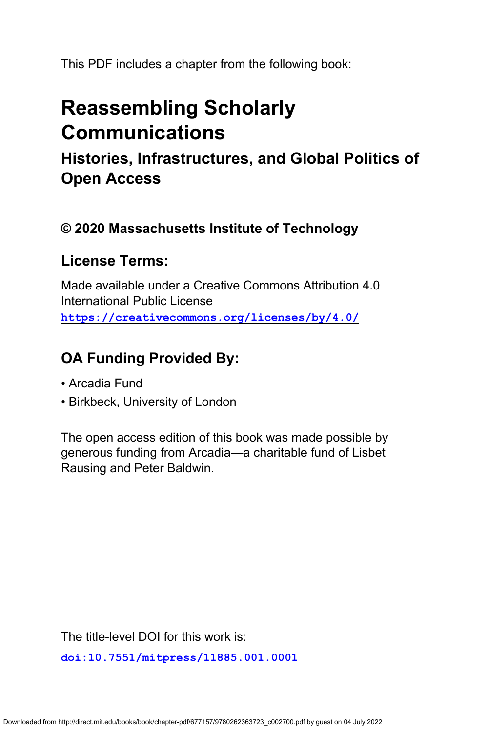This PDF includes a chapter from the following book:

# **Reassembling Scholarly Communications**

**Histories, Infrastructures, and Global Politics of Open Access**

### **© 2020 Massachusetts Institute of Technology**

### **License Terms:**

Made available under a Creative Commons Attribution 4.0 International Public License **<https://creativecommons.org/licenses/by/4.0/>**

## **OA Funding Provided By:**

- Arcadia Fund
- Birkbeck, University of London

The open access edition of this book was made possible by generous funding from Arcadia—a charitable fund of Lisbet Rausing and Peter Baldwin.

The title-level DOI for this work is:

**[doi:10.7551/mitpress/11885.001.0001](https://doi.org/10.7551/mitpress/11885.001.0001)**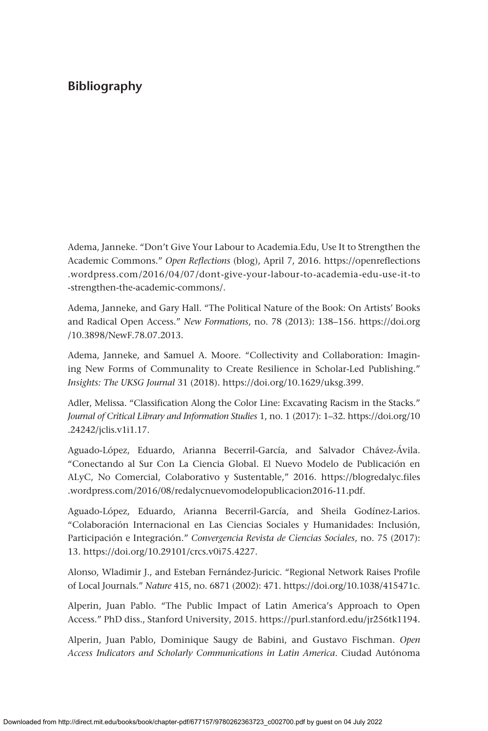Adema, Janneke. "Don't Give Your Labour to Academia.Edu, Use It to Strengthen the Academic Commons." *Open Reflections* (blog), April 7, 2016. [https://openreflections](https://openreflections.wordpress.com/2016/04/07/dont-give-your-labour-to-academia-edu-use-it-to-strengthen-the-academic-commons/) [.wordpress.com/2016/04/07/dont-give-your-labour-to-academia-edu-use-it-to](https://openreflections.wordpress.com/2016/04/07/dont-give-your-labour-to-academia-edu-use-it-to-strengthen-the-academic-commons/) [-strengthen-the-academic-commons/](https://openreflections.wordpress.com/2016/04/07/dont-give-your-labour-to-academia-edu-use-it-to-strengthen-the-academic-commons/).

Adema, Janneke, and Gary Hall. "The Political Nature of the Book: On Artists' Books and Radical Open Access." *New Formations*, no. 78 (2013): 138–156. [https://doi.org](https://doi.org/10.3898/NewF.78.07.2013) [/10.3898/NewF.78.07.2013](https://doi.org/10.3898/NewF.78.07.2013).

Adema, Janneke, and Samuel A. Moore. "Collectivity and Collaboration: Imagining New Forms of Communality to Create Resilience in Scholar-Led Publishing." *Insights: The UKSG Journal* 31 (2018). [https://doi.org/10.1629/uksg.399.](https://doi.org/10.1629/uksg.399)

Adler, Melissa. "Classification Along the Color Line: Excavating Racism in the Stacks." *Journal of Critical Library and Information Studies* 1, no. 1 (2017): 1–32. [https://doi.org/10](https://doi.org/10.24242/jclis.v1i1.17) [.24242/jclis.v1i1.17](https://doi.org/10.24242/jclis.v1i1.17).

Aguado-López, Eduardo, Arianna Becerril-García, and Salvador Chávez-Ávila. "Conectando al Sur Con La Ciencia Global. El Nuevo Modelo de Publicación en ALyC, No Comercial, Colaborativo y Sustentable," 2016. [https://blogredalyc.files](https://blogredalyc.files.wordpress.com/2016/08/redalycnuevomodelopublicacion2016-11.pdf) [.wordpress.com/2016/08/redalycnuevomodelopublicacion2016-11.pdf](https://blogredalyc.files.wordpress.com/2016/08/redalycnuevomodelopublicacion2016-11.pdf).

Aguado-López, Eduardo, Arianna Becerril-García, and Sheila Godínez-Larios. "Colaboración Internacional en Las Ciencias Sociales y Humanidades: Inclusión, Participación e Integración." *Convergencia Revista de Ciencias Sociales*, no. 75 (2017): 13. [https://doi.org/10.29101/crcs.v0i75.4227.](https://doi.org/10.29101/crcs.v0i75.4227)

Alonso, Wladimir J., and Esteban Fernández-Juricic. "Regional Network Raises Profile of Local Journals." *Nature* 415, no. 6871 (2002): 471. [https://doi.org/10.1038/415471c.](https://doi.org/10.1038/415471c)

Alperin, Juan Pablo. "The Public Impact of Latin America's Approach to Open Access." PhD diss., Stanford University, 2015. [https://purl.stanford.edu/jr256tk1194.](https://purl.stanford.edu/jr256tk1194)

Alperin, Juan Pablo, Dominique Saugy de Babini, and Gustavo Fischman. *Open Access Indicators and Scholarly Communications in Latin America*. Ciudad Autónoma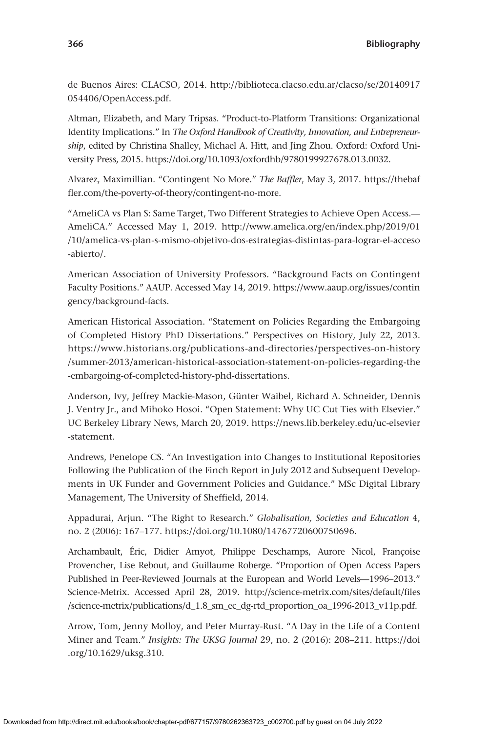de Buenos Aires: CLACSO, 2014. [http://biblioteca.clacso.edu.ar/clacso/se/20140917](http://biblioteca.clacso.edu.ar/clacso/se/20140917054406/OpenAccess.pdf) [054406/OpenAccess.pdf](http://biblioteca.clacso.edu.ar/clacso/se/20140917054406/OpenAccess.pdf).

Altman, Elizabeth, and Mary Tripsas. "Product-to-Platform Transitions: Organizational Identity Implications." In *The Oxford Handbook of Creativity, Innovation, and Entrepreneurship*, edited by Christina Shalley, Michael A. Hitt, and Jing Zhou. Oxford: Oxford University Press, 2015. [https://doi.org/10.1093/oxfordhb/9780199927678.013.0032.](https://doi.org/10.1093/oxfordhb/9780199927678.013.0032)

Alvarez, Maximillian. "Contingent No More." *The Baffler*, May 3, 2017. [https://thebaf](https://thebaffler.com/the-poverty-of-theory/contingent-no-more) [fler.com/the-poverty-of-theory/contingent-no-more.](https://thebaffler.com/the-poverty-of-theory/contingent-no-more)

"AmeliCA vs Plan S: Same Target, Two Different Strategies to Achieve Open Access.— AmeliCA." Accessed May 1, 2019. [http://www.amelica.org/en/index.php/2019/01](http://www.amelica.org/en/index.php/2019/01/10/amelica-vs-plan-s-mismo-objetivo-dos-estrategias-distintas-para-lograr-el-acceso-abierto/) [/10/amelica-vs-plan-s-mismo-objetivo-dos-estrategias-distintas-para-lograr-el-acceso](http://www.amelica.org/en/index.php/2019/01/10/amelica-vs-plan-s-mismo-objetivo-dos-estrategias-distintas-para-lograr-el-acceso-abierto/) [-abierto/.](http://www.amelica.org/en/index.php/2019/01/10/amelica-vs-plan-s-mismo-objetivo-dos-estrategias-distintas-para-lograr-el-acceso-abierto/)

American Association of University Professors. "Background Facts on Contingent Faculty Positions." AAUP. Accessed May 14, 2019. [https://www.aaup.org/issues/contin](https://www.aaup.org/issues/contingency/background-facts) [gency/background-facts](https://www.aaup.org/issues/contingency/background-facts).

American Historical Association. "Statement on Policies Regarding the Embargoing of Completed History PhD Dissertations." Perspectives on History, July 22, 2013. [https://www.historians.org/publications-and-directories/perspectives-on-history](https://www.historians.org/publications-and-directories/perspectives-on-history/summer-2013/american-historical-association-statement-on-policies-regarding-the-embargoing-of-completed-history-phd-dissertations) [/summer-2013/american-historical-association-statement-on-policies-regarding-the](https://www.historians.org/publications-and-directories/perspectives-on-history/summer-2013/american-historical-association-statement-on-policies-regarding-the-embargoing-of-completed-history-phd-dissertations) [-embargoing-of-completed-history-phd-dissertations](https://www.historians.org/publications-and-directories/perspectives-on-history/summer-2013/american-historical-association-statement-on-policies-regarding-the-embargoing-of-completed-history-phd-dissertations).

Anderson, Ivy, Jeffrey Mackie-Mason, Günter Waibel, Richard A. Schneider, Dennis J. Ventry Jr., and Mihoko Hosoi. "Open Statement: Why UC Cut Ties with Elsevier." UC Berkeley Library News, March 20, 2019. [https://news.lib.berkeley.edu/uc-elsevier](https://news.lib.berkeley.edu/uc-elsevier-statement) [-statement](https://news.lib.berkeley.edu/uc-elsevier-statement).

Andrews, Penelope CS. "An Investigation into Changes to Institutional Repositories Following the Publication of the Finch Report in July 2012 and Subsequent Developments in UK Funder and Government Policies and Guidance." MSc Digital Library Management, The University of Sheffield, 2014.

Appadurai, Arjun. "The Right to Research." *Globalisation, Societies and Education* 4, no. 2 (2006): 167–177. [https://doi.org/10.1080/14767720600750696.](https://doi.org/10.1080/14767720600750696)

Archambault, Éric, Didier Amyot, Philippe Deschamps, Aurore Nicol, Françoise Provencher, Lise Rebout, and Guillaume Roberge. "Proportion of Open Access Papers Published in Peer-Reviewed Journals at the European and World Levels—1996–2013." Science-Metrix. Accessed April 28, 2019. [http://science-metrix.com/sites/default/files](http://science-metrix.com/sites/default/files/science-metrix/publications/d_1.8_sm_ec_dg-rtd_proportion_oa_1996-2013_v11p.pdf) [/science-metrix/publications/d\\_1.8\\_sm\\_ec\\_dg-rtd\\_proportion\\_oa\\_1996-2013\\_v11p.pdf](http://science-metrix.com/sites/default/files/science-metrix/publications/d_1.8_sm_ec_dg-rtd_proportion_oa_1996-2013_v11p.pdf).

Arrow, Tom, Jenny Molloy, and Peter Murray-Rust. "A Day in the Life of a Content Miner and Team." *Insights: The UKSG Journal* 29, no. 2 (2016): 208–211. [https://doi](https://doi.org/10.1629/uksg.310) [.org/10.1629/uksg.310](https://doi.org/10.1629/uksg.310).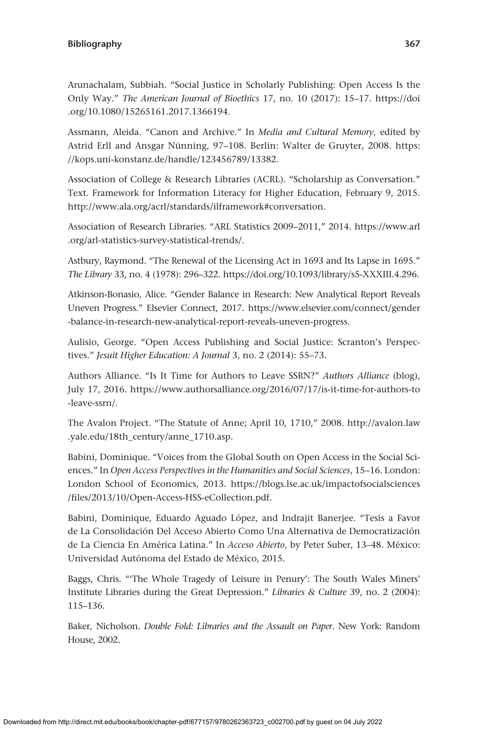Arunachalam, Subbiah. "Social Justice in Scholarly Publishing: Open Access Is the Only Way." *The American Journal of Bioethics* 17, no. 10 (2017): 15–17. [https://doi](https://doi.org/10.1080/15265161.2017.1366194) [.org/10.1080/15265161.2017.1366194.](https://doi.org/10.1080/15265161.2017.1366194)

Assmann, Aleida. "Canon and Archive." In *Media and Cultural Memory*, edited by Astrid Erll and Ansgar Nünning, 97–108. Berlin: Walter de Gruyter, 2008. [https:](https://kops.uni-konstanz.de/handle/123456789/13382) [//kops.uni-konstanz.de/handle/123456789/13382.](https://kops.uni-konstanz.de/handle/123456789/13382)

Association of College & Research Libraries (ACRL). "Scholarship as Conversation." Text. Framework for Information Literacy for Higher Education, February 9, 2015. <http://www.ala.org/acrl/standards/ilframework#conversation>.

Association of Research Libraries. "ARL Statistics 2009–2011," 2014. [https://www.arl](https://www.arl.org/arl-statistics-survey-statistical-trends/) [.org/arl-statistics-survey-statistical-trends/](https://www.arl.org/arl-statistics-survey-statistical-trends/).

Astbury, Raymond. "The Renewal of the Licensing Act in 1693 and Its Lapse in 1695." *The Library* 33, no. 4 (1978): 296–322. [https://doi.org/10.1093/library/s5-XXXIII.4.296.](https://doi.org/10.1093/library/s5-XXXIII.4.296)

Atkinson-Bonasio, Alice. "Gender Balance in Research: New Analytical Report Reveals Uneven Progress." Elsevier Connect, 2017. [https://www.elsevier.com/connect/gender](https://www.elsevier.com/connect/gender-balance-in-research-new-analytical-report-reveals-uneven-progress) [-balance-in-research-new-analytical-report-reveals-uneven-progress.](https://www.elsevier.com/connect/gender-balance-in-research-new-analytical-report-reveals-uneven-progress)

Aulisio, George. "Open Access Publishing and Social Justice: Scranton's Perspectives." *Jesuit Higher Education: A Journal* 3, no. 2 (2014): 55–73.

Authors Alliance. "Is It Time for Authors to Leave SSRN?" *Authors Alliance* (blog), July 17, 2016. [https://www.authorsalliance.org/2016/07/17/is-it-time-for-authors-to](https://www.authorsalliance.org/2016/07/17/is-it-time-for-authors-to-leave-ssrn/) [-leave-ssrn/](https://www.authorsalliance.org/2016/07/17/is-it-time-for-authors-to-leave-ssrn/).

The Avalon Project. "The Statute of Anne; April 10, 1710," 2008. [http://avalon.law](http://avalon.law.yale.edu/18th_century/anne_1710.asp) [.yale.edu/18th\\_century/anne\\_1710.asp](http://avalon.law.yale.edu/18th_century/anne_1710.asp).

Babini, Dominique. "Voices from the Global South on Open Access in the Social Sciences." In *Open Access Perspectives in the Humanities and Social Sciences*, 15–16. London: London School of Economics, 2013. [https://blogs.lse.ac.uk/impactofsocialsciences](https://blogs.lse.ac.uk/impactofsocialsciences/files/2013/10/Open-Access-HSS-eCollection.pdf) [/files/2013/10/Open-Access-HSS-eCollection.pdf.](https://blogs.lse.ac.uk/impactofsocialsciences/files/2013/10/Open-Access-HSS-eCollection.pdf)

Babini, Dominique, Eduardo Aguado López, and Indrajit Banerjee. "Tesis a Favor de La Consolidación Del Acceso Abierto Como Una Alternativa de Democratización de La Ciencia En América Latina." In *Acceso Abierto*, by Peter Suber, 13–48. México: Universidad Autónoma del Estado de México, 2015.

Baggs, Chris. "'The Whole Tragedy of Leisure in Penury': The South Wales Miners' Institute Libraries during the Great Depression." *Libraries & Culture* 39, no. 2 (2004): 115–136.

Baker, Nicholson. *Double Fold: Libraries and the Assault on Paper*. New York: Random House, 2002.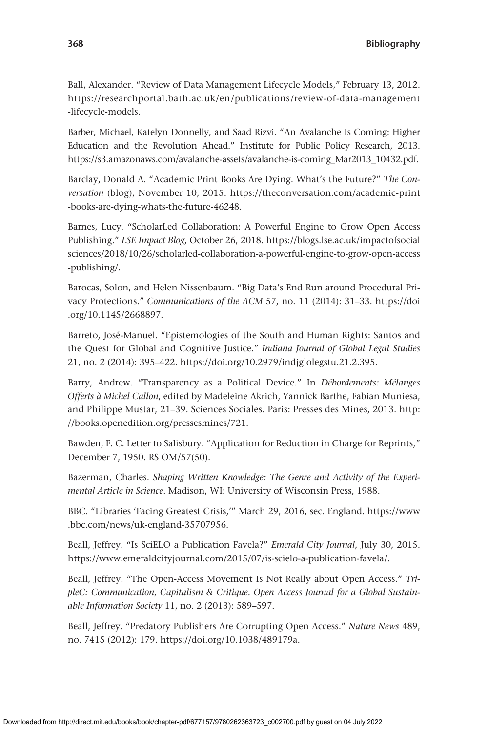Ball, Alexander. "Review of Data Management Lifecycle Models," February 13, 2012. [https://researchportal.bath.ac.uk/en/publications/review-of-data-management](https://researchportal.bath.ac.uk/en/publications/review-of-data-management-lifecycle-models) [-lifecycle-models](https://researchportal.bath.ac.uk/en/publications/review-of-data-management-lifecycle-models).

Barber, Michael, Katelyn Donnelly, and Saad Rizvi. "An Avalanche Is Coming: Higher Education and the Revolution Ahead." Institute for Public Policy Research, 2013. [https://s3.amazonaws.com/avalanche-assets/avalanche-is-coming\\_Mar2013\\_10432.pdf.](https://s3.amazonaws.com/avalanche-assets/avalanche-is-coming_Mar2013_10432.pdf)

Barclay, Donald A. "Academic Print Books Are Dying. What's the Future?" *The Conversation* (blog), November 10, 2015. [https://theconversation.com/academic-print](https://theconversation.com/academic-print-books-are-dying-whats-the-future-46248) [-books-are-dying-whats-the-future-46248.](https://theconversation.com/academic-print-books-are-dying-whats-the-future-46248)

Barnes, Lucy. "ScholarLed Collaboration: A Powerful Engine to Grow Open Access Publishing." *LSE Impact Blog*, October 26, 2018. [https://blogs.lse.ac.uk/impactofsocial](https://blogs.lse.ac.uk/impactofsocialsciences/2018/10/26/scholarled-collaboration-a-powerful-engine-to-grow-open-access-publishing/) [sciences/2018/10/26/scholarled-collaboration-a-powerful-engine-to-grow-open-access](https://blogs.lse.ac.uk/impactofsocialsciences/2018/10/26/scholarled-collaboration-a-powerful-engine-to-grow-open-access-publishing/) [-publishing/.](https://blogs.lse.ac.uk/impactofsocialsciences/2018/10/26/scholarled-collaboration-a-powerful-engine-to-grow-open-access-publishing/)

Barocas, Solon, and Helen Nissenbaum. "Big Data's End Run around Procedural Privacy Protections." *Communications of the ACM* 57, no. 11 (2014): 31–33. [https://doi](https://doi.org/10.1145/2668897) [.org/10.1145/2668897](https://doi.org/10.1145/2668897).

Barreto, José-Manuel. "Epistemologies of the South and Human Rights: Santos and the Quest for Global and Cognitive Justice." *Indiana Journal of Global Legal Studies* 21, no. 2 (2014): 395–422. <https://doi.org/10.2979/indjglolegstu.21.2.395>.

Barry, Andrew. "Transparency as a Political Device." In *Débordements: Mélanges Offerts à Michel Callon*, edited by Madeleine Akrich, Yannick Barthe, Fabian Muniesa, and Philippe Mustar, 21–39. Sciences Sociales. Paris: Presses des Mines, 2013. [http:](http://books.openedition.org/pressesmines/721) [//books.openedition.org/pressesmines/721.](http://books.openedition.org/pressesmines/721)

Bawden, F. C. Letter to Salisbury. "Application for Reduction in Charge for Reprints," December 7, 1950. RS OM/57(50).

Bazerman, Charles. *Shaping Written Knowledge: The Genre and Activity of the Experimental Article in Science*. Madison, WI: University of Wisconsin Press, 1988.

BBC. "Libraries 'Facing Greatest Crisis,'" March 29, 2016, sec. England. [https://www](https://www.bbc.com/news/uk-england-35707956) [.bbc.com/news/uk-england-35707956](https://www.bbc.com/news/uk-england-35707956).

Beall, Jeffrey. "Is SciELO a Publication Favela?" *Emerald City Journal*, July 30, 2015. <https://www.emeraldcityjournal.com/2015/07/is-scielo-a-publication-favela/>.

Beall, Jeffrey. "The Open-Access Movement Is Not Really about Open Access." *TripleC: Communication, Capitalism & Critique. Open Access Journal for a Global Sustainable Information Society* 11, no. 2 (2013): 589–597.

Beall, Jeffrey. "Predatory Publishers Are Corrupting Open Access." *Nature News* 489, no. 7415 (2012): 179. <https://doi.org/10.1038/489179a>.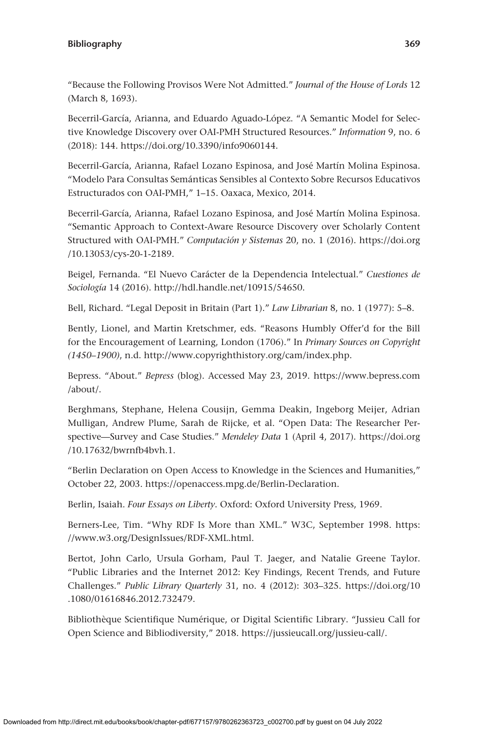"Because the Following Provisos Were Not Admitted." *Journal of the House of Lords* 12 (March 8, 1693).

Becerril-García, Arianna, and Eduardo Aguado-López. "A Semantic Model for Selective Knowledge Discovery over OAI-PMH Structured Resources." *Information* 9, no. 6 (2018): 144. [https://doi.org/10.3390/info9060144.](https://doi.org/10.3390/info9060144)

Becerril-García, Arianna, Rafael Lozano Espinosa, and José Martín Molina Espinosa. "Modelo Para Consultas Semánticas Sensibles al Contexto Sobre Recursos Educativos Estructurados con OAI-PMH," 1–15. Oaxaca, Mexico, 2014.

Becerril-García, Arianna, Rafael Lozano Espinosa, and José Martín Molina Espinosa. "Semantic Approach to Context-Aware Resource Discovery over Scholarly Content Structured with OAI-PMH." *Computación y Sistemas* 20, no. 1 (2016). [https://doi.org](https://doi.org/10.13053/cys-20-1-2189) [/10.13053/cys-20-1-2189](https://doi.org/10.13053/cys-20-1-2189).

Beigel, Fernanda. "El Nuevo Carácter de la Dependencia Intelectual." *Cuestiones de Sociología* 14 (2016). [http://hdl.handle.net/10915/54650.](http://hdl.handle.net/10915/54650)

Bell, Richard. "Legal Deposit in Britain (Part 1)." *Law Librarian* 8, no. 1 (1977): 5–8.

Bently, Lionel, and Martin Kretschmer, eds. "Reasons Humbly Offer'd for the Bill for the Encouragement of Learning, London (1706)." In *Primary Sources on Copyright (1450–1900)*, n.d.<http://www.copyrighthistory.org/cam/index.php>.

Bepress. "About." *Bepress* (blog). Accessed May 23, 2019. [https://www.bepress.com](https://www.bepress.com/about/) [/about/](https://www.bepress.com/about/).

Berghmans, Stephane, Helena Cousijn, Gemma Deakin, Ingeborg Meijer, Adrian Mulligan, Andrew Plume, Sarah de Rijcke, et al. "Open Data: The Researcher Perspective—Survey and Case Studies." *Mendeley Data* 1 (April 4, 2017). [https://doi.org](https://doi.org/10.17632/bwrnfb4bvh.1) [/10.17632/bwrnfb4bvh.1](https://doi.org/10.17632/bwrnfb4bvh.1).

"Berlin Declaration on Open Access to Knowledge in the Sciences and Humanities," October 22, 2003. <https://openaccess.mpg.de/Berlin-Declaration>.

Berlin, Isaiah. *Four Essays on Liberty*. Oxford: Oxford University Press, 1969.

Berners-Lee, Tim. "Why RDF Is More than XML." W3C, September 1998. [https:](https://www.w3.org/DesignIssues/RDF-XML.html) [//www.w3.org/DesignIssues/RDF-XML.html.](https://www.w3.org/DesignIssues/RDF-XML.html)

Bertot, John Carlo, Ursula Gorham, Paul T. Jaeger, and Natalie Greene Taylor. "Public Libraries and the Internet 2012: Key Findings, Recent Trends, and Future Challenges." *Public Library Quarterly* 31, no. 4 (2012): 303–325. [https://doi.org/10](https://doi.org/10.1080/01616846.2012.732479) [.1080/01616846.2012.732479.](https://doi.org/10.1080/01616846.2012.732479)

Bibliothèque Scientifique Numérique, or Digital Scientific Library. "Jussieu Call for Open Science and Bibliodiversity," 2018. [https://jussieucall.org/jussieu-call/.](https://jussieucall.org/jussieu-call/)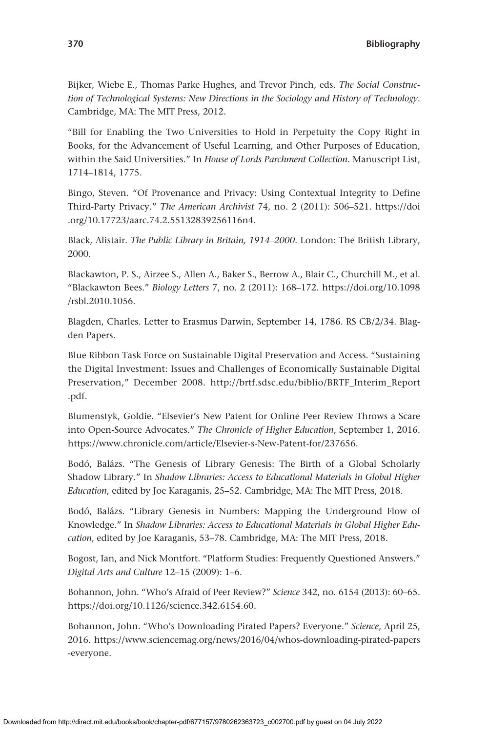Bijker, Wiebe E., Thomas Parke Hughes, and Trevor Pinch, eds. *The Social Construction of Technological Systems: New Directions in the Sociology and History of Technology*. Cambridge, MA: The MIT Press, 2012.

"Bill for Enabling the Two Universities to Hold in Perpetuity the Copy Right in Books, for the Advancement of Useful Learning, and Other Purposes of Education, within the Said Universities." In *House of Lords Parchment Collection*. Manuscript List, 1714–1814, 1775.

Bingo, Steven. "Of Provenance and Privacy: Using Contextual Integrity to Define Third-Party Privacy." *The American Archivist* 74, no. 2 (2011): 506–521. [https://doi](https://doi.org/10.17723/aarc.74.2.55132839256116n4) [.org/10.17723/aarc.74.2.55132839256116n4](https://doi.org/10.17723/aarc.74.2.55132839256116n4).

Black, Alistair. *The Public Library in Britain, 1914–2000*. London: The British Library, 2000.

Blackawton, P. S., Airzee S., Allen A., Baker S., Berrow A., Blair C., Churchill M., et al. "Blackawton Bees." *Biology Letters* 7, no. 2 (2011): 168–172. [https://doi.org/10.1098](https://doi.org/10.1098/rsbl.2010.1056) [/rsbl.2010.1056.](https://doi.org/10.1098/rsbl.2010.1056)

Blagden, Charles. Letter to Erasmus Darwin, September 14, 1786. RS CB/2/34. Blagden Papers.

Blue Ribbon Task Force on Sustainable Digital Preservation and Access. "Sustaining the Digital Investment: Issues and Challenges of Economically Sustainable Digital Preservation," December 2008. [http://brtf.sdsc.edu/biblio/BRTF\\_Interim\\_Report](http://brtf.sdsc.edu/biblio/BRTF_Interim_Report.pdf) [.pdf](http://brtf.sdsc.edu/biblio/BRTF_Interim_Report.pdf).

Blumenstyk, Goldie. "Elsevier's New Patent for Online Peer Review Throws a Scare into Open-Source Advocates." *The Chronicle of Higher Education*, September 1, 2016. [https://www.chronicle.com/article/Elsevier-s-New-Patent-for/237656.](https://www.chronicle.com/article/Elsevier-s-New-Patent-for/237656)

Bodó, Balázs. "The Genesis of Library Genesis: The Birth of a Global Scholarly Shadow Library." In *Shadow Libraries: Access to Educational Materials in Global Higher Education*, edited by Joe Karaganis, 25–52. Cambridge, MA: The MIT Press, 2018.

Bodó, Balázs. "Library Genesis in Numbers: Mapping the Underground Flow of Knowledge." In *Shadow Libraries: Access to Educational Materials in Global Higher Education*, edited by Joe Karaganis, 53–78. Cambridge, MA: The MIT Press, 2018.

Bogost, Ian, and Nick Montfort. "Platform Studies: Frequently Questioned Answers." *Digital Arts and Culture* 12–15 (2009): 1–6.

Bohannon, John. "Who's Afraid of Peer Review?" *Science* 342, no. 6154 (2013): 60–65. [https://doi.org/10.1126/science.342.6154.60.](https://doi.org/10.1126/science.342.6154.60)

Bohannon, John. "Who's Downloading Pirated Papers? Everyone." *Science*, April 25, 2016. [https://www.sciencemag.org/news/2016/04/whos-downloading-pirated-papers](https://www.sciencemag.org/news/2016/04/whos-downloading-pirated-papers-everyone) [-everyone](https://www.sciencemag.org/news/2016/04/whos-downloading-pirated-papers-everyone).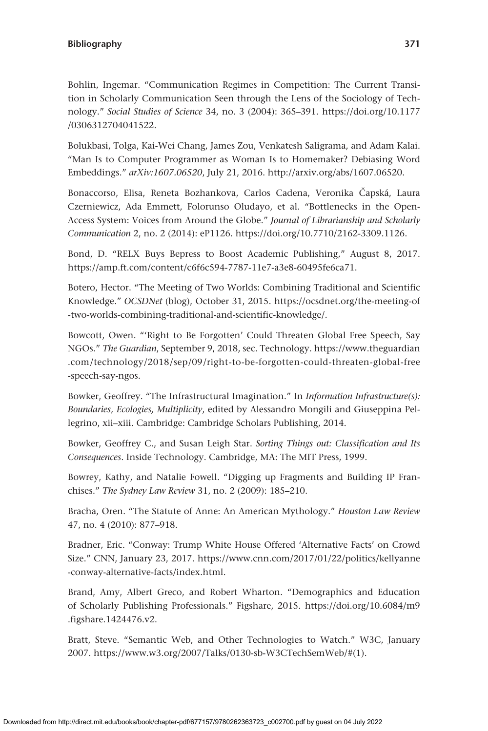Bohlin, Ingemar. "Communication Regimes in Competition: The Current Transition in Scholarly Communication Seen through the Lens of the Sociology of Technology." *Social Studies of Science* 34, no. 3 (2004): 365–391. [https://doi.org/10.1177](https://doi.org/10.1177/0306312704041522) [/0306312704041522](https://doi.org/10.1177/0306312704041522).

Bolukbasi, Tolga, Kai-Wei Chang, James Zou, Venkatesh Saligrama, and Adam Kalai. "Man Is to Computer Programmer as Woman Is to Homemaker? Debiasing Word Embeddings." *arXiv:1607.06520*, July 21, 2016.<http://arxiv.org/abs/1607.06520>.

Bonaccorso, Elisa, Reneta Bozhankova, Carlos Cadena, Veronika Čapská, Laura Czerniewicz, Ada Emmett, Folorunso Oludayo, et al. "Bottlenecks in the Open-Access System: Voices from Around the Globe." *Journal of Librarianship and Scholarly Communication* 2, no. 2 (2014): eP1126.<https://doi.org/10.7710/2162-3309.1126>.

Bond, D. "RELX Buys Bepress to Boost Academic Publishing," August 8, 2017. [https://amp.ft.com/content/c6f6c594-7787-11e7-a3e8-60495fe6ca71.](https://amp.ft.com/content/c6f6c594-7787-11e7-a3e8-60495fe6ca71)

Botero, Hector. "The Meeting of Two Worlds: Combining Traditional and Scientific Knowledge." *OCSDNet* (blog), October 31, 2015. [https://ocsdnet.org/the-meeting-of](https://ocsdnet.org/the-meeting-of-two-worlds-combining-traditional-and-scientific-knowledge/) [-two-worlds-combining-traditional-and-scientific-knowledge/.](https://ocsdnet.org/the-meeting-of-two-worlds-combining-traditional-and-scientific-knowledge/)

Bowcott, Owen. "'Right to Be Forgotten' Could Threaten Global Free Speech, Say NGOs." *The Guardian*, September 9, 2018, sec. Technology. [https://www.theguardian](https://www.theguardian.com/technology/2018/sep/09/right-to-be-forgotten-could-threaten-global-free-speech-say-ngos) [.com/technology/2018/sep/09/right-to-be-forgotten-could-threaten-global-free](https://www.theguardian.com/technology/2018/sep/09/right-to-be-forgotten-could-threaten-global-free-speech-say-ngos) [-speech-say-ngos](https://www.theguardian.com/technology/2018/sep/09/right-to-be-forgotten-could-threaten-global-free-speech-say-ngos).

Bowker, Geoffrey. "The Infrastructural Imagination." In *Information Infrastructure(s): Boundaries, Ecologies, Multiplicity*, edited by Alessandro Mongili and Giuseppina Pellegrino, xii–xiii. Cambridge: Cambridge Scholars Publishing, 2014.

Bowker, Geoffrey C., and Susan Leigh Star. *Sorting Things out: Classification and Its Consequences*. Inside Technology. Cambridge, MA: The MIT Press, 1999.

Bowrey, Kathy, and Natalie Fowell. "Digging up Fragments and Building IP Franchises." *The Sydney Law Review* 31, no. 2 (2009): 185–210.

Bracha, Oren. "The Statute of Anne: An American Mythology." *Houston Law Review* 47, no. 4 (2010): 877–918.

Bradner, Eric. "Conway: Trump White House Offered 'Alternative Facts' on Crowd Size." CNN, January 23, 2017. [https://www.cnn.com/2017/01/22/politics/kellyanne](https://www.cnn.com/2017/01/22/politics/kellyanne-conway-alternative-facts/index.html) [-conway-alternative-facts/index.html.](https://www.cnn.com/2017/01/22/politics/kellyanne-conway-alternative-facts/index.html)

Brand, Amy, Albert Greco, and Robert Wharton. "Demographics and Education of Scholarly Publishing Professionals." Figshare, 2015. [https://doi.org/10.6084/m9](https://doi.org/10.6084/m9.figshare.1424476.v2) [.figshare.1424476.v2.](https://doi.org/10.6084/m9.figshare.1424476.v2)

Bratt, Steve. "Semantic Web, and Other Technologies to Watch." W3C, January 2007. [https://www.w3.org/2007/Talks/0130-sb-W3CTechSemWeb/#\(1\)](https://www.w3.org/2007/Talks/0130-sb-W3CTechSemWeb/#(1).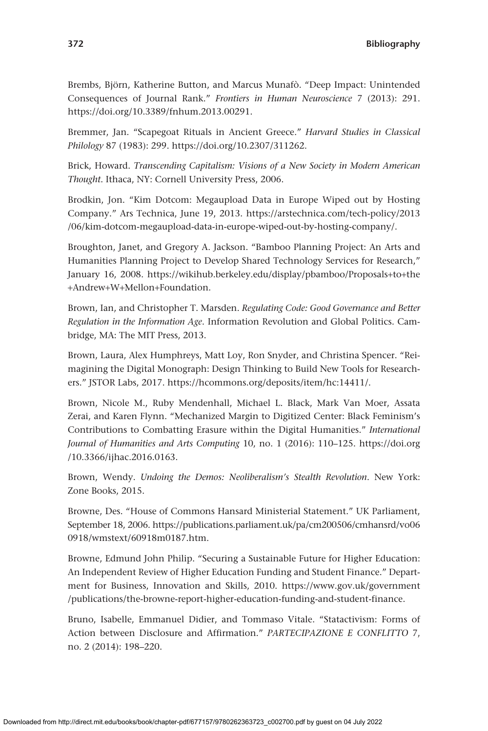Brembs, Björn, Katherine Button, and Marcus Munafò. "Deep Impact: Unintended Consequences of Journal Rank." *Frontiers in Human Neuroscience* 7 (2013): 291. <https://doi.org/10.3389/fnhum.2013.00291>.

Bremmer, Jan. "Scapegoat Rituals in Ancient Greece." *Harvard Studies in Classical Philology* 87 (1983): 299. [https://doi.org/10.2307/311262.](https://doi.org/10.2307/311262)

Brick, Howard. *Transcending Capitalism: Visions of a New Society in Modern American Thought*. Ithaca, NY: Cornell University Press, 2006.

Brodkin, Jon. "Kim Dotcom: Megaupload Data in Europe Wiped out by Hosting Company." Ars Technica, June 19, 2013. [https://arstechnica.com/tech-policy/2013](https://arstechnica.com/tech-policy/2013/06/kim-dotcom-megaupload-data-in-europe-wiped-out-by-hosting-company/) [/06/kim-dotcom-megaupload-data-in-europe-wiped-out-by-hosting-company/](https://arstechnica.com/tech-policy/2013/06/kim-dotcom-megaupload-data-in-europe-wiped-out-by-hosting-company/).

Broughton, Janet, and Gregory A. Jackson. "Bamboo Planning Project: An Arts and Humanities Planning Project to Develop Shared Technology Services for Research," January 16, 2008. [https://wikihub.berkeley.edu/display/pbamboo/Proposals](https://wikihub.berkeley.edu/display/pbamboo/Proposals+to+the+Andrew+W+Mellon+Foundation)+to+the +Andrew+W+Mellon+[Foundation.](https://wikihub.berkeley.edu/display/pbamboo/Proposals+to+the+Andrew+W+Mellon+Foundation)

Brown, Ian, and Christopher T. Marsden. *Regulating Code: Good Governance and Better Regulation in the Information Age*. Information Revolution and Global Politics. Cambridge, MA: The MIT Press, 2013.

Brown, Laura, Alex Humphreys, Matt Loy, Ron Snyder, and Christina Spencer. "Reimagining the Digital Monograph: Design Thinking to Build New Tools for Researchers." JSTOR Labs, 2017.<https://hcommons.org/deposits/item/hc:14411/>.

Brown, Nicole M., Ruby Mendenhall, Michael L. Black, Mark Van Moer, Assata Zerai, and Karen Flynn. "Mechanized Margin to Digitized Center: Black Feminism's Contributions to Combatting Erasure within the Digital Humanities." *International Journal of Humanities and Arts Computing* 10, no. 1 (2016): 110–125. [https://doi.org](https://doi.org/10.3366/ijhac.2016.0163) [/10.3366/ijhac.2016.0163](https://doi.org/10.3366/ijhac.2016.0163).

Brown, Wendy. *Undoing the Demos: Neoliberalism's Stealth Revolution*. New York: Zone Books, 2015.

Browne, Des. "House of Commons Hansard Ministerial Statement." UK Parliament, September 18, 2006. [https://publications.parliament.uk/pa/cm200506/cmhansrd/vo06](https://publications.parliament.uk/pa/cm200506/cmhansrd/vo060918/wmstext/60918m0187.htm) [0918/wmstext/60918m0187.htm.](https://publications.parliament.uk/pa/cm200506/cmhansrd/vo060918/wmstext/60918m0187.htm)

Browne, Edmund John Philip. "Securing a Sustainable Future for Higher Education: An Independent Review of Higher Education Funding and Student Finance." Department for Business, Innovation and Skills, 2010. [https://www.gov.uk/government](https://www.gov.uk/government/publications/the-browne-report-higher-education-funding-and-student-finance) [/publications/the-browne-report-higher-education-funding-and-student-finance.](https://www.gov.uk/government/publications/the-browne-report-higher-education-funding-and-student-finance)

Bruno, Isabelle, Emmanuel Didier, and Tommaso Vitale. "Statactivism: Forms of Action between Disclosure and Affirmation." *PARTECIPAZIONE E CONFLITTO* 7, no. 2 (2014): 198–220.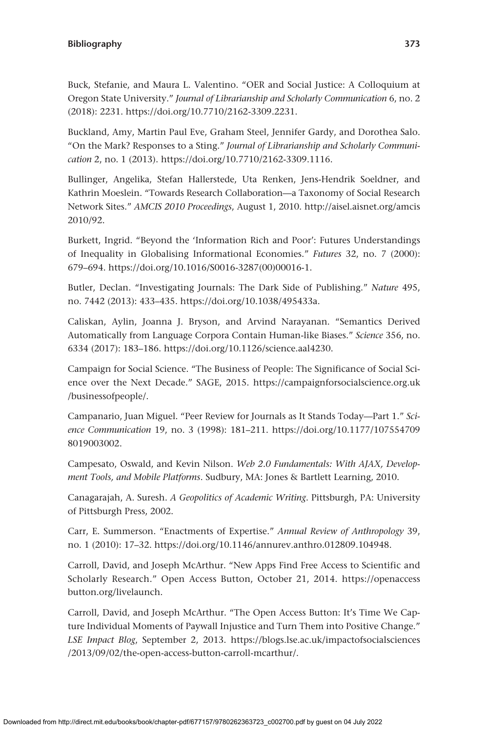Buck, Stefanie, and Maura L. Valentino. "OER and Social Justice: A Colloquium at Oregon State University." *Journal of Librarianship and Scholarly Communication* 6, no. 2 (2018): 2231.<https://doi.org/10.7710/2162-3309.2231>.

Buckland, Amy, Martin Paul Eve, Graham Steel, Jennifer Gardy, and Dorothea Salo. "On the Mark? Responses to a Sting." *Journal of Librarianship and Scholarly Communication* 2, no. 1 (2013).<https://doi.org/10.7710/2162-3309.1116>.

Bullinger, Angelika, Stefan Hallerstede, Uta Renken, Jens-Hendrik Soeldner, and Kathrin Moeslein. "Towards Research Collaboration—a Taxonomy of Social Research Network Sites." *AMCIS 2010 Proceedings*, August 1, 2010. [http://aisel.aisnet.org/amcis](http://aisel.aisnet.org/amcis2010/92) [2010/92.](http://aisel.aisnet.org/amcis2010/92)

Burkett, Ingrid. "Beyond the 'Information Rich and Poor': Futures Understandings of Inequality in Globalising Informational Economies." *Futures* 32, no. 7 (2000): 679–694. [https://doi.org/10.1016/S0016-3287\(00\)00016-1](https://doi.org/10.1016/S0016-3287(00)00016-1).

Butler, Declan. "Investigating Journals: The Dark Side of Publishing." *Nature* 495, no. 7442 (2013): 433–435. <https://doi.org/10.1038/495433a>.

Caliskan, Aylin, Joanna J. Bryson, and Arvind Narayanan. "Semantics Derived Automatically from Language Corpora Contain Human-like Biases." *Science* 356, no. 6334 (2017): 183–186. [https://doi.org/10.1126/science.aal4230.](https://doi.org/10.1126/science.aal4230)

Campaign for Social Science. "The Business of People: The Significance of Social Science over the Next Decade." SAGE, 2015. [https://campaignforsocialscience.org.uk](https://campaignforsocialscience.org.uk/businessofpeople/) [/businessofpeople/](https://campaignforsocialscience.org.uk/businessofpeople/).

Campanario, Juan Miguel. "Peer Review for Journals as It Stands Today—Part 1." *Science Communication* 19, no. 3 (1998): 181–211. [https://doi.org/10.1177/107554709](https://doi.org/10.1177/1075547098019003002) [8019003002.](https://doi.org/10.1177/1075547098019003002)

Campesato, Oswald, and Kevin Nilson. *Web 2.0 Fundamentals: With AJAX, Development Tools, and Mobile Platforms*. Sudbury, MA: Jones & Bartlett Learning, 2010.

Canagarajah, A. Suresh. *A Geopolitics of Academic Writing*. Pittsburgh, PA: University of Pittsburgh Press, 2002.

Carr, E. Summerson. "Enactments of Expertise." *Annual Review of Anthropology* 39, no. 1 (2010): 17–32. [https://doi.org/10.1146/annurev.anthro.012809.104948.](https://doi.org/10.1146/annurev.anthro.012809.104948)

Carroll, David, and Joseph McArthur. "New Apps Find Free Access to Scientific and Scholarly Research." Open Access Button, October 21, 2014. [https://openaccess](https://openaccessbutton.org/livelaunch) [button.org/livelaunch.](https://openaccessbutton.org/livelaunch)

Carroll, David, and Joseph McArthur. "The Open Access Button: It's Time We Capture Individual Moments of Paywall Injustice and Turn Them into Positive Change." *LSE Impact Blog*, September 2, 2013. [https://blogs.lse.ac.uk/impactofsocialsciences](https://blogs.lse.ac.uk/impactofsocialsciences/2013/09/02/the-open-access-button-carroll-mcarthur/) [/2013/09/02/the-open-access-button-carroll-mcarthur/](https://blogs.lse.ac.uk/impactofsocialsciences/2013/09/02/the-open-access-button-carroll-mcarthur/).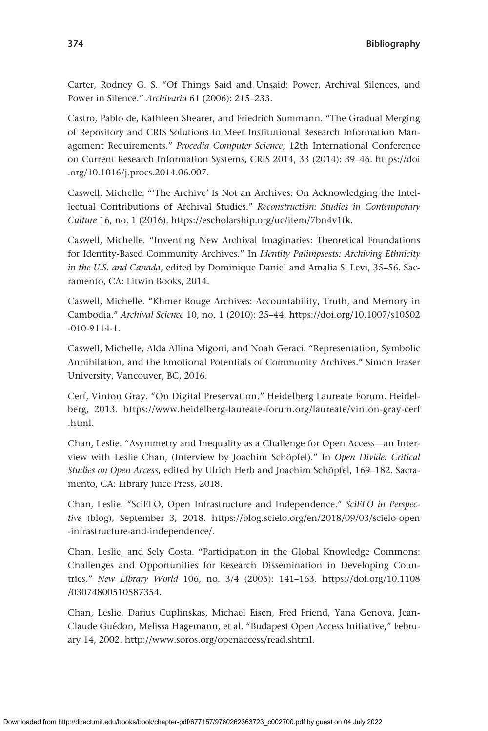Carter, Rodney G. S. "Of Things Said and Unsaid: Power, Archival Silences, and Power in Silence." *Archivaria* 61 (2006): 215–233.

Castro, Pablo de, Kathleen Shearer, and Friedrich Summann. "The Gradual Merging of Repository and CRIS Solutions to Meet Institutional Research Information Management Requirements." *Procedia Computer Science*, 12th International Conference on Current Research Information Systems, CRIS 2014, 33 (2014): 39–46. [https://doi](https://doi.org/10.1016/j.procs.2014.06.007) [.org/10.1016/j.procs.2014.06.007.](https://doi.org/10.1016/j.procs.2014.06.007)

Caswell, Michelle. "'The Archive' Is Not an Archives: On Acknowledging the Intellectual Contributions of Archival Studies." *Reconstruction: Studies in Contemporary Culture* 16, no. 1 (2016).<https://escholarship.org/uc/item/7bn4v1fk>.

Caswell, Michelle. "Inventing New Archival Imaginaries: Theoretical Foundations for Identity-Based Community Archives." In *Identity Palimpsests: Archiving Ethnicity in the U.S. and Canada*, edited by Dominique Daniel and Amalia S. Levi, 35–56. Sacramento, CA: Litwin Books, 2014.

Caswell, Michelle. "Khmer Rouge Archives: Accountability, Truth, and Memory in Cambodia." *Archival Science* 10, no. 1 (2010): 25–44. [https://doi.org/10.1007/s10502](https://doi.org/10.1007/s10502-010-9114-1) [-010-9114-1.](https://doi.org/10.1007/s10502-010-9114-1)

Caswell, Michelle, Alda Allina Migoni, and Noah Geraci. "Representation, Symbolic Annihilation, and the Emotional Potentials of Community Archives." Simon Fraser University, Vancouver, BC, 2016.

Cerf, Vinton Gray. "On Digital Preservation." Heidelberg Laureate Forum. Heidelberg, 2013. [https://www.heidelberg-laureate-forum.org/laureate/vinton-gray-cerf](https://www.heidelberg-laureate-forum.org/laureate/vinton-gray-cerf.html) [.html](https://www.heidelberg-laureate-forum.org/laureate/vinton-gray-cerf.html).

Chan, Leslie. "Asymmetry and Inequality as a Challenge for Open Access—an Interview with Leslie Chan, (Interview by Joachim Schöpfel)." In *Open Divide: Critical Studies on Open Access*, edited by Ulrich Herb and Joachim Schöpfel, 169–182. Sacramento, CA: Library Juice Press, 2018.

Chan, Leslie. "SciELO, Open Infrastructure and Independence." *SciELO in Perspective* (blog), September 3, 2018. [https://blog.scielo.org/en/2018/09/03/scielo-open](https://blog.scielo.org/en/2018/09/03/scielo-open-infrastructure-and-independence/) [-infrastructure-and-independence/.](https://blog.scielo.org/en/2018/09/03/scielo-open-infrastructure-and-independence/)

Chan, Leslie, and Sely Costa. "Participation in the Global Knowledge Commons: Challenges and Opportunities for Research Dissemination in Developing Countries." *New Library World* 106, no. 3/4 (2005): 141–163. [https://doi.org/10.1108](https://doi.org/10.1108/03074800510587354) [/03074800510587354.](https://doi.org/10.1108/03074800510587354)

Chan, Leslie, Darius Cuplinskas, Michael Eisen, Fred Friend, Yana Genova, Jean-Claude Guédon, Melissa Hagemann, et al. "Budapest Open Access Initiative," February 14, 2002.<http://www.soros.org/openaccess/read.shtml>.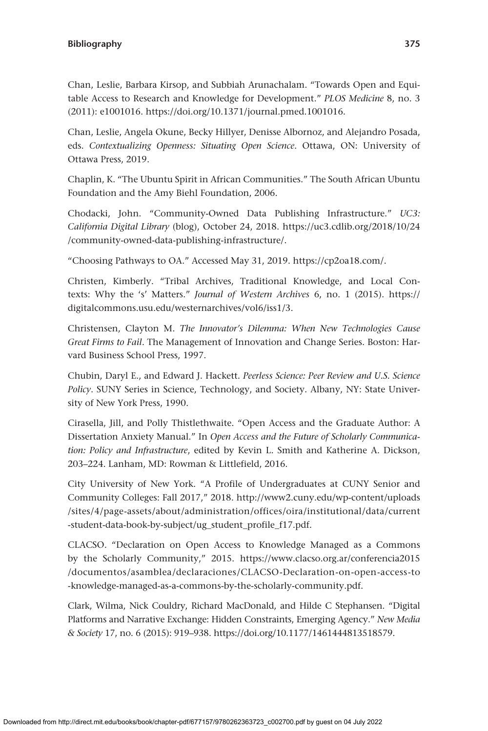Chan, Leslie, Barbara Kirsop, and Subbiah Arunachalam. "Towards Open and Equitable Access to Research and Knowledge for Development." *PLOS Medicine* 8, no. 3 (2011): e1001016. [https://doi.org/10.1371/journal.pmed.1001016.](https://doi.org/10.1371/journal.pmed.1001016)

Chan, Leslie, Angela Okune, Becky Hillyer, Denisse Albornoz, and Alejandro Posada, eds. *Contextualizing Openness: Situating Open Science*. Ottawa, ON: University of Ottawa Press, 2019.

Chaplin, K. "The Ubuntu Spirit in African Communities." The South African Ubuntu Foundation and the Amy Biehl Foundation, 2006.

Chodacki, John. "Community-Owned Data Publishing Infrastructure." *UC3: California Digital Library* (blog), October 24, 2018. [https://uc3.cdlib.org/2018/10/24](https://uc3.cdlib.org/2018/10/24/community-owned-data-publishing-infrastructure/) [/community-owned-data-publishing-infrastructure/.](https://uc3.cdlib.org/2018/10/24/community-owned-data-publishing-infrastructure/)

"Choosing Pathways to OA." Accessed May 31, 2019. [https://cp2oa18.com/.](https://cp2oa18.com/)

Christen, Kimberly. "Tribal Archives, Traditional Knowledge, and Local Contexts: Why the 's' Matters." *Journal of Western Archives* 6, no. 1 (2015). [https://](https://digitalcommons.usu.edu/westernarchives/vol6/iss1/3) [digitalcommons.usu.edu/westernarchives/vol6/iss1/3](https://digitalcommons.usu.edu/westernarchives/vol6/iss1/3).

Christensen, Clayton M. *The Innovator's Dilemma: When New Technologies Cause Great Firms to Fail*. The Management of Innovation and Change Series. Boston: Harvard Business School Press, 1997.

Chubin, Daryl E., and Edward J. Hackett. *Peerless Science: Peer Review and U.S. Science Policy*. SUNY Series in Science, Technology, and Society. Albany, NY: State University of New York Press, 1990.

Cirasella, Jill, and Polly Thistlethwaite. "Open Access and the Graduate Author: A Dissertation Anxiety Manual." In *Open Access and the Future of Scholarly Communication: Policy and Infrastructure*, edited by Kevin L. Smith and Katherine A. Dickson, 203–224. Lanham, MD: Rowman & Littlefield, 2016.

City University of New York. "A Profile of Undergraduates at CUNY Senior and Community Colleges: Fall 2017," 2018. [http://www2.cuny.edu/wp-content/uploads](http://www2.cuny.edu/wp-content/uploads/sites/4/page-assets/about/administration/offices/oira/institutional/data/current-student-data-book-by-subject/ug_student_profile_f17.pdf) [/sites/4/page-assets/about/administration/offices/oira/institutional/data/current](http://www2.cuny.edu/wp-content/uploads/sites/4/page-assets/about/administration/offices/oira/institutional/data/current-student-data-book-by-subject/ug_student_profile_f17.pdf) [-student-data-book-by-subject/ug\\_student\\_profile\\_f17.pdf.](http://www2.cuny.edu/wp-content/uploads/sites/4/page-assets/about/administration/offices/oira/institutional/data/current-student-data-book-by-subject/ug_student_profile_f17.pdf)

CLACSO. "Declaration on Open Access to Knowledge Managed as a Commons by the Scholarly Community," 2015. [https://www.clacso.org.ar/conferencia2015](https://www.clacso.org.ar/conferencia2015/documentos/asamblea/declaraciones/CLACSO-Declaration-on-open-access-to-knowledge-managed-as-a-commons-by-the-scholarly-community.pdf) [/documentos/asamblea/declaraciones/CLACSO-Declaration-on-open-access-to](https://www.clacso.org.ar/conferencia2015/documentos/asamblea/declaraciones/CLACSO-Declaration-on-open-access-to-knowledge-managed-as-a-commons-by-the-scholarly-community.pdf) [-knowledge-managed-as-a-commons-by-the-scholarly-community.pdf](https://www.clacso.org.ar/conferencia2015/documentos/asamblea/declaraciones/CLACSO-Declaration-on-open-access-to-knowledge-managed-as-a-commons-by-the-scholarly-community.pdf).

Clark, Wilma, Nick Couldry, Richard MacDonald, and Hilde C Stephansen. "Digital Platforms and Narrative Exchange: Hidden Constraints, Emerging Agency." *New Media & Society* 17, no. 6 (2015): 919–938.<https://doi.org/10.1177/1461444813518579>.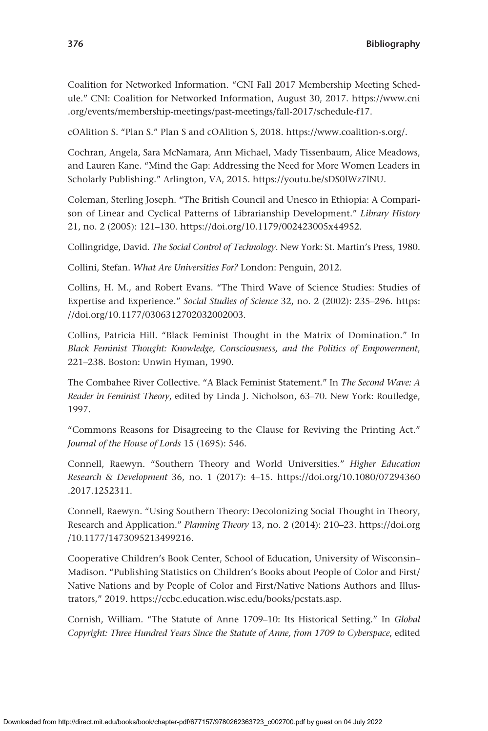Coalition for Networked Information. "CNI Fall 2017 Membership Meeting Schedule." CNI: Coalition for Networked Information, August 30, 2017. [https://www.cni](https://www.cni.org/events/membership-meetings/past-meetings/fall-2017/schedule-f17) [.org/events/membership-meetings/past-meetings/fall-2017/schedule-f17](https://www.cni.org/events/membership-meetings/past-meetings/fall-2017/schedule-f17).

cOAlition S. "Plan S." Plan S and cOAlition S, 2018.<https://www.coalition-s.org/>.

Cochran, Angela, Sara McNamara, Ann Michael, Mady Tissenbaum, Alice Meadows, and Lauren Kane. "Mind the Gap: Addressing the Need for More Women Leaders in Scholarly Publishing." Arlington, VA, 2015. [https://youtu.be/sDS0lWz7lNU.](https://youtu.be/sDS0lWz7lNU)

Coleman, Sterling Joseph. "The British Council and Unesco in Ethiopia: A Comparison of Linear and Cyclical Patterns of Librarianship Development." *Library History* 21, no. 2 (2005): 121–130. <https://doi.org/10.1179/002423005x44952>.

Collingridge, David. *The Social Control of Technology*. New York: St. Martin's Press, 1980.

Collini, Stefan. *What Are Universities For?* London: Penguin, 2012.

Collins, H. M., and Robert Evans. "The Third Wave of Science Studies: Studies of Expertise and Experience." *Social Studies of Science* 32, no. 2 (2002): 235–296. [https:](https://doi.org/10.1177/0306312702032002003) [//doi.org/10.1177/0306312702032002003](https://doi.org/10.1177/0306312702032002003).

Collins, Patricia Hill. "Black Feminist Thought in the Matrix of Domination." In *Black Feminist Thought: Knowledge, Consciousness, and the Politics of Empowerment*, 221–238. Boston: Unwin Hyman, 1990.

The Combahee River Collective. "A Black Feminist Statement." In *The Second Wave: A Reader in Feminist Theory*, edited by Linda J. Nicholson, 63–70. New York: Routledge, 1997.

"Commons Reasons for Disagreeing to the Clause for Reviving the Printing Act." *Journal of the House of Lords* 15 (1695): 546.

Connell, Raewyn. "Southern Theory and World Universities." *Higher Education Research & Development* 36, no. 1 (2017): 4–15. [https://doi.org/10.1080/07294360](https://doi.org/10.1080/07294360.2017.1252311) [.2017.1252311.](https://doi.org/10.1080/07294360.2017.1252311)

Connell, Raewyn. "Using Southern Theory: Decolonizing Social Thought in Theory, Research and Application." *Planning Theory* 13, no. 2 (2014): 210–23. [https://doi.org](https://doi.org/10.1177/1473095213499216) [/10.1177/1473095213499216](https://doi.org/10.1177/1473095213499216).

Cooperative Children's Book Center, School of Education, University of Wisconsin– Madison. "Publishing Statistics on Children's Books about People of Color and First/ Native Nations and by People of Color and First/Native Nations Authors and Illustrators," 2019.<https://ccbc.education.wisc.edu/books/pcstats.asp>.

Cornish, William. "The Statute of Anne 1709–10: Its Historical Setting." In *Global Copyright: Three Hundred Years Since the Statute of Anne, from 1709 to Cyberspace*, edited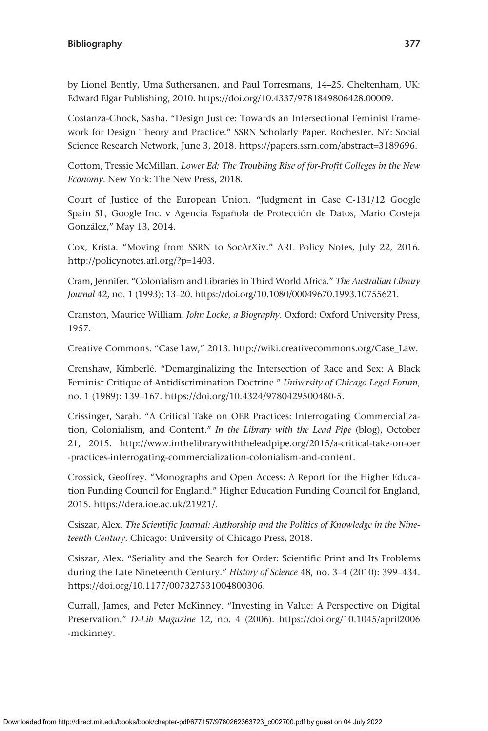by Lionel Bently, Uma Suthersanen, and Paul Torresmans, 14–25. Cheltenham, UK: Edward Elgar Publishing, 2010.<https://doi.org/10.4337/9781849806428.00009>.

Costanza-Chock, Sasha. "Design Justice: Towards an Intersectional Feminist Framework for Design Theory and Practice." SSRN Scholarly Paper. Rochester, NY: Social Science Research Network, June 3, 2018. [https://papers.ssrn.com/abstract](https://papers.ssrn.com/abstract=3189696)=3189696.

Cottom, Tressie McMillan. *Lower Ed: The Troubling Rise of for-Profit Colleges in the New Economy*. New York: The New Press, 2018.

Court of Justice of the European Union. "Judgment in Case C-131/12 Google Spain SL, Google Inc. v Agencia Española de Protección de Datos, Mario Costeja González," May 13, 2014.

Cox, Krista. "Moving from SSRN to SocArXiv." ARL Policy Notes, July 22, 2016. [http://policynotes.arl.org/?p](http://policynotes.arl.org/?p=1403)=1403.

Cram, Jennifer. "Colonialism and Libraries in Third World Africa." *The Australian Library Journal* 42, no. 1 (1993): 13–20.<https://doi.org/10.1080/00049670.1993.10755621>.

Cranston, Maurice William. *John Locke, a Biography*. Oxford: Oxford University Press, 1957.

Creative Commons. "Case Law," 2013. [http://wiki.creativecommons.org/Case\\_Law.](http://wiki.creativecommons.org/Case_Law)

Crenshaw, Kimberlé. "Demarginalizing the Intersection of Race and Sex: A Black Feminist Critique of Antidiscrimination Doctrine." *University of Chicago Legal Forum*, no. 1 (1989): 139–167. [https://doi.org/10.4324/9780429500480-5.](https://doi.org/10.4324/9780429500480-5)

Crissinger, Sarah. "A Critical Take on OER Practices: Interrogating Commercialization, Colonialism, and Content." *In the Library with the Lead Pipe* (blog), October 21, 2015. [http://www.inthelibrarywiththeleadpipe.org/2015/a-critical-take-on-oer](http://www.inthelibrarywiththeleadpipe.org/2015/a-critical-take-on-oer-practices-interrogating-commercialization-colonialism-and-content) [-practices-interrogating-commercialization-colonialism-and-content](http://www.inthelibrarywiththeleadpipe.org/2015/a-critical-take-on-oer-practices-interrogating-commercialization-colonialism-and-content).

Crossick, Geoffrey. "Monographs and Open Access: A Report for the Higher Education Funding Council for England." Higher Education Funding Council for England, 2015. [https://dera.ioe.ac.uk/21921/.](https://dera.ioe.ac.uk/21921/)

Csiszar, Alex. *The Scientific Journal: Authorship and the Politics of Knowledge in the Nineteenth Century*. Chicago: University of Chicago Press, 2018.

Csiszar, Alex. "Seriality and the Search for Order: Scientific Print and Its Problems during the Late Nineteenth Century." *History of Science* 48, no. 3–4 (2010): 399–434. <https://doi.org/10.1177/007327531004800306>.

Currall, James, and Peter McKinney. "Investing in Value: A Perspective on Digital Preservation." *D-Lib Magazine* 12, no. 4 (2006). [https://doi.org/10.1045/april2006](https://doi.org/10.1045/april2006-mckinney) [-mckinney.](https://doi.org/10.1045/april2006-mckinney)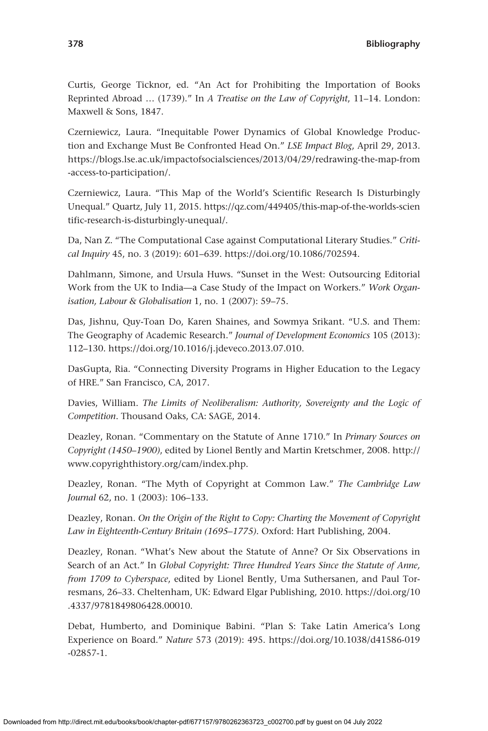Curtis, George Ticknor, ed. "An Act for Prohibiting the Importation of Books Reprinted Abroad … (1739)." In *A Treatise on the Law of Copyright*, 11–14. London: Maxwell & Sons, 1847.

Czerniewicz, Laura. "Inequitable Power Dynamics of Global Knowledge Production and Exchange Must Be Confronted Head On." *LSE Impact Blog*, April 29, 2013. [https://blogs.lse.ac.uk/impactofsocialsciences/2013/04/29/redrawing-the-map-from](https://blogs.lse.ac.uk/impactofsocialsciences/2013/04/29/redrawing-the-map-from-access-to-participation/) [-access-to-participation/.](https://blogs.lse.ac.uk/impactofsocialsciences/2013/04/29/redrawing-the-map-from-access-to-participation/)

Czerniewicz, Laura. "This Map of the World's Scientific Research Is Disturbingly Unequal." Quartz, July 11, 2015. [https://qz.com/449405/this-map-of-the-worlds-scien](https://qz.com/449405/this-map-of-the-worlds-scientific-research-is-disturbingly-unequal/) [tific-research-is-disturbingly-unequal/.](https://qz.com/449405/this-map-of-the-worlds-scientific-research-is-disturbingly-unequal/)

Da, Nan Z. "The Computational Case against Computational Literary Studies." *Critical Inquiry* 45, no. 3 (2019): 601–639. <https://doi.org/10.1086/702594>.

Dahlmann, Simone, and Ursula Huws. "Sunset in the West: Outsourcing Editorial Work from the UK to India—a Case Study of the Impact on Workers." *Work Organisation, Labour & Globalisation* 1, no. 1 (2007): 59–75.

Das, Jishnu, Quy-Toan Do, Karen Shaines, and Sowmya Srikant. "U.S. and Them: The Geography of Academic Research." *Journal of Development Economics* 105 (2013): 112–130. [https://doi.org/10.1016/j.jdeveco.2013.07.010.](https://doi.org/10.1016/j.jdeveco.2013.07.010)

DasGupta, Ria. "Connecting Diversity Programs in Higher Education to the Legacy of HRE." San Francisco, CA, 2017.

Davies, William. *The Limits of Neoliberalism: Authority, Sovereignty and the Logic of Competition*. Thousand Oaks, CA: SAGE, 2014.

Deazley, Ronan. "Commentary on the Statute of Anne 1710." In *Primary Sources on Copyright (1450–1900)*, edited by Lionel Bently and Martin Kretschmer, 2008. [http://](http://www.copyrighthistory.org/cam/index.php) [www.copyrighthistory.org/cam/index.php.](http://www.copyrighthistory.org/cam/index.php)

Deazley, Ronan. "The Myth of Copyright at Common Law." *The Cambridge Law Journal* 62, no. 1 (2003): 106–133.

Deazley, Ronan. *On the Origin of the Right to Copy: Charting the Movement of Copyright Law in Eighteenth-Century Britain (1695–1775)*. Oxford: Hart Publishing, 2004.

Deazley, Ronan. "What's New about the Statute of Anne? Or Six Observations in Search of an Act." In *Global Copyright: Three Hundred Years Since the Statute of Anne, from 1709 to Cyberspace*, edited by Lionel Bently, Uma Suthersanen, and Paul Torresmans, 26–33. Cheltenham, UK: Edward Elgar Publishing, 2010. [https://doi.org/10](https://doi.org/10.4337/9781849806428.00010) [.4337/9781849806428.00010](https://doi.org/10.4337/9781849806428.00010).

Debat, Humberto, and Dominique Babini. "Plan S: Take Latin America's Long Experience on Board." *Nature* 573 (2019): 495. [https://doi.org/10.1038/d41586-019](https://doi.org/10.1038/d41586-019-02857-1) [-02857-1.](https://doi.org/10.1038/d41586-019-02857-1)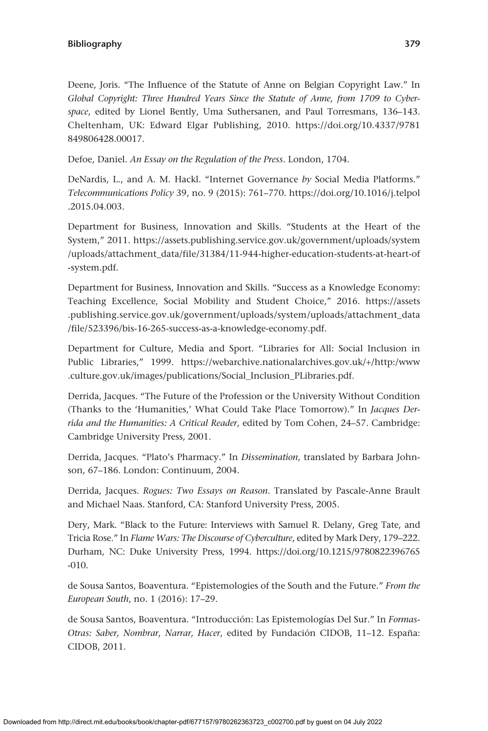Deene, Joris. "The Influence of the Statute of Anne on Belgian Copyright Law." In *Global Copyright: Three Hundred Years Since the Statute of Anne, from 1709 to Cyberspace*, edited by Lionel Bently, Uma Suthersanen, and Paul Torresmans, 136–143. Cheltenham, UK: Edward Elgar Publishing, 2010. [https://doi.org/10.4337/9781](https://doi.org/10.4337/9781849806428.00017) [849806428.00017.](https://doi.org/10.4337/9781849806428.00017)

Defoe, Daniel. *An Essay on the Regulation of the Press*. London, 1704.

DeNardis, L., and A. M. Hackl. "Internet Governance *by* Social Media Platforms." *Telecommunications Policy* 39, no. 9 (2015): 761–770. [https://doi.org/10.1016/j.telpol](https://doi.org/10.1016/j.telpol.2015.04.003) [.2015.04.003](https://doi.org/10.1016/j.telpol.2015.04.003).

Department for Business, Innovation and Skills. "Students at the Heart of the System," 2011. [https://assets.publishing.service.gov.uk/government/uploads/system](https://assets.publishing.service.gov.uk/government/uploads/system/uploads/attachment_data/file/31384/11-944-higher-education-students-at-heart-of-system.pdf) [/uploads/attachment\\_data/file/31384/11-944-higher-education-students-at-heart-of](https://assets.publishing.service.gov.uk/government/uploads/system/uploads/attachment_data/file/31384/11-944-higher-education-students-at-heart-of-system.pdf) [-system.pdf.](https://assets.publishing.service.gov.uk/government/uploads/system/uploads/attachment_data/file/31384/11-944-higher-education-students-at-heart-of-system.pdf)

Department for Business, Innovation and Skills. "Success as a Knowledge Economy: Teaching Excellence, Social Mobility and Student Choice," 2016. [https://assets](https://assets.publishing.service.gov.uk/government/uploads/system/uploads/attachment_data/file/523396/bis-16-265-success-as-a-knowledge-economy.pdf) [.publishing.service.gov.uk/government/uploads/system/uploads/attachment\\_data](https://assets.publishing.service.gov.uk/government/uploads/system/uploads/attachment_data/file/523396/bis-16-265-success-as-a-knowledge-economy.pdf) [/file/523396/bis-16-265-success-as-a-knowledge-economy.pdf](https://assets.publishing.service.gov.uk/government/uploads/system/uploads/attachment_data/file/523396/bis-16-265-success-as-a-knowledge-economy.pdf).

Department for Culture, Media and Sport. "Libraries for All: Social Inclusion in Public Libraries," 1999. [https://webarchive.nationalarchives.gov.uk/](https://webarchive.nationalarchives.gov.uk/+/http:/www.culture.gov.uk/images/publications/Social_Inclusion_PLibraries.pdf)+/http:/www [.culture.gov.uk/images/publications/Social\\_Inclusion\\_PLibraries.pdf](https://webarchive.nationalarchives.gov.uk/+/http:/www.culture.gov.uk/images/publications/Social_Inclusion_PLibraries.pdf).

Derrida, Jacques. "The Future of the Profession or the University Without Condition (Thanks to the 'Humanities,' What Could Take Place Tomorrow)." In *Jacques Derrida and the Humanities: A Critical Reader*, edited by Tom Cohen, 24–57. Cambridge: Cambridge University Press, 2001.

Derrida, Jacques. "Plato's Pharmacy." In *Dissemination*, translated by Barbara Johnson, 67–186. London: Continuum, 2004.

Derrida, Jacques. *Rogues: Two Essays on Reason*. Translated by Pascale-Anne Brault and Michael Naas. Stanford, CA: Stanford University Press, 2005.

Dery, Mark. "Black to the Future: Interviews with Samuel R. Delany, Greg Tate, and Tricia Rose." In *Flame Wars: The Discourse of Cyberculture*, edited by Mark Dery, 179–222. Durham, NC: Duke University Press, 1994. [https://doi.org/10.1215/9780822396765](https://doi.org/10.1215/9780822396765-010) [-010.](https://doi.org/10.1215/9780822396765-010)

de Sousa Santos, Boaventura. "Epistemologies of the South and the Future." *From the European South*, no. 1 (2016): 17–29.

de Sousa Santos, Boaventura. "Introducción: Las Epistemologías Del Sur." In *Formas-Otras: Saber, Nombrar, Narrar, Hacer*, edited by Fundación CIDOB, 11–12. España: CIDOB, 2011.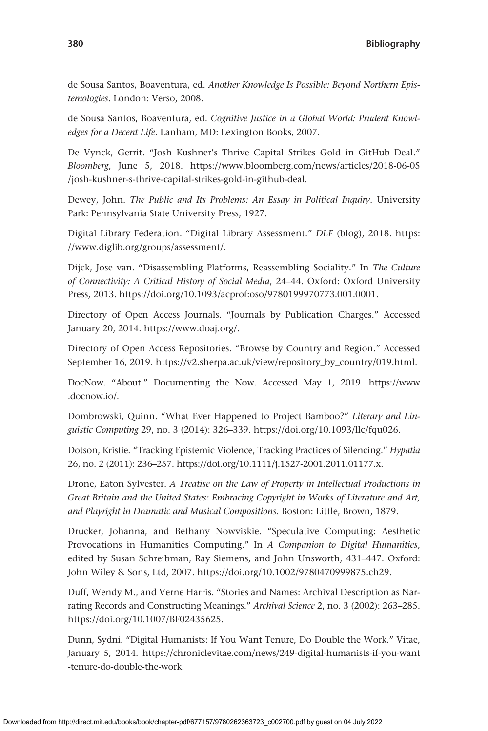de Sousa Santos, Boaventura, ed. *Another Knowledge Is Possible: Beyond Northern Epistemologies*. London: Verso, 2008.

de Sousa Santos, Boaventura, ed. *Cognitive Justice in a Global World: Prudent Knowledges for a Decent Life*. Lanham, MD: Lexington Books, 2007.

De Vynck, Gerrit. "Josh Kushner's Thrive Capital Strikes Gold in GitHub Deal." *Bloomberg*, June 5, 2018. [https://www.bloomberg.com/news/articles/2018-06-05](https://www.bloomberg.com/news/articles/2018-06-05/josh-kushner-s-thrive-capital-strikes-gold-in-github-deal) [/josh-kushner-s-thrive-capital-strikes-gold-in-github-deal.](https://www.bloomberg.com/news/articles/2018-06-05/josh-kushner-s-thrive-capital-strikes-gold-in-github-deal)

Dewey, John. *The Public and Its Problems: An Essay in Political Inquiry*. University Park: Pennsylvania State University Press, 1927.

Digital Library Federation. "Digital Library Assessment." *DLF* (blog), 2018. [https:](https://www.diglib.org/groups/assessment/) [//www.diglib.org/groups/assessment/.](https://www.diglib.org/groups/assessment/)

Dijck, Jose van. "Disassembling Platforms, Reassembling Sociality." In *The Culture of Connectivity: A Critical History of Social Media*, 24–44. Oxford: Oxford University Press, 2013. [https://doi.org/10.1093/acprof:oso/9780199970773.001.0001.](https://doi.org/10.1093/acprof:oso/9780199970773.001.0001)

Directory of Open Access Journals. "Journals by Publication Charges." Accessed January 20, 2014. [https://www.doaj.org/.](https://www.doaj.org/)

Directory of Open Access Repositories. "Browse by Country and Region." Accessed September 16, 2019. [https://v2.sherpa.ac.uk/view/repository\\_by\\_country/019.html](https://v2.sherpa.ac.uk/view/repository_by_country/019.html).

DocNow. "About." Documenting the Now. Accessed May 1, 2019. [https://www](https://www.docnow.io/) [.docnow.io/](https://www.docnow.io/).

Dombrowski, Quinn. "What Ever Happened to Project Bamboo?" *Literary and Linguistic Computing* 29, no. 3 (2014): 326–339.<https://doi.org/10.1093/llc/fqu026>.

Dotson, Kristie. "Tracking Epistemic Violence, Tracking Practices of Silencing." *Hypatia* 26, no. 2 (2011): 236–257.<https://doi.org/10.1111/j.1527-2001.2011.01177.x>.

Drone, Eaton Sylvester. *A Treatise on the Law of Property in Intellectual Productions in Great Britain and the United States: Embracing Copyright in Works of Literature and Art, and Playright in Dramatic and Musical Compositions*. Boston: Little, Brown, 1879.

Drucker, Johanna, and Bethany Nowviskie. "Speculative Computing: Aesthetic Provocations in Humanities Computing." In *A Companion to Digital Humanities*, edited by Susan Schreibman, Ray Siemens, and John Unsworth, 431–447. Oxford: John Wiley & Sons, Ltd, 2007. [https://doi.org/10.1002/9780470999875.ch29.](https://doi.org/10.1002/9780470999875.ch29)

Duff, Wendy M., and Verne Harris. "Stories and Names: Archival Description as Narrating Records and Constructing Meanings." *Archival Science* 2, no. 3 (2002): 263–285. [https://doi.org/10.1007/BF02435625.](https://doi.org/10.1007/BF02435625)

Dunn, Sydni. "Digital Humanists: If You Want Tenure, Do Double the Work." Vitae, January 5, 2014. [https://chroniclevitae.com/news/249-digital-humanists-if-you-want](https://chroniclevitae.com/news/249-digital-humanists-if-you-want-tenure-do-double-the-work) [-tenure-do-double-the-work.](https://chroniclevitae.com/news/249-digital-humanists-if-you-want-tenure-do-double-the-work)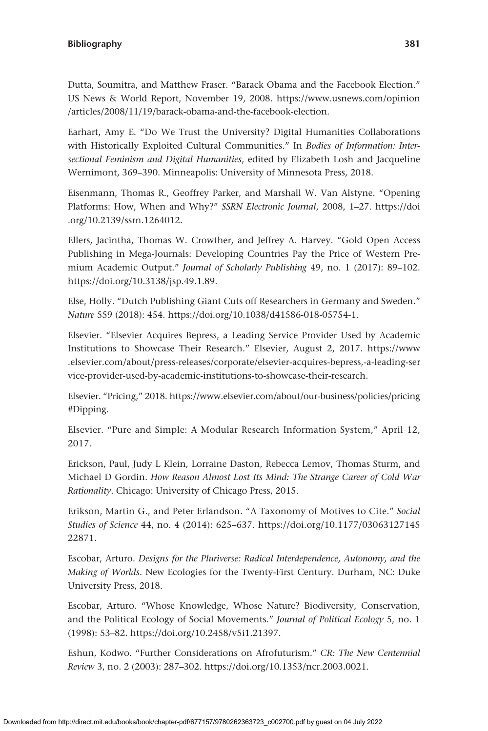Dutta, Soumitra, and Matthew Fraser. "Barack Obama and the Facebook Election." US News & World Report, November 19, 2008. [https://www.usnews.com/opinion](https://www.usnews.com/opinion/articles/2008/11/19/barack-obama-and-the-facebook-election) [/articles/2008/11/19/barack-obama-and-the-facebook-election.](https://www.usnews.com/opinion/articles/2008/11/19/barack-obama-and-the-facebook-election)

Earhart, Amy E. "Do We Trust the University? Digital Humanities Collaborations with Historically Exploited Cultural Communities." In *Bodies of Information: Intersectional Feminism and Digital Humanities*, edited by Elizabeth Losh and Jacqueline Wernimont, 369–390. Minneapolis: University of Minnesota Press, 2018.

Eisenmann, Thomas R., Geoffrey Parker, and Marshall W. Van Alstyne. "Opening Platforms: How, When and Why?" *SSRN Electronic Journal*, 2008, 1–27. [https://doi](https://doi.org/10.2139/ssrn.1264012) [.org/10.2139/ssrn.1264012](https://doi.org/10.2139/ssrn.1264012).

Ellers, Jacintha, Thomas W. Crowther, and Jeffrey A. Harvey. "Gold Open Access Publishing in Mega-Journals: Developing Countries Pay the Price of Western Premium Academic Output." *Journal of Scholarly Publishing* 49, no. 1 (2017): 89–102. <https://doi.org/10.3138/jsp.49.1.89>.

Else, Holly. "Dutch Publishing Giant Cuts off Researchers in Germany and Sweden." *Nature* 559 (2018): 454. <https://doi.org/10.1038/d41586-018-05754-1>.

Elsevier. "Elsevier Acquires Bepress, a Leading Service Provider Used by Academic Institutions to Showcase Their Research." Elsevier, August 2, 2017. [https://www](https://www.elsevier.com/about/press-releases/corporate/elsevier-acquires-bepress,-a-leading-service-provider-used-by-academic-institutions-to-showcase-their-research) [.elsevier.com/about/press-releases/corporate/elsevier-acquires-bepress,-a-leading-ser](https://www.elsevier.com/about/press-releases/corporate/elsevier-acquires-bepress,-a-leading-service-provider-used-by-academic-institutions-to-showcase-their-research) [vice-provider-used-by-academic-institutions-to-showcase-their-research.](https://www.elsevier.com/about/press-releases/corporate/elsevier-acquires-bepress,-a-leading-service-provider-used-by-academic-institutions-to-showcase-their-research)

Elsevier. "Pricing," 2018. [https://www.elsevier.com/about/our-business/policies/pricing](https://www.elsevier.com/about/our-business/policies/pricing#Dipping) [#Dipping](https://www.elsevier.com/about/our-business/policies/pricing#Dipping).

Elsevier. "Pure and Simple: A Modular Research Information System," April 12, 2017.

Erickson, Paul, Judy L Klein, Lorraine Daston, Rebecca Lemov, Thomas Sturm, and Michael D Gordin. *How Reason Almost Lost Its Mind: The Strange Career of Cold War Rationality*. Chicago: University of Chicago Press, 2015.

Erikson, Martin G., and Peter Erlandson. "A Taxonomy of Motives to Cite." *Social Studies of Science* 44, no. 4 (2014): 625–637. [https://doi.org/10.1177/03063127145](https://doi.org/10.1177/0306312714522871) [22871](https://doi.org/10.1177/0306312714522871).

Escobar, Arturo. *Designs for the Pluriverse: Radical Interdependence, Autonomy, and the Making of Worlds*. New Ecologies for the Twenty-First Century. Durham, NC: Duke University Press, 2018.

Escobar, Arturo. "Whose Knowledge, Whose Nature? Biodiversity, Conservation, and the Political Ecology of Social Movements." *Journal of Political Ecology* 5, no. 1 (1998): 53–82.<https://doi.org/10.2458/v5i1.21397>.

Eshun, Kodwo. "Further Considerations on Afrofuturism." *CR: The New Centennial Review* 3, no. 2 (2003): 287–302.<https://doi.org/10.1353/ncr.2003.0021>.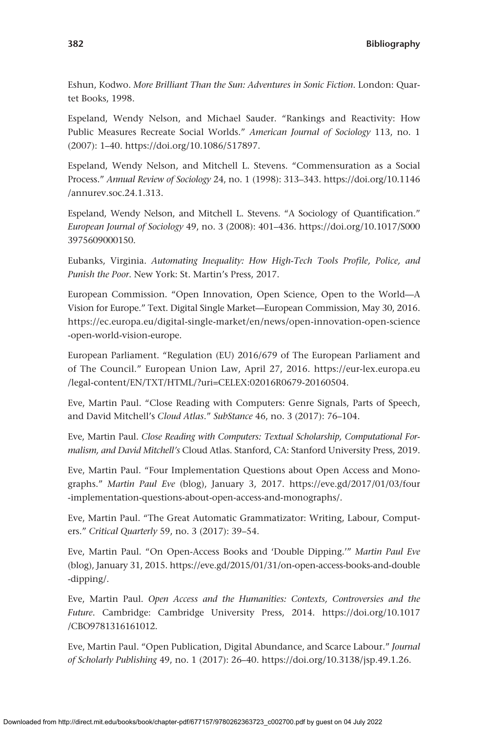Eshun, Kodwo. *More Brilliant Than the Sun: Adventures in Sonic Fiction*. London: Quartet Books, 1998.

Espeland, Wendy Nelson, and Michael Sauder. "Rankings and Reactivity: How Public Measures Recreate Social Worlds." *American Journal of Sociology* 113, no. 1 (2007): 1–40. <https://doi.org/10.1086/517897>.

Espeland, Wendy Nelson, and Mitchell L. Stevens. "Commensuration as a Social Process." *Annual Review of Sociology* 24, no. 1 (1998): 313–343. [https://doi.org/10.1146](https://doi.org/10.1146/annurev.soc.24.1.313) [/annurev.soc.24.1.313](https://doi.org/10.1146/annurev.soc.24.1.313).

Espeland, Wendy Nelson, and Mitchell L. Stevens. "A Sociology of Quantification." *European Journal of Sociology* 49, no. 3 (2008): 401–436. [https://doi.org/10.1017/S000](https://doi.org/10.1017/S0003975609000150) [3975609000150.](https://doi.org/10.1017/S0003975609000150)

Eubanks, Virginia. *Automating Inequality: How High-Tech Tools Profile, Police, and Punish the Poor*. New York: St. Martin's Press, 2017.

European Commission. "Open Innovation, Open Science, Open to the World—A Vision for Europe." Text. Digital Single Market—European Commission, May 30, 2016. [https://ec.europa.eu/digital-single-market/en/news/open-innovation-open-science](https://ec.europa.eu/digital-single-market/en/news/open-innovation-open-science-open-world-vision-europe) [-open-world-vision-europe.](https://ec.europa.eu/digital-single-market/en/news/open-innovation-open-science-open-world-vision-europe)

European Parliament. "Regulation (EU) 2016/679 of The European Parliament and of The Council." European Union Law, April 27, 2016. [https://eur-lex.europa.eu](https://eur-lex.europa.eu/legal-content/EN/TXT/HTML/?uri=CELEX:02016R0679-20160504) [/legal-content/EN/TXT/HTML/?uri=CELEX:02016R0679-20160504.](https://eur-lex.europa.eu/legal-content/EN/TXT/HTML/?uri=CELEX:02016R0679-20160504)

Eve, Martin Paul. "Close Reading with Computers: Genre Signals, Parts of Speech, and David Mitchell's *Cloud Atlas*." *SubStance* 46, no. 3 (2017): 76–104.

Eve, Martin Paul. *Close Reading with Computers: Textual Scholarship, Computational Formalism, and David Mitchell's* Cloud Atlas. Stanford, CA: Stanford University Press, 2019.

Eve, Martin Paul. "Four Implementation Questions about Open Access and Monographs." *Martin Paul Eve* (blog), January 3, 2017. [https://eve.gd/2017/01/03/four](https://eve.gd/2017/01/03/four-implementation-questions-about-open-access-and-monographs/) [-implementation-questions-about-open-access-and-monographs/.](https://eve.gd/2017/01/03/four-implementation-questions-about-open-access-and-monographs/)

Eve, Martin Paul. "The Great Automatic Grammatizator: Writing, Labour, Computers." *Critical Quarterly* 59, no. 3 (2017): 39–54.

Eve, Martin Paul. "On Open-Access Books and 'Double Dipping.'" *Martin Paul Eve* (blog), January 31, 2015. [https://eve.gd/2015/01/31/on-open-access-books-and-double](https://eve.gd/2015/01/31/on-open-access-books-and-double-dipping/) [-dipping/](https://eve.gd/2015/01/31/on-open-access-books-and-double-dipping/).

Eve, Martin Paul. *Open Access and the Humanities: Contexts, Controversies and the Future*. Cambridge: Cambridge University Press, 2014. [https://doi.org/10.1017](https://doi.org/10.1017/CBO9781316161012) [/CBO9781316161012](https://doi.org/10.1017/CBO9781316161012).

Eve, Martin Paul. "Open Publication, Digital Abundance, and Scarce Labour." *Journal of Scholarly Publishing* 49, no. 1 (2017): 26–40. [https://doi.org/10.3138/jsp.49.1.26.](https://doi.org/10.3138/jsp.49.1.26)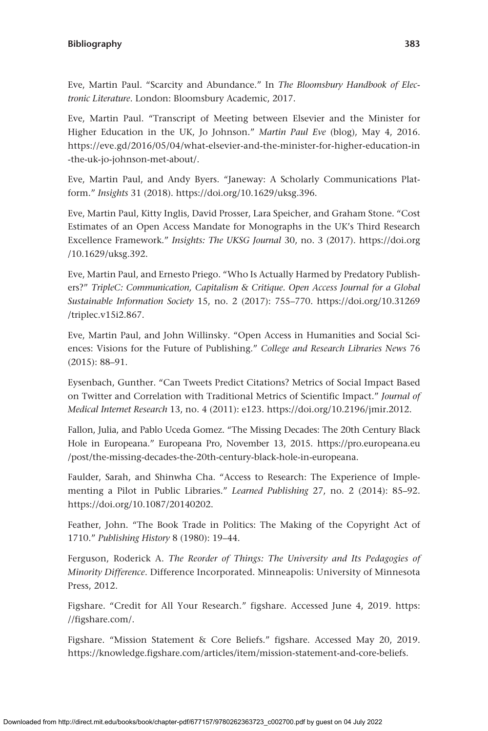Eve, Martin Paul. "Scarcity and Abundance." In *The Bloomsbury Handbook of Electronic Literature*. London: Bloomsbury Academic, 2017.

Eve, Martin Paul. "Transcript of Meeting between Elsevier and the Minister for Higher Education in the UK, Jo Johnson." *Martin Paul Eve* (blog), May 4, 2016. [https://eve.gd/2016/05/04/what-elsevier-and-the-minister-for-higher-education-in](https://eve.gd/2016/05/04/what-elsevier-and-the-minister-for-higher-education-in-the-uk-jo-johnson-met-about/) [-the-uk-jo-johnson-met-about/](https://eve.gd/2016/05/04/what-elsevier-and-the-minister-for-higher-education-in-the-uk-jo-johnson-met-about/).

Eve, Martin Paul, and Andy Byers. "Janeway: A Scholarly Communications Platform." *Insights* 31 (2018). [https://doi.org/10.1629/uksg.396.](https://doi.org/10.1629/uksg.396)

Eve, Martin Paul, Kitty Inglis, David Prosser, Lara Speicher, and Graham Stone. "Cost Estimates of an Open Access Mandate for Monographs in the UK's Third Research Excellence Framework." *Insights: The UKSG Journal* 30, no. 3 (2017). [https://doi.org](https://doi.org/10.1629/uksg.392) [/10.1629/uksg.392.](https://doi.org/10.1629/uksg.392)

Eve, Martin Paul, and Ernesto Priego. "Who Is Actually Harmed by Predatory Publishers?" *TripleC: Communication, Capitalism & Critique. Open Access Journal for a Global Sustainable Information Society* 15, no. 2 (2017): 755–770. [https://doi.org/10.31269](https://doi.org/10.31269/triplec.v15i2.867) [/triplec.v15i2.867.](https://doi.org/10.31269/triplec.v15i2.867)

Eve, Martin Paul, and John Willinsky. "Open Access in Humanities and Social Sciences: Visions for the Future of Publishing." *College and Research Libraries News* 76 (2015): 88–91.

Eysenbach, Gunther. "Can Tweets Predict Citations? Metrics of Social Impact Based on Twitter and Correlation with Traditional Metrics of Scientific Impact." *Journal of Medical Internet Research* 13, no. 4 (2011): e123.<https://doi.org/10.2196/jmir.2012>.

Fallon, Julia, and Pablo Uceda Gomez. "The Missing Decades: The 20th Century Black Hole in Europeana." Europeana Pro, November 13, 2015. [https://pro.europeana.eu](https://pro.europeana.eu/post/the-missing-decades-the-20th-century-black-hole-in-europeana) [/post/the-missing-decades-the-20th-century-black-hole-in-europeana](https://pro.europeana.eu/post/the-missing-decades-the-20th-century-black-hole-in-europeana).

Faulder, Sarah, and Shinwha Cha. "Access to Research: The Experience of Implementing a Pilot in Public Libraries." *Learned Publishing* 27, no. 2 (2014): 85–92. [https://doi.org/10.1087/20140202.](https://doi.org/10.1087/20140202)

Feather, John. "The Book Trade in Politics: The Making of the Copyright Act of 1710." *Publishing History* 8 (1980): 19–44.

Ferguson, Roderick A. *The Reorder of Things: The University and Its Pedagogies of Minority Difference*. Difference Incorporated. Minneapolis: University of Minnesota Press, 2012.

Figshare. "Credit for All Your Research." figshare. Accessed June 4, 2019. [https:](https://figshare.com/) [//figshare.com/.](https://figshare.com/)

Figshare. "Mission Statement & Core Beliefs." figshare. Accessed May 20, 2019. <https://knowledge.figshare.com/articles/item/mission-statement-and-core-beliefs>.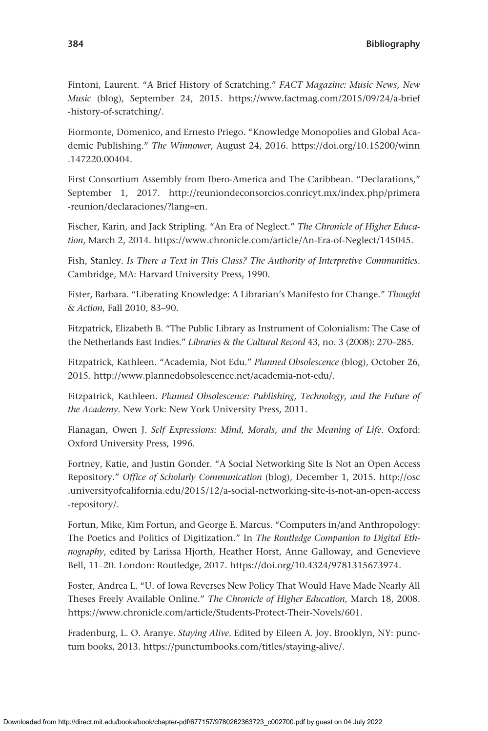Fintoni, Laurent. "A Brief History of Scratching." *FACT Magazine: Music News, New Music* (blog), September 24, 2015. [https://www.factmag.com/2015/09/24/a-brief](https://www.factmag.com/2015/09/24/a-brief-history-of-scratching/) [-history-of-scratching/.](https://www.factmag.com/2015/09/24/a-brief-history-of-scratching/)

Fiormonte, Domenico, and Ernesto Priego. "Knowledge Monopolies and Global Academic Publishing." *The Winnower*, August 24, 2016. [https://doi.org/10.15200/winn](https://doi.org/10.15200/winn.147220.00404) [.147220.00404.](https://doi.org/10.15200/winn.147220.00404)

First Consortium Assembly from Ibero-America and The Caribbean. "Declarations," September 1, 2017. [http://reuniondeconsorcios.conricyt.mx/index.php/primera](http://reuniondeconsorcios.conricyt.mx/index.php/primera-reunion/declaraciones/?lang=en) [-reunion/declaraciones/?lang](http://reuniondeconsorcios.conricyt.mx/index.php/primera-reunion/declaraciones/?lang=en)=en.

Fischer, Karin, and Jack Stripling. "An Era of Neglect." *The Chronicle of Higher Education*, March 2, 2014. [https://www.chronicle.com/article/An-Era-of-Neglect/145045.](https://www.chronicle.com/article/An-Era-of-Neglect/145045)

Fish, Stanley. *Is There a Text in This Class? The Authority of Interpretive Communities*. Cambridge, MA: Harvard University Press, 1990.

Fister, Barbara. "Liberating Knowledge: A Librarian's Manifesto for Change." *Thought & Action*, Fall 2010, 83–90.

Fitzpatrick, Elizabeth B. "The Public Library as Instrument of Colonialism: The Case of the Netherlands East Indies." *Libraries & the Cultural Record* 43, no. 3 (2008): 270–285.

Fitzpatrick, Kathleen. "Academia, Not Edu." *Planned Obsolescence* (blog), October 26, 2015. <http://www.plannedobsolescence.net/academia-not-edu/>.

Fitzpatrick, Kathleen. *Planned Obsolescence: Publishing, Technology, and the Future of the Academy*. New York: New York University Press, 2011.

Flanagan, Owen J. *Self Expressions: Mind, Morals, and the Meaning of Life*. Oxford: Oxford University Press, 1996.

Fortney, Katie, and Justin Gonder. "A Social Networking Site Is Not an Open Access Repository." *Office of Scholarly Communication* (blog), December 1, 2015. [http://osc](http://osc.universityofcalifornia.edu/2015/12/a-social-networking-site-is-not-an-open-access-repository/) [.universityofcalifornia.edu/2015/12/a-social-networking-site-is-not-an-open-access](http://osc.universityofcalifornia.edu/2015/12/a-social-networking-site-is-not-an-open-access-repository/) [-repository/](http://osc.universityofcalifornia.edu/2015/12/a-social-networking-site-is-not-an-open-access-repository/).

Fortun, Mike, Kim Fortun, and George E. Marcus. "Computers in/and Anthropology: The Poetics and Politics of Digitization." In *The Routledge Companion to Digital Ethnography*, edited by Larissa Hjorth, Heather Horst, Anne Galloway, and Genevieve Bell, 11–20. London: Routledge, 2017. [https://doi.org/10.4324/9781315673974.](https://doi.org/10.4324/9781315673974)

Foster, Andrea L. "U. of Iowa Reverses New Policy That Would Have Made Nearly All Theses Freely Available Online." *The Chronicle of Higher Education*, March 18, 2008. [https://www.chronicle.com/article/Students-Protect-Their-Novels/601.](https://www.chronicle.com/article/Students-Protect-Their-Novels/601)

Fradenburg, L. O. Aranye. *Staying Alive.* Edited by Eileen A. Joy. Brooklyn, NY: punctum books, 2013. [https://punctumbooks.com/titles/staying-alive/.](https://punctumbooks.com/titles/staying-alive/)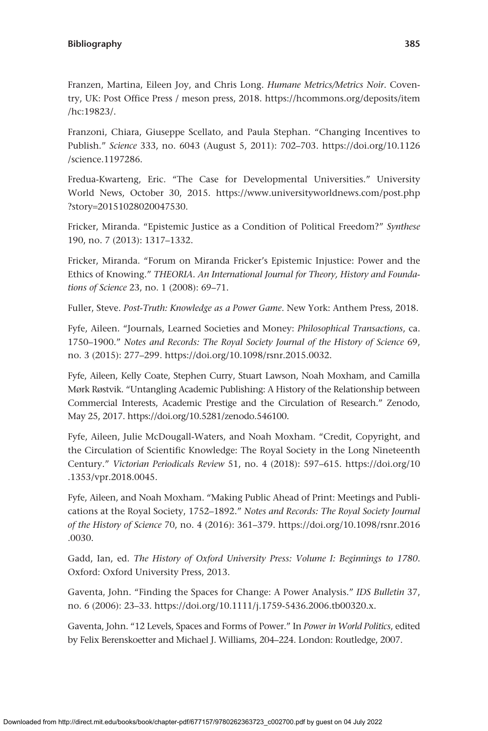Franzen, Martina, Eileen Joy, and Chris Long. *Humane Metrics/Metrics Noir*. Coventry, UK: Post Office Press / meson press, 2018. [https://hcommons.org/deposits/item](https://hcommons.org/deposits/item/hc:19823/) [/hc:19823/](https://hcommons.org/deposits/item/hc:19823/).

Franzoni, Chiara, Giuseppe Scellato, and Paula Stephan. "Changing Incentives to Publish." *Science* 333, no. 6043 (August 5, 2011): 702–703. [https://doi.org/10.1126](https://doi.org/10.1126/science.1197286) [/science.1197286.](https://doi.org/10.1126/science.1197286)

Fredua-Kwarteng, Eric. "The Case for Developmental Universities." University World News, October 30, 2015. [https://www.universityworldnews.com/post.php](https://www.universityworldnews.com/post.php?story=20151028020047530) ?story=[20151028020047530](https://www.universityworldnews.com/post.php?story=20151028020047530).

Fricker, Miranda. "Epistemic Justice as a Condition of Political Freedom?" *Synthese* 190, no. 7 (2013): 1317–1332.

Fricker, Miranda. "Forum on Miranda Fricker's Epistemic Injustice: Power and the Ethics of Knowing." *THEORIA. An International Journal for Theory, History and Foundations of Science* 23, no. 1 (2008): 69–71.

Fuller, Steve. *Post-Truth: Knowledge as a Power Game*. New York: Anthem Press, 2018.

Fyfe, Aileen. "Journals, Learned Societies and Money: *Philosophical Transactions*, ca. 1750–1900." *Notes and Records: The Royal Society Journal of the History of Science* 69, no. 3 (2015): 277–299. [https://doi.org/10.1098/rsnr.2015.0032.](https://doi.org/10.1098/rsnr.2015.0032)

Fyfe, Aileen, Kelly Coate, Stephen Curry, Stuart Lawson, Noah Moxham, and Camilla Mørk Røstvik. "Untangling Academic Publishing: A History of the Relationship between Commercial Interests, Academic Prestige and the Circulation of Research." Zenodo, May 25, 2017. [https://doi.org/10.5281/zenodo.546100.](https://doi.org/10.5281/zenodo.546100)

Fyfe, Aileen, Julie McDougall-Waters, and Noah Moxham. "Credit, Copyright, and the Circulation of Scientific Knowledge: The Royal Society in the Long Nineteenth Century." *Victorian Periodicals Review* 51, no. 4 (2018): 597–615. [https://doi.org/10](https://doi.org/10.1353/vpr.2018.0045) [.1353/vpr.2018.0045](https://doi.org/10.1353/vpr.2018.0045).

Fyfe, Aileen, and Noah Moxham. "Making Public Ahead of Print: Meetings and Publications at the Royal Society, 1752–1892." *Notes and Records: The Royal Society Journal of the History of Science* 70, no. 4 (2016): 361–379. [https://doi.org/10.1098/rsnr.2016](https://doi.org/10.1098/rsnr.2016.0030) [.0030.](https://doi.org/10.1098/rsnr.2016.0030)

Gadd, Ian, ed. *The History of Oxford University Press: Volume I: Beginnings to 1780*. Oxford: Oxford University Press, 2013.

Gaventa, John. "Finding the Spaces for Change: A Power Analysis." *IDS Bulletin* 37, no. 6 (2006): 23–33. [https://doi.org/10.1111/j.1759-5436.2006.tb00320.x.](https://doi.org/10.1111/j.1759-5436.2006.tb00320.x)

Gaventa, John. "12 Levels, Spaces and Forms of Power." In *Power in World Politics*, edited by Felix Berenskoetter and Michael J. Williams, 204–224. London: Routledge, 2007.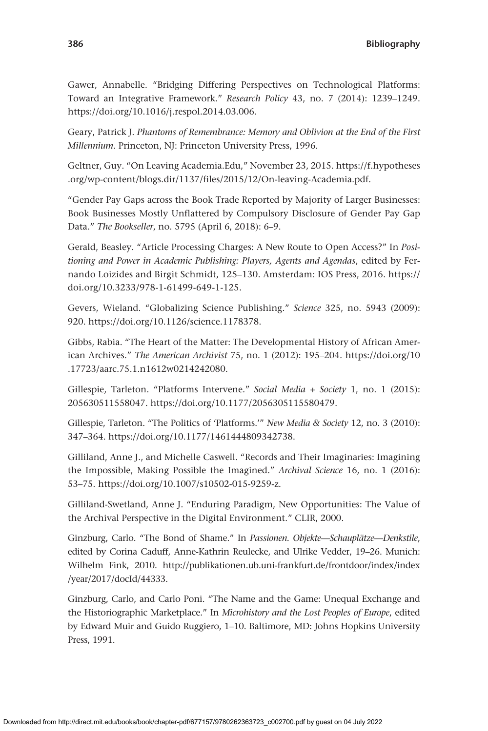Gawer, Annabelle. "Bridging Differing Perspectives on Technological Platforms: Toward an Integrative Framework." *Research Policy* 43, no. 7 (2014): 1239–1249. <https://doi.org/10.1016/j.respol.2014.03.006>.

Geary, Patrick J. *Phantoms of Remembrance: Memory and Oblivion at the End of the First Millennium*. Princeton, NJ: Princeton University Press, 1996.

Geltner, Guy. "On Leaving Academia.Edu," November 23, 2015. [https://f.hypotheses](https://f.hypotheses.org/wp-content/blogs.dir/1137/files/2015/12/On-leaving-Academia.pdf) [.org/wp-content/blogs.dir/1137/files/2015/12/On-leaving-Academia.pdf](https://f.hypotheses.org/wp-content/blogs.dir/1137/files/2015/12/On-leaving-Academia.pdf).

"Gender Pay Gaps across the Book Trade Reported by Majority of Larger Businesses: Book Businesses Mostly Unflattered by Compulsory Disclosure of Gender Pay Gap Data." *The Bookseller*, no. 5795 (April 6, 2018): 6–9.

Gerald, Beasley. "Article Processing Charges: A New Route to Open Access?" In *Positioning and Power in Academic Publishing: Players, Agents and Agendas*, edited by Fernando Loizides and Birgit Schmidt, 125–130. Amsterdam: IOS Press, 2016. [https://](https://doi.org/10.3233/978-1-61499-649-1-125) [doi.org/10.3233/978-1-61499-649-1-125.](https://doi.org/10.3233/978-1-61499-649-1-125)

Gevers, Wieland. "Globalizing Science Publishing." *Science* 325, no. 5943 (2009): 920.<https://doi.org/10.1126/science.1178378>.

Gibbs, Rabia. "The Heart of the Matter: The Developmental History of African American Archives." *The American Archivist* 75, no. 1 (2012): 195–204. [https://doi.org/10](https://doi.org/10.17723/aarc.75.1.n1612w0214242080) [.17723/aarc.75.1.n1612w0214242080.](https://doi.org/10.17723/aarc.75.1.n1612w0214242080)

Gillespie, Tarleton. "Platforms Intervene." *Social Media + Society* 1, no. 1 (2015): 205630511558047.<https://doi.org/10.1177/2056305115580479>.

Gillespie, Tarleton. "The Politics of 'Platforms.'" *New Media & Society* 12, no. 3 (2010): 347–364.<https://doi.org/10.1177/1461444809342738>.

Gilliland, Anne J., and Michelle Caswell. "Records and Their Imaginaries: Imagining the Impossible, Making Possible the Imagined." *Archival Science* 16, no. 1 (2016): 53–75. [https://doi.org/10.1007/s10502-015-9259-z.](https://doi.org/10.1007/s10502-015-9259-z)

Gilliland-Swetland, Anne J. "Enduring Paradigm, New Opportunities: The Value of the Archival Perspective in the Digital Environment." CLIR, 2000.

Ginzburg, Carlo. "The Bond of Shame." In *Passionen. Objekte—Schauplätze—Denkstile*, edited by Corina Caduff, Anne-Kathrin Reulecke, and Ulrike Vedder, 19–26. Munich: Wilhelm Fink, 2010. [http://publikationen.ub.uni-frankfurt.de/frontdoor/index/index](http://publikationen.ub.uni-frankfurt.de/frontdoor/index/index/year/2017/docId/44333) [/year/2017/docId/44333.](http://publikationen.ub.uni-frankfurt.de/frontdoor/index/index/year/2017/docId/44333)

Ginzburg, Carlo, and Carlo Poni. "The Name and the Game: Unequal Exchange and the Historiographic Marketplace." In *Microhistory and the Lost Peoples of Europe*, edited by Edward Muir and Guido Ruggiero, 1–10. Baltimore, MD: Johns Hopkins University Press, 1991.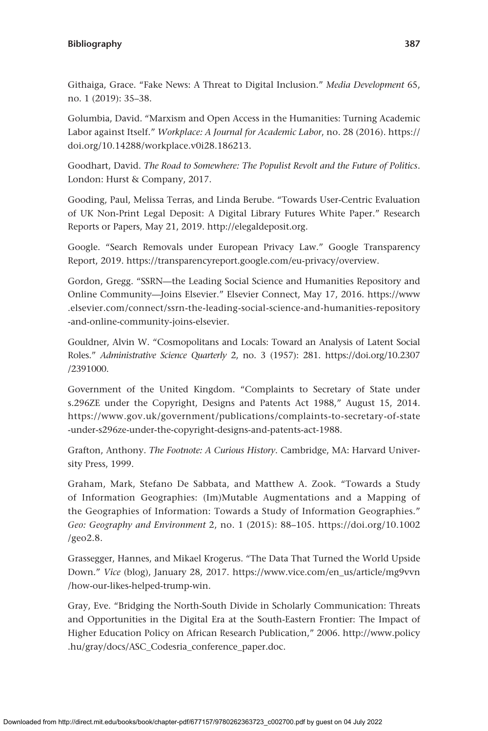Githaiga, Grace. "Fake News: A Threat to Digital Inclusion." *Media Development* 65, no. 1 (2019): 35–38.

Golumbia, David. "Marxism and Open Access in the Humanities: Turning Academic Labor against Itself." *Workplace: A Journal for Academic Labor*, no. 28 (2016). [https://](https://doi.org/10.14288/workplace.v0i28.186213) [doi.org/10.14288/workplace.v0i28.186213](https://doi.org/10.14288/workplace.v0i28.186213).

Goodhart, David. *The Road to Somewhere: The Populist Revolt and the Future of Politics*. London: Hurst & Company, 2017.

Gooding, Paul, Melissa Terras, and Linda Berube. "Towards User-Centric Evaluation of UK Non-Print Legal Deposit: A Digital Library Futures White Paper." Research Reports or Papers, May 21, 2019.<http://elegaldeposit.org>.

Google. "Search Removals under European Privacy Law." Google Transparency Report, 2019. [https://transparencyreport.google.com/eu-privacy/overview.](https://transparencyreport.google.com/eu-privacy/overview)

Gordon, Gregg. "SSRN—the Leading Social Science and Humanities Repository and Online Community—Joins Elsevier." Elsevier Connect, May 17, 2016. [https://www](https://www.elsevier.com/connect/ssrn-the-leading-social-science-and-humanities-repository-and-online-community-joins-elsevier) [.elsevier.com/connect/ssrn-the-leading-social-science-and-humanities-repository](https://www.elsevier.com/connect/ssrn-the-leading-social-science-and-humanities-repository-and-online-community-joins-elsevier) [-and-online-community-joins-elsevier.](https://www.elsevier.com/connect/ssrn-the-leading-social-science-and-humanities-repository-and-online-community-joins-elsevier)

Gouldner, Alvin W. "Cosmopolitans and Locals: Toward an Analysis of Latent Social Roles." *Administrative Science Quarterly* 2, no. 3 (1957): 281. [https://doi.org/10.2307](https://doi.org/10.2307/2391000) [/2391000](https://doi.org/10.2307/2391000).

Government of the United Kingdom. "Complaints to Secretary of State under s.296ZE under the Copyright, Designs and Patents Act 1988," August 15, 2014. [https://www.gov.uk/government/publications/complaints-to-secretary-of-state](https://www.gov.uk/government/publications/complaints-to-secretary-of-state-under-s296ze-under-the-copyright-designs-and-patents-act-1988) [-under-s296ze-under-the-copyright-designs-and-patents-act-1988.](https://www.gov.uk/government/publications/complaints-to-secretary-of-state-under-s296ze-under-the-copyright-designs-and-patents-act-1988)

Grafton, Anthony. *The Footnote: A Curious History*. Cambridge, MA: Harvard University Press, 1999.

Graham, Mark, Stefano De Sabbata, and Matthew A. Zook. "Towards a Study of Information Geographies: (Im)Mutable Augmentations and a Mapping of the Geographies of Information: Towards a Study of Information Geographies." *Geo: Geography and Environment* 2, no. 1 (2015): 88–105. [https://doi.org/10.1002](https://doi.org/10.1002/geo2.8) [/geo2.8.](https://doi.org/10.1002/geo2.8)

Grassegger, Hannes, and Mikael Krogerus. "The Data That Turned the World Upside Down." *Vice* (blog), January 28, 2017. [https://www.vice.com/en\\_us/article/mg9vvn](https://www.vice.com/en_us/article/mg9vvn/how-our-likes-helped-trump-win) [/how-our-likes-helped-trump-win](https://www.vice.com/en_us/article/mg9vvn/how-our-likes-helped-trump-win).

Gray, Eve. "Bridging the North-South Divide in Scholarly Communication: Threats and Opportunities in the Digital Era at the South-Eastern Frontier: The Impact of Higher Education Policy on African Research Publication," 2006. [http://www.policy](http://www.policy.hu/gray/docs/ASC_Codesria_conference_paper.doc) [.hu/gray/docs/ASC\\_Codesria\\_conference\\_paper.doc.](http://www.policy.hu/gray/docs/ASC_Codesria_conference_paper.doc)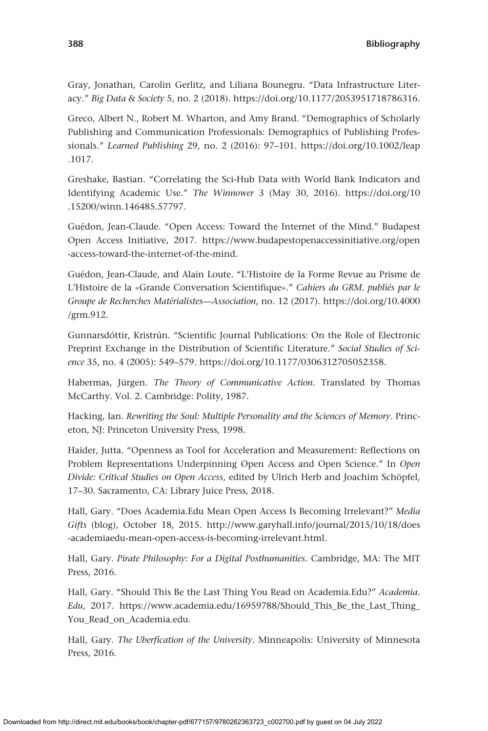Gray, Jonathan, Carolin Gerlitz, and Liliana Bounegru. "Data Infrastructure Literacy." *Big Data & Society* 5, no. 2 (2018). [https://doi.org/10.1177/2053951718786316.](https://doi.org/10.1177/2053951718786316)

Greco, Albert N., Robert M. Wharton, and Amy Brand. "Demographics of Scholarly Publishing and Communication Professionals: Demographics of Publishing Professionals." *Learned Publishing* 29, no. 2 (2016): 97–101. [https://doi.org/10.1002/leap](https://doi.org/10.1002/leap.1017) [.1017.](https://doi.org/10.1002/leap.1017)

Greshake, Bastian. "Correlating the Sci-Hub Data with World Bank Indicators and Identifying Academic Use." *The Winnower* 3 (May 30, 2016). [https://doi.org/10](https://doi.org/10.15200/winn.146485.57797) [.15200/winn.146485.57797](https://doi.org/10.15200/winn.146485.57797).

Guédon, Jean-Claude. "Open Access: Toward the Internet of the Mind." Budapest Open Access Initiative, 2017. [https://www.budapestopenaccessinitiative.org/open](https://www.budapestopenaccessinitiative.org/open-access-toward-the-internet-of-the-mind) [-access-toward-the-internet-of-the-mind](https://www.budapestopenaccessinitiative.org/open-access-toward-the-internet-of-the-mind).

Guédon, Jean-Claude, and Alain Loute. "L'Histoire de la Forme Revue au Prisme de L'Histoire de la «Grande Conversation Scientifique»." *Cahiers du GRM. publiés par le Groupe de Recherches Matérialistes—Association*, no. 12 (2017). [https://doi.org/10.4000](https://doi.org/10.4000/grm.912) [/grm.912.](https://doi.org/10.4000/grm.912)

Gunnarsdóttir, Kristrún. "Scientific Journal Publications: On the Role of Electronic Preprint Exchange in the Distribution of Scientific Literature." *Social Studies of Science* 35, no. 4 (2005): 549–579. [https://doi.org/10.1177/0306312705052358.](https://doi.org/10.1177/0306312705052358)

Habermas, Jürgen. *The Theory of Communicative Action*. Translated by Thomas McCarthy. Vol. 2. Cambridge: Polity, 1987.

Hacking, Ian. *Rewriting the Soul: Multiple Personality and the Sciences of Memory*. Princeton, NJ: Princeton University Press, 1998.

Haider, Jutta. "Openness as Tool for Acceleration and Measurement: Reflections on Problem Representations Underpinning Open Access and Open Science." In *Open Divide: Critical Studies on Open Access*, edited by Ulrich Herb and Joachim Schöpfel, 17–30. Sacramento, CA: Library Juice Press, 2018.

Hall, Gary. "Does Academia.Edu Mean Open Access Is Becoming Irrelevant?" *Media Gifts* (blog), October 18, 2015. [http://www.garyhall.info/journal/2015/10/18/does](http://www.garyhall.info/journal/2015/10/18/does-academiaedu-mean-open-access-is-becoming-irrelevant.html) [-academiaedu-mean-open-access-is-becoming-irrelevant.html](http://www.garyhall.info/journal/2015/10/18/does-academiaedu-mean-open-access-is-becoming-irrelevant.html).

Hall, Gary. *Pirate Philosophy: For a Digital Posthumanities*. Cambridge, MA: The MIT Press, 2016.

Hall, Gary. "Should This Be the Last Thing You Read on Academia.Edu?" *Academia. Edu*, 2017. [https://www.academia.edu/16959788/Should\\_This\\_Be\\_the\\_Last\\_Thing\\_](https://www.academia.edu/16959788/Should_This_Be_the_Last_Thing_You_Read_on_Academia.edu) [You\\_Read\\_on\\_Academia.edu.](https://www.academia.edu/16959788/Should_This_Be_the_Last_Thing_You_Read_on_Academia.edu)

Hall, Gary. *The Uberfication of the University*. Minneapolis: University of Minnesota Press, 2016.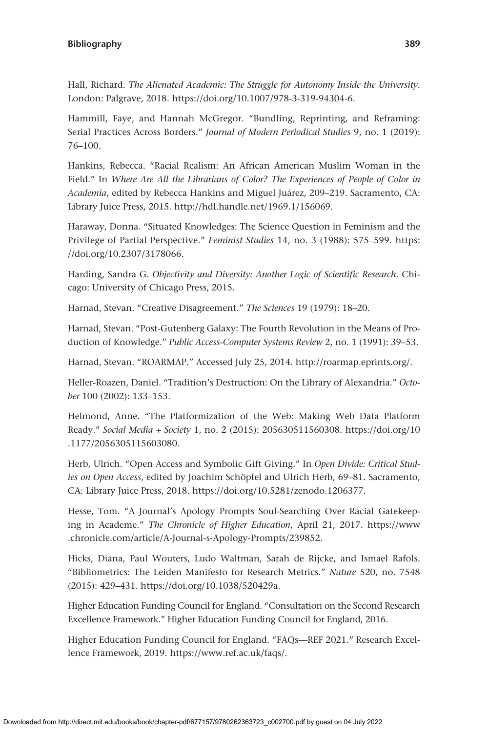Hall, Richard. *The Alienated Academic: The Struggle for Autonomy Inside the University*. London: Palgrave, 2018.<https://doi.org/10.1007/978-3-319-94304-6>.

Hammill, Faye, and Hannah McGregor. "Bundling, Reprinting, and Reframing: Serial Practices Across Borders." *Journal of Modern Periodical Studies* 9, no. 1 (2019): 76–100.

Hankins, Rebecca. "Racial Realism: An African American Muslim Woman in the Field." In *Where Are All the Librarians of Color? The Experiences of People of Color in Academia*, edited by Rebecca Hankins and Miguel Juárez, 209–219. Sacramento, CA: Library Juice Press, 2015. [http://hdl.handle.net/1969.1/156069.](http://hdl.handle.net/1969.1/156069)

Haraway, Donna. "Situated Knowledges: The Science Question in Feminism and the Privilege of Partial Perspective." *Feminist Studies* 14, no. 3 (1988): 575–599. [https:](https://doi.org/10.2307/3178066) [//doi.org/10.2307/3178066](https://doi.org/10.2307/3178066).

Harding, Sandra G. *Objectivity and Diversity: Another Logic of Scientific Research*. Chicago: University of Chicago Press, 2015.

Harnad, Stevan. "Creative Disagreement." *The Sciences* 19 (1979): 18–20.

Harnad, Stevan. "Post-Gutenberg Galaxy: The Fourth Revolution in the Means of Production of Knowledge." *Public Access-Computer Systems Review* 2, no. 1 (1991): 39–53.

Harnad, Stevan. "ROARMAP." Accessed July 25, 2014. [http://roarmap.eprints.org/.](http://roarmap.eprints.org/)

Heller-Roazen, Daniel. "Tradition's Destruction: On the Library of Alexandria." *October* 100 (2002): 133–153.

Helmond, Anne. "The Platformization of the Web: Making Web Data Platform Ready." *Social Media + Society* 1, no. 2 (2015): 205630511560308. [https://doi.org/10](https://doi.org/10.1177/2056305115603080) [.1177/2056305115603080.](https://doi.org/10.1177/2056305115603080)

Herb, Ulrich. "Open Access and Symbolic Gift Giving." In *Open Divide: Critical Studies on Open Access*, edited by Joachim Schöpfel and Ulrich Herb, 69–81. Sacramento, CA: Library Juice Press, 2018. [https://doi.org/10.5281/zenodo.1206377.](https://doi.org/10.5281/zenodo.1206377)

Hesse, Tom. "A Journal's Apology Prompts Soul-Searching Over Racial Gatekeeping in Academe." *The Chronicle of Higher Education*, April 21, 2017. [https://www](https://www.chronicle.com/article/A-Journal-s-Apology-Prompts/239852) [.chronicle.com/article/A-Journal-s-Apology-Prompts/239852](https://www.chronicle.com/article/A-Journal-s-Apology-Prompts/239852).

Hicks, Diana, Paul Wouters, Ludo Waltman, Sarah de Rijcke, and Ismael Rafols. "Bibliometrics: The Leiden Manifesto for Research Metrics." *Nature* 520, no. 7548 (2015): 429–431. [https://doi.org/10.1038/520429a.](https://doi.org/10.1038/520429a)

Higher Education Funding Council for England. "Consultation on the Second Research Excellence Framework." Higher Education Funding Council for England, 2016.

Higher Education Funding Council for England. "FAQs—REF 2021." Research Excellence Framework, 2019.<https://www.ref.ac.uk/faqs/>.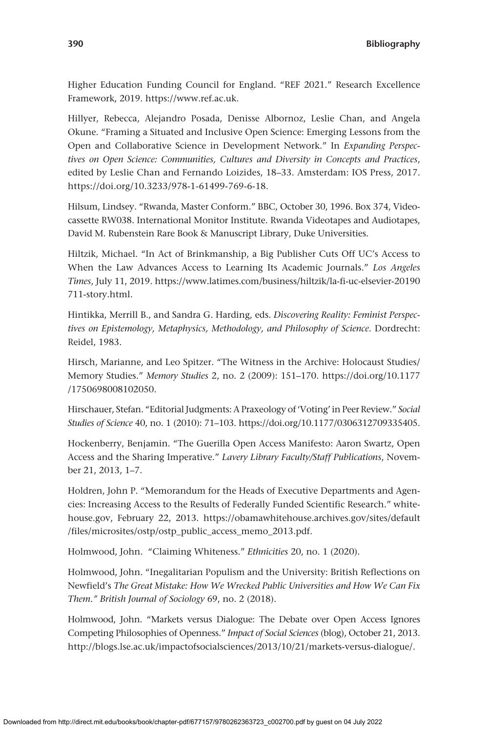Higher Education Funding Council for England. "REF 2021." Research Excellence Framework, 2019. <https://www.ref.ac.uk>.

Hillyer, Rebecca, Alejandro Posada, Denisse Albornoz, Leslie Chan, and Angela Okune. "Framing a Situated and Inclusive Open Science: Emerging Lessons from the Open and Collaborative Science in Development Network." In *Expanding Perspectives on Open Science: Communities, Cultures and Diversity in Concepts and Practices*, edited by Leslie Chan and Fernando Loizides, 18–33. Amsterdam: IOS Press, 2017. <https://doi.org/10.3233/978-1-61499-769-6-18>.

Hilsum, Lindsey. "Rwanda, Master Conform." BBC, October 30, 1996. Box 374, Videocassette RW038. International Monitor Institute. Rwanda Videotapes and Audiotapes, David M. Rubenstein Rare Book & Manuscript Library, Duke Universities.

Hiltzik, Michael. "In Act of Brinkmanship, a Big Publisher Cuts Off UC's Access to When the Law Advances Access to Learning Its Academic Journals." *Los Angeles Times*, July 11, 2019. [https://www.latimes.com/business/hiltzik/la-fi-uc-elsevier-20190](https://www.latimes.com/business/hiltzik/la-fi-uc-elsevier-20190711-story.html) [711-story.html](https://www.latimes.com/business/hiltzik/la-fi-uc-elsevier-20190711-story.html).

Hintikka, Merrill B., and Sandra G. Harding, eds. *Discovering Reality: Feminist Perspectives on Epistemology, Metaphysics, Methodology, and Philosophy of Science*. Dordrecht: Reidel, 1983.

Hirsch, Marianne, and Leo Spitzer. "The Witness in the Archive: Holocaust Studies/ Memory Studies." *Memory Studies* 2, no. 2 (2009): 151–170. [https://doi.org/10.1177](https://doi.org/10.1177/1750698008102050) [/1750698008102050](https://doi.org/10.1177/1750698008102050).

Hirschauer, Stefan. "Editorial Judgments: A Praxeology of 'Voting' in Peer Review." *Social Studies of Science* 40, no. 1 (2010): 71–103. [https://doi.org/10.1177/0306312709335405.](https://doi.org/10.1177/0306312709335405)

Hockenberry, Benjamin. "The Guerilla Open Access Manifesto: Aaron Swartz, Open Access and the Sharing Imperative." *Lavery Library Faculty/Staff Publications*, November 21, 2013, 1–7.

Holdren, John P. "Memorandum for the Heads of Executive Departments and Agencies: Increasing Access to the Results of Federally Funded Scientific Research." whitehouse.gov, February 22, 2013. [https://obamawhitehouse.archives.gov/sites/default](https://obamawhitehouse.archives.gov/sites/default/files/microsites/ostp/ostp_public_access_memo_2013.pdf) [/files/microsites/ostp/ostp\\_public\\_access\\_memo\\_2013.pdf](https://obamawhitehouse.archives.gov/sites/default/files/microsites/ostp/ostp_public_access_memo_2013.pdf).

Holmwood, John. "Claiming Whiteness." *Ethnicities* 20, no. 1 (2020).

Holmwood, John. "Inegalitarian Populism and the University: British Reflections on Newfield's *The Great Mistake: How We Wrecked Public Universities and How We Can Fix Them." British Journal of Sociology* 69, no. 2 (2018).

Holmwood, John. "Markets versus Dialogue: The Debate over Open Access Ignores Competing Philosophies of Openness." *Impact of Social Sciences* (blog), October 21, 2013. <http://blogs.lse.ac.uk/impactofsocialsciences/2013/10/21/markets-versus-dialogue/>.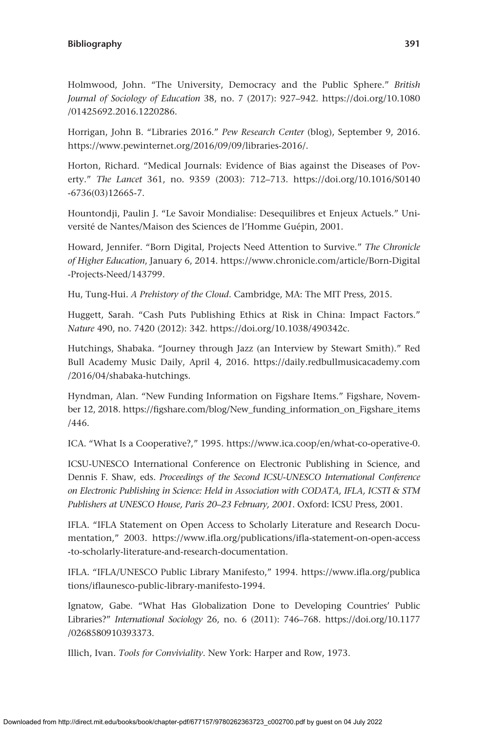Holmwood, John. "The University, Democracy and the Public Sphere." *British Journal of Sociology of Education* 38, no. 7 (2017): 927–942. [https://doi.org/10.1080](https://doi.org/10.1080/01425692.2016.1220286) [/01425692.2016.1220286.](https://doi.org/10.1080/01425692.2016.1220286)

Horrigan, John B. "Libraries 2016." *Pew Research Center* (blog), September 9, 2016. [https://www.pewinternet.org/2016/09/09/libraries-2016/.](https://www.pewinternet.org/2016/09/09/libraries-2016/)

Horton, Richard. "Medical Journals: Evidence of Bias against the Diseases of Poverty." *The Lancet* 361, no. 9359 (2003): 712–713. [https://doi.org/10.1016/S0140](https://doi.org/10.1016/S0140-6736(03)12665-7) [-6736\(03\)12665-7.](https://doi.org/10.1016/S0140-6736(03)12665-7)

Hountondji, Paulin J. "Le Savoir Mondialise: Desequilibres et Enjeux Actuels." Université de Nantes/Maison des Sciences de l'Homme Guépin, 2001.

Howard, Jennifer. "Born Digital, Projects Need Attention to Survive." *The Chronicle of Higher Education*, January 6, 2014. [https://www.chronicle.com/article/Born-Digital](https://www.chronicle.com/article/Born-Digital-Projects-Need/143799) [-Projects-Need/143799.](https://www.chronicle.com/article/Born-Digital-Projects-Need/143799)

Hu, Tung-Hui. *A Prehistory of the Cloud*. Cambridge, MA: The MIT Press, 2015.

Huggett, Sarah. "Cash Puts Publishing Ethics at Risk in China: Impact Factors." *Nature* 490, no. 7420 (2012): 342.<https://doi.org/10.1038/490342c>.

Hutchings, Shabaka. "Journey through Jazz (an Interview by Stewart Smith)." Red Bull Academy Music Daily, April 4, 2016. [https://daily.redbullmusicacademy.com](https://daily.redbullmusicacademy.com/2016/04/shabaka-hutchings) [/2016/04/shabaka-hutchings.](https://daily.redbullmusicacademy.com/2016/04/shabaka-hutchings)

Hyndman, Alan. "New Funding Information on Figshare Items." Figshare, November 12, 2018. [https://figshare.com/blog/New\\_funding\\_information\\_on\\_Figshare\\_items](https://figshare.com/blog/New_funding_information_on_Figshare_items/446) [/446.](https://figshare.com/blog/New_funding_information_on_Figshare_items/446)

ICA. "What Is a Cooperative?," 1995. [https://www.ica.coop/en/what-co-operative-0.](https://www.ica.coop/en/what-co-operative-0)

ICSU-UNESCO International Conference on Electronic Publishing in Science, and Dennis F. Shaw, eds. *Proceedings of the Second ICSU-UNESCO International Conference on Electronic Publishing in Science: Held in Association with CODATA, IFLA, ICSTI & STM Publishers at UNESCO House, Paris 20–23 February, 2001*. Oxford: ICSU Press, 2001.

IFLA. "IFLA Statement on Open Access to Scholarly Literature and Research Documentation," 2003. [https://www.ifla.org/publications/ifla-statement-on-open-access](https://www.ifla.org/publications/ifla-statement-on-open-access-to-scholarly-literature-and-research-documentation) [-to-scholarly-literature-and-research-documentation.](https://www.ifla.org/publications/ifla-statement-on-open-access-to-scholarly-literature-and-research-documentation)

IFLA. "IFLA/UNESCO Public Library Manifesto," 1994. [https://www.ifla.org/publica](https://www.ifla.org/publications/iflaunesco-public-library-manifesto-1994) [tions/iflaunesco-public-library-manifesto-1994.](https://www.ifla.org/publications/iflaunesco-public-library-manifesto-1994)

Ignatow, Gabe. "What Has Globalization Done to Developing Countries' Public Libraries?" *International Sociology* 26, no. 6 (2011): 746–768. [https://doi.org/10.1177](https://doi.org/10.1177/0268580910393373) [/0268580910393373](https://doi.org/10.1177/0268580910393373).

Illich, Ivan. *Tools for Conviviality*. New York: Harper and Row, 1973.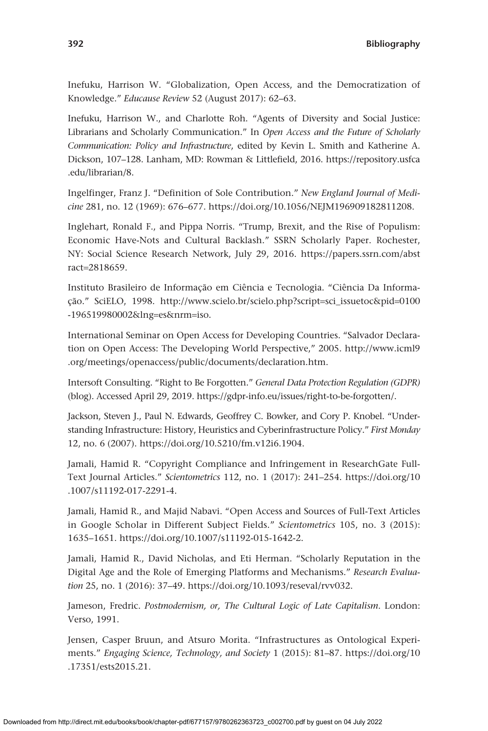Inefuku, Harrison W. "Globalization, Open Access, and the Democratization of Knowledge." *Educause Review* 52 (August 2017): 62–63.

Inefuku, Harrison W., and Charlotte Roh. "Agents of Diversity and Social Justice: Librarians and Scholarly Communication." In *Open Access and the Future of Scholarly Communication: Policy and Infrastructure*, edited by Kevin L. Smith and Katherine A. Dickson, 107–128. Lanham, MD: Rowman & Littlefield, 2016. [https://repository.usfca](https://repository.usfca.edu/librarian/8) [.edu/librarian/8](https://repository.usfca.edu/librarian/8).

Ingelfinger, Franz J. "Definition of Sole Contribution." *New England Journal of Medicine* 281, no. 12 (1969): 676–677. [https://doi.org/10.1056/NEJM196909182811208.](https://doi.org/10.1056/NEJM196909182811208)

Inglehart, Ronald F., and Pippa Norris. "Trump, Brexit, and the Rise of Populism: Economic Have-Nots and Cultural Backlash." SSRN Scholarly Paper. Rochester, NY: Social Science Research Network, July 29, 2016. [https://papers.ssrn.com/abst](https://papers.ssrn.com/abstract=2818659) ract=[2818659.](https://papers.ssrn.com/abstract=2818659)

Instituto Brasileiro de Informação em Ciência e Tecnologia. "Ciência Da Informação." SciELO, 1998. [http://www.scielo.br/scielo.php?script](http://www.scielo.br/scielo.php?script=sci_issuetoc&pid=0100-196519980002&lng=es&nrm=iso)=sci\_issuetoc&pid=0100 [-196519980002&lng](http://www.scielo.br/scielo.php?script=sci_issuetoc&pid=0100-196519980002&lng=es&nrm=iso)=es&nrm=iso.

International Seminar on Open Access for Developing Countries. "Salvador Declaration on Open Access: The Developing World Perspective," 2005. [http://www.icml9](http://www.icml9.org/meetings/openaccess/public/documents/declaration.htm) [.org/meetings/openaccess/public/documents/declaration.htm](http://www.icml9.org/meetings/openaccess/public/documents/declaration.htm).

Intersoft Consulting. "Right to Be Forgotten." *General Data Protection Regulation (GDPR)* (blog). Accessed April 29, 2019. [https://gdpr-info.eu/issues/right-to-be-forgotten/.](https://gdpr-info.eu/issues/right-to-be-forgotten/)

Jackson, Steven J., Paul N. Edwards, Geoffrey C. Bowker, and Cory P. Knobel. "Understanding Infrastructure: History, Heuristics and Cyberinfrastructure Policy." *First Monday* 12, no. 6 (2007). <https://doi.org/10.5210/fm.v12i6.1904>.

Jamali, Hamid R. "Copyright Compliance and Infringement in ResearchGate Full-Text Journal Articles." *Scientometrics* 112, no. 1 (2017): 241–254. [https://doi.org/10](https://doi.org/10.1007/s11192-017-2291-4) [.1007/s11192-017-2291-4](https://doi.org/10.1007/s11192-017-2291-4).

Jamali, Hamid R., and Majid Nabavi. "Open Access and Sources of Full-Text Articles in Google Scholar in Different Subject Fields." *Scientometrics* 105, no. 3 (2015): 1635–1651. <https://doi.org/10.1007/s11192-015-1642-2>.

Jamali, Hamid R., David Nicholas, and Eti Herman. "Scholarly Reputation in the Digital Age and the Role of Emerging Platforms and Mechanisms." *Research Evaluation* 25, no. 1 (2016): 37–49.<https://doi.org/10.1093/reseval/rvv032>.

Jameson, Fredric. *Postmodernism, or, The Cultural Logic of Late Capitalism*. London: Verso, 1991.

Jensen, Casper Bruun, and Atsuro Morita. "Infrastructures as Ontological Experiments." *Engaging Science, Technology, and Society* 1 (2015): 81–87. [https://doi.org/10](https://doi.org/10.17351/ests2015.21) [.17351/ests2015.21](https://doi.org/10.17351/ests2015.21).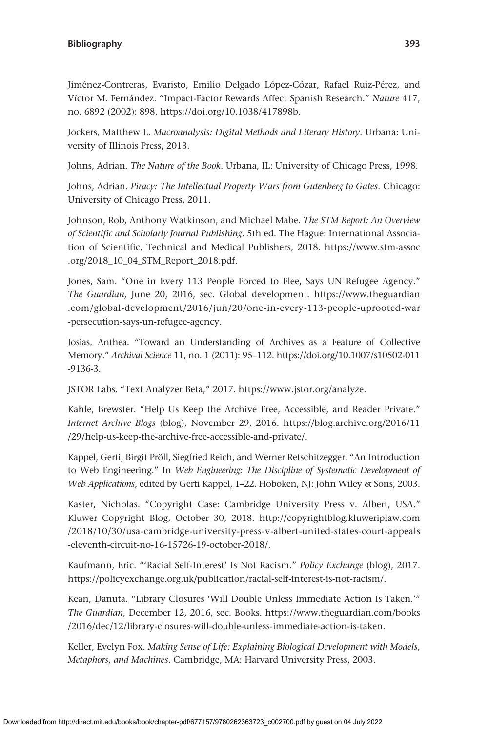Jiménez-Contreras, Evaristo, Emilio Delgado López-Cózar, Rafael Ruiz-Pérez, and Víctor M. Fernández. "Impact-Factor Rewards Affect Spanish Research." *Nature* 417, no. 6892 (2002): 898. [https://doi.org/10.1038/417898b.](https://doi.org/10.1038/417898b)

Jockers, Matthew L. *Macroanalysis: Digital Methods and Literary History*. Urbana: University of Illinois Press, 2013.

Johns, Adrian. *The Nature of the Book*. Urbana, IL: University of Chicago Press, 1998.

Johns, Adrian. *Piracy: The Intellectual Property Wars from Gutenberg to Gates*. Chicago: University of Chicago Press, 2011.

Johnson, Rob, Anthony Watkinson, and Michael Mabe. *The STM Report: An Overview of Scientific and Scholarly Journal Publishing*. 5th ed. The Hague: International Association of Scientific, Technical and Medical Publishers, 2018. [https://www.stm-assoc](https://www.stm-assoc.org/2018_10_04_STM_Report_2018.pdf) [.org/2018\\_10\\_04\\_STM\\_Report\\_2018.pdf](https://www.stm-assoc.org/2018_10_04_STM_Report_2018.pdf).

Jones, Sam. "One in Every 113 People Forced to Flee, Says UN Refugee Agency." *The Guardian*, June 20, 2016, sec. Global development. [https://www.theguardian](https://www.theguardian.com/global-development/2016/jun/20/one-in-every-113-people-uprooted-war-persecution-says-un-refugee-agency) [.com/global-development/2016/jun/20/one-in-every-113-people-uprooted-war](https://www.theguardian.com/global-development/2016/jun/20/one-in-every-113-people-uprooted-war-persecution-says-un-refugee-agency) [-persecution-says-un-refugee-agency](https://www.theguardian.com/global-development/2016/jun/20/one-in-every-113-people-uprooted-war-persecution-says-un-refugee-agency).

Josias, Anthea. "Toward an Understanding of Archives as a Feature of Collective Memory." *Archival Science* 11, no. 1 (2011): 95–112. [https://doi.org/10.1007/s10502-011](https://doi.org/10.1007/s10502-011-9136-3) [-9136-3](https://doi.org/10.1007/s10502-011-9136-3).

JSTOR Labs. "Text Analyzer Beta," 2017. [https://www.jstor.org/analyze.](https://www.jstor.org/analyze)

Kahle, Brewster. "Help Us Keep the Archive Free, Accessible, and Reader Private." *Internet Archive Blogs* (blog), November 29, 2016. [https://blog.archive.org/2016/11](https://blog.archive.org/2016/11/29/help-us-keep-the-archive-free-accessible-and-private/) [/29/help-us-keep-the-archive-free-accessible-and-private/.](https://blog.archive.org/2016/11/29/help-us-keep-the-archive-free-accessible-and-private/)

Kappel, Gerti, Birgit Pröll, Siegfried Reich, and Werner Retschitzegger. "An Introduction to Web Engineering." In *Web Engineering: The Discipline of Systematic Development of Web Applications*, edited by Gerti Kappel, 1–22. Hoboken, NJ: John Wiley & Sons, 2003.

Kaster, Nicholas. "Copyright Case: Cambridge University Press v. Albert, USA." Kluwer Copyright Blog, October 30, 2018. [http://copyrightblog.kluweriplaw.com](http://copyrightblog.kluweriplaw.com/2018/10/30/usa-cambridge-university-press-v-albert-united-states-court-appeals-eleventh-circuit-no-16-15726-19-october-2018/) [/2018/10/30/usa-cambridge-university-press-v-albert-united-states-court-appeals](http://copyrightblog.kluweriplaw.com/2018/10/30/usa-cambridge-university-press-v-albert-united-states-court-appeals-eleventh-circuit-no-16-15726-19-october-2018/) [-eleventh-circuit-no-16-15726-19-october-2018/](http://copyrightblog.kluweriplaw.com/2018/10/30/usa-cambridge-university-press-v-albert-united-states-court-appeals-eleventh-circuit-no-16-15726-19-october-2018/).

Kaufmann, Eric. "'Racial Self-Interest' Is Not Racism." *Policy Exchange* (blog), 2017. [https://policyexchange.org.uk/publication/racial-self-interest-is-not-racism/.](https://policyexchange.org.uk/publication/racial-self-interest-is-not-racism/)

Kean, Danuta. "Library Closures 'Will Double Unless Immediate Action Is Taken.'" *The Guardian*, December 12, 2016, sec. Books. [https://www.theguardian.com/books](https://www.theguardian.com/books/2016/dec/12/library-closures-will-double-unless-immediate-action-is-taken) [/2016/dec/12/library-closures-will-double-unless-immediate-action-is-taken.](https://www.theguardian.com/books/2016/dec/12/library-closures-will-double-unless-immediate-action-is-taken)

Keller, Evelyn Fox. *Making Sense of Life: Explaining Biological Development with Models, Metaphors, and Machines*. Cambridge, MA: Harvard University Press, 2003.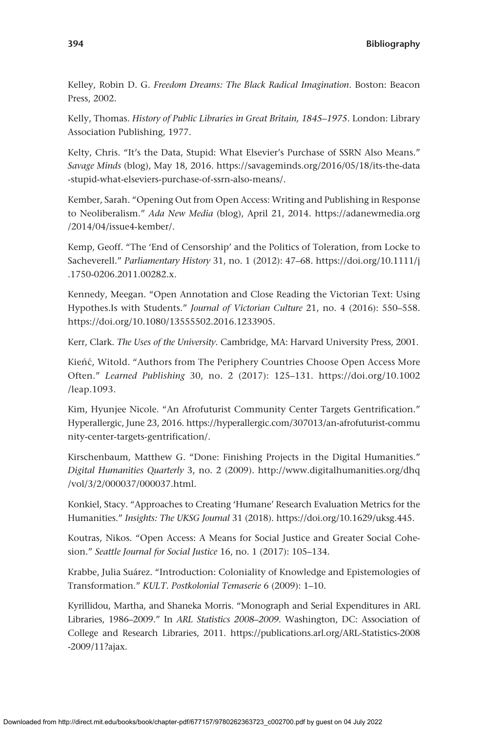Kelley, Robin D. G. *Freedom Dreams: The Black Radical Imagination*. Boston: Beacon Press, 2002.

Kelly, Thomas. *History of Public Libraries in Great Britain, 1845–1975*. London: Library Association Publishing, 1977.

Kelty, Chris. "It's the Data, Stupid: What Elsevier's Purchase of SSRN Also Means." *Savage Minds* (blog), May 18, 2016. [https://savageminds.org/2016/05/18/its-the-data](https://savageminds.org/2016/05/18/its-the-data-stupid-what-elseviers-purchase-of-ssrn-also-means/) [-stupid-what-elseviers-purchase-of-ssrn-also-means/.](https://savageminds.org/2016/05/18/its-the-data-stupid-what-elseviers-purchase-of-ssrn-also-means/)

Kember, Sarah. "Opening Out from Open Access: Writing and Publishing in Response to Neoliberalism." *Ada New Media* (blog), April 21, 2014. [https://adanewmedia.org](https://adanewmedia.org/2014/04/issue4-kember/) [/2014/04/issue4-kember/](https://adanewmedia.org/2014/04/issue4-kember/).

Kemp, Geoff. "The 'End of Censorship' and the Politics of Toleration, from Locke to Sacheverell." *Parliamentary History* 31, no. 1 (2012): 47–68. [https://doi.org/10.1111/j](https://doi.org/10.1111/j.1750-0206.2011.00282.x) [.1750-0206.2011.00282.x](https://doi.org/10.1111/j.1750-0206.2011.00282.x).

Kennedy, Meegan. "Open Annotation and Close Reading the Victorian Text: Using Hypothes.Is with Students." *Journal of Victorian Culture* 21, no. 4 (2016): 550–558. <https://doi.org/10.1080/13555502.2016.1233905>.

Kerr, Clark. *The Uses of the University*. Cambridge, MA: Harvard University Press, 2001.

Kieńć, Witold. "Authors from The Periphery Countries Choose Open Access More Often." *Learned Publishing* 30, no. 2 (2017): 125–131. [https://doi.org/10.1002](https://doi.org/10.1002/leap.1093) [/leap.1093](https://doi.org/10.1002/leap.1093).

Kim, Hyunjee Nicole. "An Afrofuturist Community Center Targets Gentrification." Hyperallergic, June 23, 2016. [https://hyperallergic.com/307013/an-afrofuturist-commu](https://hyperallergic.com/307013/an-afrofuturist-community-center-targets-gentrification/) [nity-center-targets-gentrification/](https://hyperallergic.com/307013/an-afrofuturist-community-center-targets-gentrification/).

Kirschenbaum, Matthew G. "Done: Finishing Projects in the Digital Humanities." *Digital Humanities Quarterly* 3, no. 2 (2009). [http://www.digitalhumanities.org/dhq](http://www.digitalhumanities.org/dhq/vol/3/2/000037/000037.html) [/vol/3/2/000037/000037.html.](http://www.digitalhumanities.org/dhq/vol/3/2/000037/000037.html)

Konkiel, Stacy. "Approaches to Creating 'Humane' Research Evaluation Metrics for the Humanities." *Insights: The UKSG Journal* 31 (2018). [https://doi.org/10.1629/uksg.445.](https://doi.org/10.1629/uksg.445)

Koutras, Nikos. "Open Access: A Means for Social Justice and Greater Social Cohesion." *Seattle Journal for Social Justice* 16, no. 1 (2017): 105–134.

Krabbe, Julia Suárez. "Introduction: Coloniality of Knowledge and Epistemologies of Transformation." *KULT. Postkolonial Temaserie* 6 (2009): 1–10.

Kyrillidou, Martha, and Shaneka Morris. "Monograph and Serial Expenditures in ARL Libraries, 1986–2009." In *ARL Statistics 2008–2009*. Washington, DC: Association of College and Research Libraries, 2011. [https://publications.arl.org/ARL-Statistics-2008](https://publications.arl.org/ARL-Statistics-2008-2009/11?ajax) [-2009/11?ajax.](https://publications.arl.org/ARL-Statistics-2008-2009/11?ajax)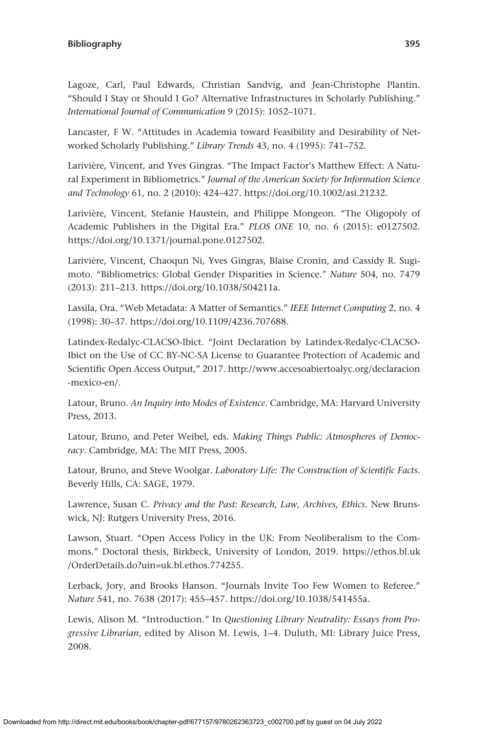Lagoze, Carl, Paul Edwards, Christian Sandvig, and Jean-Christophe Plantin. "Should I Stay or Should I Go? Alternative Infrastructures in Scholarly Publishing." *International Journal of Communication* 9 (2015): 1052–1071.

Lancaster, F W. "Attitudes in Academia toward Feasibility and Desirability of Networked Scholarly Publishing." *Library Trends* 43, no. 4 (1995): 741–752.

Larivière, Vincent, and Yves Gingras. "The Impact Factor's Matthew Effect: A Natural Experiment in Bibliometrics." *Journal of the American Society for Information Science and Technology* 61, no. 2 (2010): 424–427.<https://doi.org/10.1002/asi.21232>.

Larivière, Vincent, Stefanie Haustein, and Philippe Mongeon. "The Oligopoly of Academic Publishers in the Digital Era." *PLOS ONE* 10, no. 6 (2015): e0127502. <https://doi.org/10.1371/journal.pone.0127502>.

Larivière, Vincent, Chaoqun Ni, Yves Gingras, Blaise Cronin, and Cassidy R. Sugimoto. "Bibliometrics: Global Gender Disparities in Science." *Nature* 504, no. 7479 (2013): 211–213. [https://doi.org/10.1038/504211a.](https://doi.org/10.1038/504211a)

Lassila, Ora. "Web Metadata: A Matter of Semantics." *IEEE Internet Computing* 2, no. 4 (1998): 30–37.<https://doi.org/10.1109/4236.707688>.

Latindex-Redalyc-CLACSO-Ibict. "Joint Declaration by Latindex-Redalyc-CLACSO-Ibict on the Use of CC BY-NC-SA License to Guarantee Protection of Academic and Scientific Open Access Output," 2017. [http://www.accesoabiertoalyc.org/declaracion](http://www.accesoabiertoalyc.org/declaracion-mexico-en/) [-mexico-en/.](http://www.accesoabiertoalyc.org/declaracion-mexico-en/)

Latour, Bruno. *An Inquiry into Modes of Existence*. Cambridge, MA: Harvard University Press, 2013.

Latour, Bruno, and Peter Weibel, eds. *Making Things Public: Atmospheres of Democracy*. Cambridge, MA: The MIT Press, 2005.

Latour, Bruno, and Steve Woolgar. *Laboratory Life: The Construction of Scientific Facts*. Beverly Hills, CA: SAGE, 1979.

Lawrence, Susan C. *Privacy and the Past: Research, Law, Archives, Ethics*. New Brunswick, NJ: Rutgers University Press, 2016.

Lawson, Stuart. "Open Access Policy in the UK: From Neoliberalism to the Commons." Doctoral thesis, Birkbeck, University of London, 2019. [https://ethos.bl.uk](https://ethos.bl.uk/OrderDetails.do?uin=uk.bl.ethos.774255) [/OrderDetails.do?uin=uk.bl.ethos.774255](https://ethos.bl.uk/OrderDetails.do?uin=uk.bl.ethos.774255).

Lerback, Jory, and Brooks Hanson. "Journals Invite Too Few Women to Referee." *Nature* 541, no. 7638 (2017): 455–457. <https://doi.org/10.1038/541455a>.

Lewis, Alison M. "Introduction." In *Questioning Library Neutrality: Essays from Progressive Librarian*, edited by Alison M. Lewis, 1–4. Duluth, MI: Library Juice Press, 2008.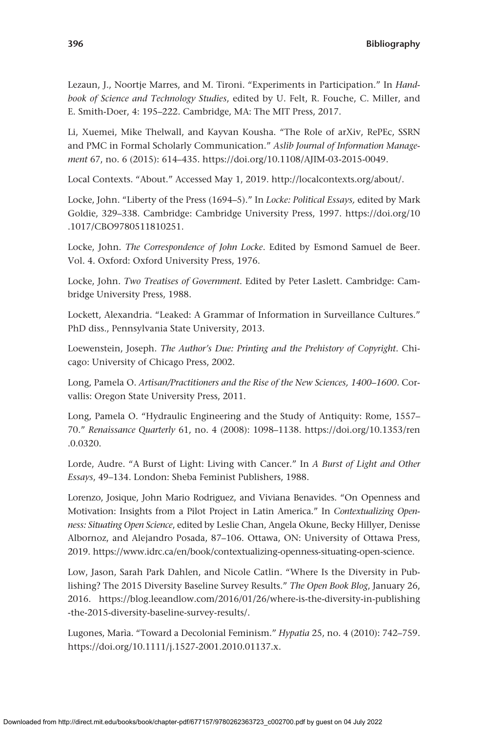Lezaun, J., Noortje Marres, and M. Tironi. "Experiments in Participation." In *Handbook of Science and Technology Studies*, edited by U. Felt, R. Fouche, C. Miller, and E. Smith-Doer, 4: 195–222. Cambridge, MA: The MIT Press, 2017.

Li, Xuemei, Mike Thelwall, and Kayvan Kousha. "The Role of arXiv, RePEc, SSRN and PMC in Formal Scholarly Communication." *Aslib Journal of Information Management* 67, no. 6 (2015): 614–435. [https://doi.org/10.1108/AJIM-03-2015-0049.](https://doi.org/10.1108/AJIM-03-2015-0049)

Local Contexts. "About." Accessed May 1, 2019. [http://localcontexts.org/about/.](http://localcontexts.org/about/)

Locke, John. "Liberty of the Press (1694–5)." In *Locke: Political Essays,* edited by Mark Goldie, 329–338. Cambridge: Cambridge University Press, 1997. [https://doi.org/10](https://doi.org/10.1017/CBO9780511810251) [.1017/CBO9780511810251.](https://doi.org/10.1017/CBO9780511810251)

Locke, John. *The Correspondence of John Locke*. Edited by Esmond Samuel de Beer. Vol. 4. Oxford: Oxford University Press, 1976.

Locke, John. *Two Treatises of Government*. Edited by Peter Laslett. Cambridge: Cambridge University Press, 1988.

Lockett, Alexandria. "Leaked: A Grammar of Information in Surveillance Cultures." PhD diss., Pennsylvania State University, 2013.

Loewenstein, Joseph. *The Author's Due: Printing and the Prehistory of Copyright*. Chicago: University of Chicago Press, 2002.

Long, Pamela O. *Artisan/Practitioners and the Rise of the New Sciences, 1400–1600*. Corvallis: Oregon State University Press, 2011.

Long, Pamela O. "Hydraulic Engineering and the Study of Antiquity: Rome, 1557– 70." *Renaissance Quarterly* 61, no. 4 (2008): 1098–1138. [https://doi.org/10.1353/ren](https://doi.org/10.1353/ren.0.0320) [.0.0320](https://doi.org/10.1353/ren.0.0320).

Lorde, Audre. "A Burst of Light: Living with Cancer." In *A Burst of Light and Other Essays*, 49–134. London: Sheba Feminist Publishers, 1988.

Lorenzo, Josique, John Mario Rodriguez, and Viviana Benavides. "On Openness and Motivation: Insights from a Pilot Project in Latin America." In *Contextualizing Openness: Situating Open Science*, edited by Leslie Chan, Angela Okune, Becky Hillyer, Denisse Albornoz, and Alejandro Posada, 87–106. Ottawa, ON: University of Ottawa Press, 2019. [https://www.idrc.ca/en/book/contextualizing-openness-situating-open-science.](https://www.idrc.ca/en/book/contextualizing-openness-situating-open-science)

Low, Jason, Sarah Park Dahlen, and Nicole Catlin. "Where Is the Diversity in Publishing? The 2015 Diversity Baseline Survey Results." *The Open Book Blog*, January 26, 2016. [https://blog.leeandlow.com/2016/01/26/where-is-the-diversity-in-publishing](https://blog.leeandlow.com/2016/01/26/where-is-the-diversity-in-publishing-the-2015-diversity-baseline-survey-results/) [-the-2015-diversity-baseline-survey-results/](https://blog.leeandlow.com/2016/01/26/where-is-the-diversity-in-publishing-the-2015-diversity-baseline-survey-results/).

Lugones, Marìa. "Toward a Decolonial Feminism." *Hypatia* 25, no. 4 (2010): 742–759. [https://doi.org/10.1111/j.1527-2001.2010.01137.x.](https://doi.org/10.1111/j.1527-2001.2010.01137.x)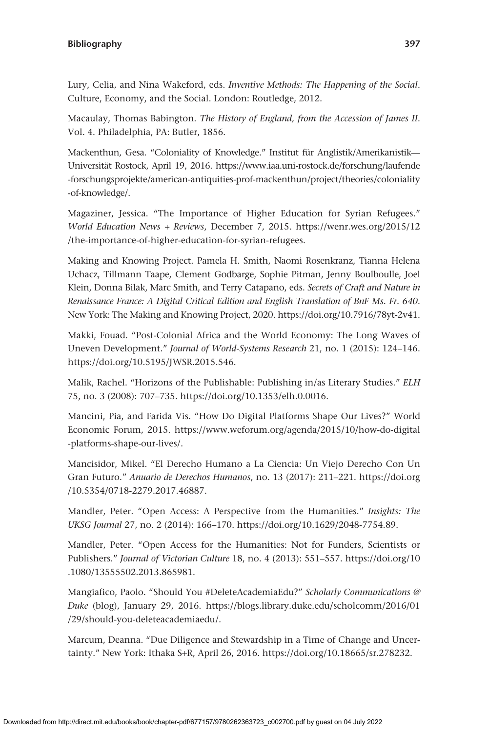Lury, Celia, and Nina Wakeford, eds. *Inventive Methods: The Happening of the Social*. Culture, Economy, and the Social. London: Routledge, 2012.

Macaulay, Thomas Babington. *The History of England, from the Accession of James II*. Vol. 4. Philadelphia, PA: Butler, 1856.

Mackenthun, Gesa. "Coloniality of Knowledge." Institut für Anglistik/Amerikanistik— Universität Rostock, April 19, 2016. [https://www.iaa.uni-rostock.de/forschung/laufende](https://www.iaa.uni-rostock.de/forschung/laufende-forschungsprojekte/american-antiquities-prof-mackenthun/project/theories/coloniality-of-knowledge/) [-forschungsprojekte/american-antiquities-prof-mackenthun/project/theories/coloniality](https://www.iaa.uni-rostock.de/forschung/laufende-forschungsprojekte/american-antiquities-prof-mackenthun/project/theories/coloniality-of-knowledge/) [-of-knowledge/](https://www.iaa.uni-rostock.de/forschung/laufende-forschungsprojekte/american-antiquities-prof-mackenthun/project/theories/coloniality-of-knowledge/).

Magaziner, Jessica. "The Importance of Higher Education for Syrian Refugees." *World Education News + Reviews*, December 7, 2015. [https://wenr.wes.org/2015/12](https://wenr.wes.org/2015/12/the-importance-of-higher-education-for-syrian-refugees) [/the-importance-of-higher-education-for-syrian-refugees](https://wenr.wes.org/2015/12/the-importance-of-higher-education-for-syrian-refugees).

Making and Knowing Project. Pamela H. Smith, Naomi Rosenkranz, Tianna Helena Uchacz, Tillmann Taape, Clement Godbarge, Sophie Pitman, Jenny Boulboulle, Joel Klein, Donna Bilak, Marc Smith, and Terry Catapano, eds. *Secrets of Craft and Nature in Renaissance France: A Digital Critical Edition and English Translation of BnF Ms. Fr. 640*. New York: The Making and Knowing Project, 2020. [https://doi.org/10.7916/78yt-2v41.](https://doi.org/10.7916/78yt-2v41)

Makki, Fouad. "Post-Colonial Africa and the World Economy: The Long Waves of Uneven Development." *Journal of World-Systems Research* 21, no. 1 (2015): 124–146. [https://doi.org/10.5195/JWSR.2015.546.](https://doi.org/10.5195/JWSR.2015.546)

Malik, Rachel. "Horizons of the Publishable: Publishing in/as Literary Studies." *ELH* 75, no. 3 (2008): 707–735. [https://doi.org/10.1353/elh.0.0016.](https://doi.org/10.1353/elh.0.0016)

Mancini, Pia, and Farida Vis. "How Do Digital Platforms Shape Our Lives?" World Economic Forum, 2015. [https://www.weforum.org/agenda/2015/10/how-do-digital](https://www.weforum.org/agenda/2015/10/how-do-digital-platforms-shape-our-lives/) [-platforms-shape-our-lives/.](https://www.weforum.org/agenda/2015/10/how-do-digital-platforms-shape-our-lives/)

Mancisidor, Mikel. "El Derecho Humano a La Ciencia: Un Viejo Derecho Con Un Gran Futuro." *Anuario de Derechos Humanos*, no. 13 (2017): 211–221. [https://doi.org](https://doi.org/10.5354/0718-2279.2017.46887) [/10.5354/0718-2279.2017.46887.](https://doi.org/10.5354/0718-2279.2017.46887)

Mandler, Peter. "Open Access: A Perspective from the Humanities." *Insights: The UKSG Journal* 27, no. 2 (2014): 166–170. <https://doi.org/10.1629/2048-7754.89>.

Mandler, Peter. "Open Access for the Humanities: Not for Funders, Scientists or Publishers." *Journal of Victorian Culture* 18, no. 4 (2013): 551–557. [https://doi.org/10](https://doi.org/10.1080/13555502.2013.865981) [.1080/13555502.2013.865981.](https://doi.org/10.1080/13555502.2013.865981)

Mangiafico, Paolo. "Should You #DeleteAcademiaEdu?" *Scholarly Communications @ Duke* (blog), January 29, 2016. [https://blogs.library.duke.edu/scholcomm/2016/01](https://blogs.library.duke.edu/scholcomm/2016/01/29/should-you-deleteacademiaedu/) [/29/should-you-deleteacademiaedu/.](https://blogs.library.duke.edu/scholcomm/2016/01/29/should-you-deleteacademiaedu/)

Marcum, Deanna. "Due Diligence and Stewardship in a Time of Change and Uncertainty." New York: Ithaka S+R, April 26, 2016. [https://doi.org/10.18665/sr.278232.](https://doi.org/10.18665/sr.278232)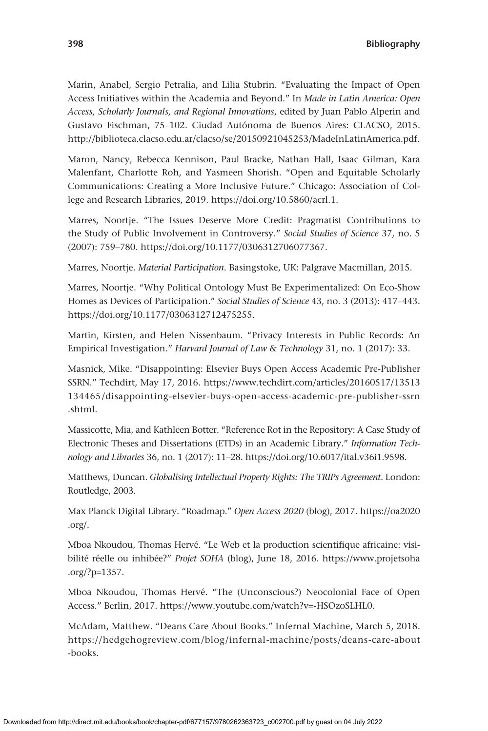Marin, Anabel, Sergio Petralia, and Lilia Stubrin. "Evaluating the Impact of Open Access Initiatives within the Academia and Beyond." In *Made in Latin America: Open Access, Scholarly Journals, and Regional Innovations*, edited by Juan Pablo Alperin and Gustavo Fischman, 75–102. Ciudad Autónoma de Buenos Aires: CLACSO, 2015. <http://biblioteca.clacso.edu.ar/clacso/se/20150921045253/MadeInLatinAmerica.pdf>.

Maron, Nancy, Rebecca Kennison, Paul Bracke, Nathan Hall, Isaac Gilman, Kara Malenfant, Charlotte Roh, and Yasmeen Shorish. "Open and Equitable Scholarly Communications: Creating a More Inclusive Future." Chicago: Association of College and Research Libraries, 2019. <https://doi.org/10.5860/acrl.1>.

Marres, Noortje. "The Issues Deserve More Credit: Pragmatist Contributions to the Study of Public Involvement in Controversy." *Social Studies of Science* 37, no. 5 (2007): 759–780. [https://doi.org/10.1177/0306312706077367.](https://doi.org/10.1177/0306312706077367)

Marres, Noortje. *Material Participation*. Basingstoke, UK: Palgrave Macmillan, 2015.

Marres, Noortje. "Why Political Ontology Must Be Experimentalized: On Eco-Show Homes as Devices of Participation." *Social Studies of Science* 43, no. 3 (2013): 417–443. <https://doi.org/10.1177/0306312712475255>.

Martin, Kirsten, and Helen Nissenbaum. "Privacy Interests in Public Records: An Empirical Investigation." *Harvard Journal of Law & Technology* 31, no. 1 (2017): 33.

Masnick, Mike. "Disappointing: Elsevier Buys Open Access Academic Pre-Publisher SSRN." Techdirt, May 17, 2016. [https://www.techdirt.com/articles/20160517/13513](https://www.techdirt.com/articles/20160517/13513134465/disappointing-elsevier-buys-open-access-academic-pre-publisher-ssrn.shtml) [134465 /disappointing-elsevier-buys-open-access-academic-pre-publisher-ssrn](https://www.techdirt.com/articles/20160517/13513134465/disappointing-elsevier-buys-open-access-academic-pre-publisher-ssrn.shtml) [.shtml.](https://www.techdirt.com/articles/20160517/13513134465/disappointing-elsevier-buys-open-access-academic-pre-publisher-ssrn.shtml)

Massicotte, Mia, and Kathleen Botter. "Reference Rot in the Repository: A Case Study of Electronic Theses and Dissertations (ETDs) in an Academic Library." *Information Technology and Libraries* 36, no. 1 (2017): 11–28. [https://doi.org/10.6017/ital.v36i1.9598.](https://doi.org/10.6017/ital.v36i1.9598)

Matthews, Duncan. *Globalising Intellectual Property Rights: The TRIPs Agreement*. London: Routledge, 2003.

Max Planck Digital Library. "Roadmap." *Open Access 2020* (blog), 2017. [https://oa2020](https://oa2020.org/) [.org/.](https://oa2020.org/)

Mboa Nkoudou, Thomas Hervé. "Le Web et la production scientifique africaine: visibilité réelle ou inhibée?" *Projet SOHA* (blog), June 18, 2016. [https://www.projetsoha](https://www.projetsoha.org/?p=1357) [.org/?p](https://www.projetsoha.org/?p=1357)=1357.

Mboa Nkoudou, Thomas Hervé. "The (Unconscious?) Neocolonial Face of Open Access." Berlin, 2017. [https://www.youtube.com/watch?v](https://www.youtube.com/watch?v=-HSOzoSLHL0)=-HSOzoSLHL0.

McAdam, Matthew. "Deans Care About Books." Infernal Machine, March 5, 2018. [https://hedgehogreview.com/blog/infernal-machine/posts/deans-care-about](https://hedgehogreview.com/blog/infernal-machine/posts/deans-care-about-books) [-books](https://hedgehogreview.com/blog/infernal-machine/posts/deans-care-about-books).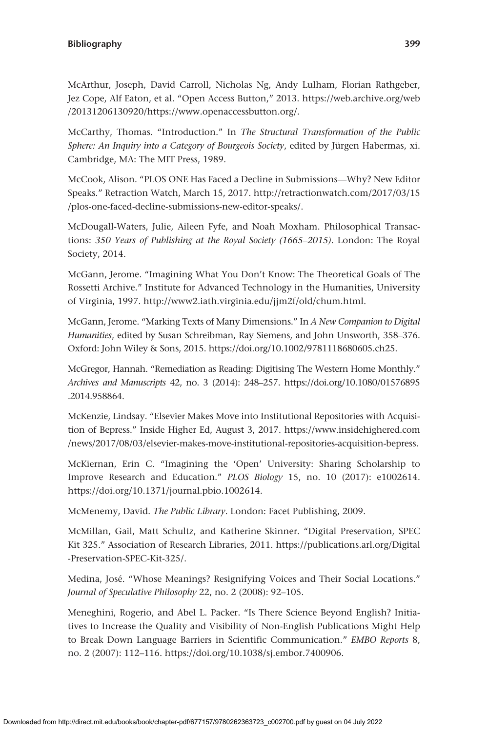McArthur, Joseph, David Carroll, Nicholas Ng, Andy Lulham, Florian Rathgeber, Jez Cope, Alf Eaton, et al. "Open Access Button," 2013. [https://web.archive.org/web](https://web.archive.org/web/20131206130920/https://www.openaccessbutton.org/) [/20131206130920/https://www.openaccessbutton.org/](https://web.archive.org/web/20131206130920/https://www.openaccessbutton.org/).

McCarthy, Thomas. "Introduction." In *The Structural Transformation of the Public Sphere: An Inquiry into a Category of Bourgeois Society*, edited by Jürgen Habermas, xi. Cambridge, MA: The MIT Press, 1989.

McCook, Alison. "PLOS ONE Has Faced a Decline in Submissions—Why? New Editor Speaks." Retraction Watch, March 15, 2017. [http://retractionwatch.com/2017/03/15](http://retractionwatch.com/2017/03/15/plos-one-faced-decline-submissions-new-editor-speaks/) [/plos-one-faced-decline-submissions-new-editor-speaks/](http://retractionwatch.com/2017/03/15/plos-one-faced-decline-submissions-new-editor-speaks/).

McDougall-Waters, Julie, Aileen Fyfe, and Noah Moxham. Philosophical Transactions: *350 Years of Publishing at the Royal Society (1665–2015)*. London: The Royal Society, 2014.

McGann, Jerome. "Imagining What You Don't Know: The Theoretical Goals of The Rossetti Archive." Institute for Advanced Technology in the Humanities, University of Virginia, 1997. [http://www2.iath.virginia.edu/jjm2f/old/chum.html.](http://www2.iath.virginia.edu/jjm2f/old/chum.html)

McGann, Jerome. "Marking Texts of Many Dimensions." In *A New Companion to Digital Humanities*, edited by Susan Schreibman, Ray Siemens, and John Unsworth, 358–376. Oxford: John Wiley & Sons, 2015. [https://doi.org/10.1002/9781118680605.ch25.](https://doi.org/10.1002/9781118680605.ch25)

McGregor, Hannah. "Remediation as Reading: Digitising The Western Home Monthly." *Archives and Manuscripts* 42, no. 3 (2014): 248–257. [https://doi.org/10.1080/01576895](https://doi.org/10.1080/01576895.2014.958864) [.2014.958864.](https://doi.org/10.1080/01576895.2014.958864)

McKenzie, Lindsay. "Elsevier Makes Move into Institutional Repositories with Acquisition of Bepress." Inside Higher Ed, August 3, 2017. [https://www.insidehighered.com](https://www.insidehighered.com/news/2017/08/03/elsevier-makes-move-institutional-repositories-acquisition-bepress) [/news/2017/08/03/elsevier-makes-move-institutional-repositories-acquisition-bepress](https://www.insidehighered.com/news/2017/08/03/elsevier-makes-move-institutional-repositories-acquisition-bepress).

McKiernan, Erin C. "Imagining the 'Open' University: Sharing Scholarship to Improve Research and Education." *PLOS Biology* 15, no. 10 (2017): e1002614. <https://doi.org/10.1371/journal.pbio.1002614>.

McMenemy, David. *The Public Library*. London: Facet Publishing, 2009.

McMillan, Gail, Matt Schultz, and Katherine Skinner. "Digital Preservation, SPEC Kit 325." Association of Research Libraries, 2011. [https://publications.arl.org/Digital](https://publications.arl.org/Digital-Preservation-SPEC-Kit-325/) [-Preservation-SPEC-Kit-325/.](https://publications.arl.org/Digital-Preservation-SPEC-Kit-325/)

Medina, José. "Whose Meanings? Resignifying Voices and Their Social Locations." *Journal of Speculative Philosophy* 22, no. 2 (2008): 92–105.

Meneghini, Rogerio, and Abel L. Packer. "Is There Science Beyond English? Initiatives to Increase the Quality and Visibility of Non-English Publications Might Help to Break Down Language Barriers in Scientific Communication." *EMBO Reports* 8, no. 2 (2007): 112–116. <https://doi.org/10.1038/sj.embor.7400906>.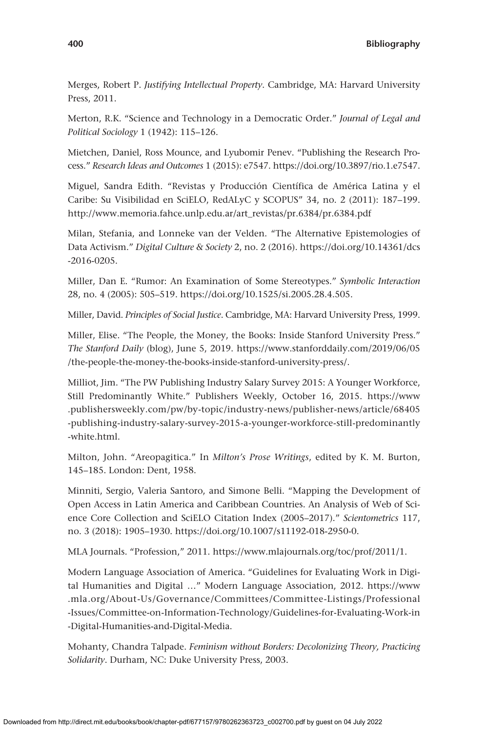Merges, Robert P. *Justifying Intellectual Property*. Cambridge, MA: Harvard University Press, 2011.

Merton, R.K. "Science and Technology in a Democratic Order." *Journal of Legal and Political Sociology* 1 (1942): 115–126.

Mietchen, Daniel, Ross Mounce, and Lyubomir Penev. "Publishing the Research Process." *Research Ideas and Outcomes* 1 (2015): e7547. [https://doi.org/10.3897/rio.1.e7547.](https://doi.org/10.3897/rio.1.e7547)

Miguel, Sandra Edith. "Revistas y Producción Científica de América Latina y el Caribe: Su Visibilidad en SciELO, RedALyC y SCOPUS" 34, no. 2 (2011): 187–199. [http://www.memoria.fahce.unlp.edu.ar/art\\_revistas/pr.6384/pr.6384.pdf](http://www.memoria.fahce.unlp.edu.ar/art_revistas/pr.6384/pr.6384.pdf)

Milan, Stefania, and Lonneke van der Velden. "The Alternative Epistemologies of Data Activism." *Digital Culture & Society* 2, no. 2 (2016). [https://doi.org/10.14361/dcs](https://doi.org/10.14361/dcs-2016-0205) [-2016-0205.](https://doi.org/10.14361/dcs-2016-0205)

Miller, Dan E. "Rumor: An Examination of Some Stereotypes." *Symbolic Interaction* 28, no. 4 (2005): 505–519. <https://doi.org/10.1525/si.2005.28.4.505>.

Miller, David. *Principles of Social Justice*. Cambridge, MA: Harvard University Press, 1999.

Miller, Elise. "The People, the Money, the Books: Inside Stanford University Press." *The Stanford Daily* (blog), June 5, 2019. [https://www.stanforddaily.com/2019/06/05](https://www.stanforddaily.com/2019/06/05/the-people-the-money-the-books-inside-stanford-university-press/) [/the-people-the-money-the-books-inside-stanford-university-press/](https://www.stanforddaily.com/2019/06/05/the-people-the-money-the-books-inside-stanford-university-press/).

Milliot, Jim. "The PW Publishing Industry Salary Survey 2015: A Younger Workforce, Still Predominantly White." Publishers Weekly, October 16, 2015. [https://www](https://www.publishersweekly.com/pw/by-topic/industry-news/publisher-news/article/68405-publishing-industry-salary-survey-2015-a-younger-workforce-still-predominantly-white.html) [.publishersweekly.com/pw/by-topic/industry-news/publisher-news/article/68405](https://www.publishersweekly.com/pw/by-topic/industry-news/publisher-news/article/68405-publishing-industry-salary-survey-2015-a-younger-workforce-still-predominantly-white.html) [-publishing-industry-salary-survey-2015-a-younger-workforce-still-predominantly](https://www.publishersweekly.com/pw/by-topic/industry-news/publisher-news/article/68405-publishing-industry-salary-survey-2015-a-younger-workforce-still-predominantly-white.html) [-white.html](https://www.publishersweekly.com/pw/by-topic/industry-news/publisher-news/article/68405-publishing-industry-salary-survey-2015-a-younger-workforce-still-predominantly-white.html).

Milton, John. "Areopagitica." In *Milton's Prose Writings*, edited by K. M. Burton, 145–185. London: Dent, 1958.

Minniti, Sergio, Valeria Santoro, and Simone Belli. "Mapping the Development of Open Access in Latin America and Caribbean Countries. An Analysis of Web of Science Core Collection and SciELO Citation Index (2005–2017)." *Scientometrics* 117, no. 3 (2018): 1905–1930. [https://doi.org/10.1007/s11192-018-2950-0.](https://doi.org/10.1007/s11192-018-2950-0)

MLA Journals. "Profession," 2011.<https://www.mlajournals.org/toc/prof/2011/1>.

Modern Language Association of America. "Guidelines for Evaluating Work in Digital Humanities and Digital …" Modern Language Association, 2012. [https://www](https://www.mla.org/About-Us/Governance/Committees/Committee-Listings/Professional-Issues/Committee-on-Information-Technology/Guidelines-for-Evaluating-Work-in-Digital-Humanities-and-Digital-Media) [.mla.org/About-Us/Governance/Committees/Committee-Listings/Professional](https://www.mla.org/About-Us/Governance/Committees/Committee-Listings/Professional-Issues/Committee-on-Information-Technology/Guidelines-for-Evaluating-Work-in-Digital-Humanities-and-Digital-Media) [-Issues/Committee-on-Information-Technology/Guidelines-for-Evaluating-Work-in](https://www.mla.org/About-Us/Governance/Committees/Committee-Listings/Professional-Issues/Committee-on-Information-Technology/Guidelines-for-Evaluating-Work-in-Digital-Humanities-and-Digital-Media) [-Digital-Humanities-and-Digital-Media](https://www.mla.org/About-Us/Governance/Committees/Committee-Listings/Professional-Issues/Committee-on-Information-Technology/Guidelines-for-Evaluating-Work-in-Digital-Humanities-and-Digital-Media).

Mohanty, Chandra Talpade. *Feminism without Borders: Decolonizing Theory, Practicing Solidarity*. Durham, NC: Duke University Press, 2003.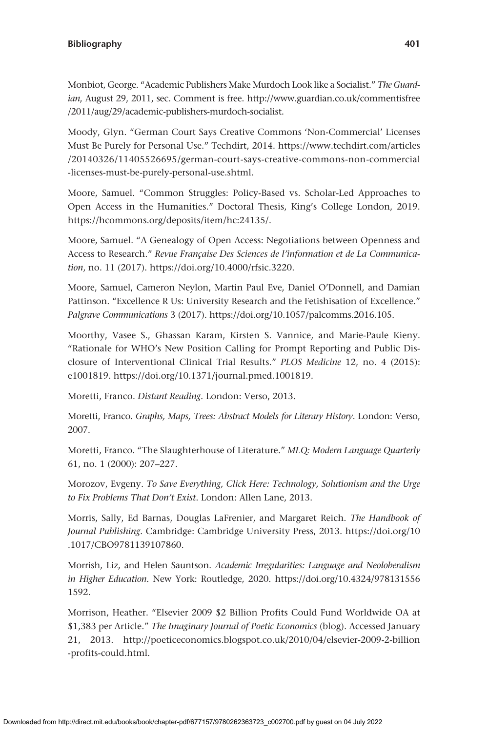Monbiot, George. "Academic Publishers Make Murdoch Look like a Socialist." *The Guardian*, August 29, 2011, sec. Comment is free. [http://www.guardian.co.uk/commentisfree](http://www.guardian.co.uk/commentisfree/2011/aug/29/academic-publishers-murdoch-socialist) [/2011/aug/29/academic-publishers-murdoch-socialist](http://www.guardian.co.uk/commentisfree/2011/aug/29/academic-publishers-murdoch-socialist).

Moody, Glyn. "German Court Says Creative Commons 'Non-Commercial' Licenses Must Be Purely for Personal Use." Techdirt, 2014. [https://www.techdirt.com/articles](https://www.techdirt.com/articles/20140326/11405526695/german-court-says-creative-commons-non-commercial-licenses-must-be-purely-personal-use.shtml) [/20140326/11405526695/german-court-says-creative-commons-non-commercial](https://www.techdirt.com/articles/20140326/11405526695/german-court-says-creative-commons-non-commercial-licenses-must-be-purely-personal-use.shtml) [-licenses-must-be-purely-personal-use.shtml.](https://www.techdirt.com/articles/20140326/11405526695/german-court-says-creative-commons-non-commercial-licenses-must-be-purely-personal-use.shtml)

Moore, Samuel. "Common Struggles: Policy-Based vs. Scholar-Led Approaches to Open Access in the Humanities." Doctoral Thesis, King's College London, 2019. [https://hcommons.org/deposits/item/hc:24135/.](https://hcommons.org/deposits/item/hc:24135/)

Moore, Samuel. "A Genealogy of Open Access: Negotiations between Openness and Access to Research." *Revue Française Des Sciences de l'information et de La Communication*, no. 11 (2017). <https://doi.org/10.4000/rfsic.3220>.

Moore, Samuel, Cameron Neylon, Martin Paul Eve, Daniel O'Donnell, and Damian Pattinson. "Excellence R Us: University Research and the Fetishisation of Excellence." *Palgrave Communications* 3 (2017). [https://doi.org/10.1057/palcomms.2016.105.](https://doi.org/10.1057/palcomms.2016.105)

Moorthy, Vasee S., Ghassan Karam, Kirsten S. Vannice, and Marie-Paule Kieny. "Rationale for WHO's New Position Calling for Prompt Reporting and Public Disclosure of Interventional Clinical Trial Results." *PLOS Medicine* 12, no. 4 (2015): e1001819. <https://doi.org/10.1371/journal.pmed.1001819>.

Moretti, Franco. *Distant Reading*. London: Verso, 2013.

Moretti, Franco. *Graphs, Maps, Trees: Abstract Models for Literary History*. London: Verso, 2007.

Moretti, Franco. "The Slaughterhouse of Literature." *MLQ: Modern Language Quarterly* 61, no. 1 (2000): 207–227.

Morozov, Evgeny. *To Save Everything, Click Here: Technology, Solutionism and the Urge to Fix Problems That Don't Exist*. London: Allen Lane, 2013.

Morris, Sally, Ed Barnas, Douglas LaFrenier, and Margaret Reich. *The Handbook of Journal Publishing*. Cambridge: Cambridge University Press, 2013. [https://doi.org/10](https://doi.org/10.1017/CBO9781139107860) [.1017/CBO9781139107860.](https://doi.org/10.1017/CBO9781139107860)

Morrish, Liz, and Helen Sauntson. *Academic Irregularities: Language and Neoloberalism in Higher Education.* New York: Routledge, 2020. [https://doi.org/10.4324/978131556](https://doi.org/10.4324/9781315561592) [1592.](https://doi.org/10.4324/9781315561592)

Morrison, Heather. "Elsevier 2009 \$2 Billion Profits Could Fund Worldwide OA at \$1,383 per Article." *The Imaginary Journal of Poetic Economics* (blog). Accessed January 21, 2013. [http://poeticeconomics.blogspot.co.uk/2010/04/elsevier-2009-2-billion](http://poeticeconomics.blogspot.co.uk/2010/04/elsevier-2009-2-billion-profits-could.html) [-profits-could.html.](http://poeticeconomics.blogspot.co.uk/2010/04/elsevier-2009-2-billion-profits-could.html)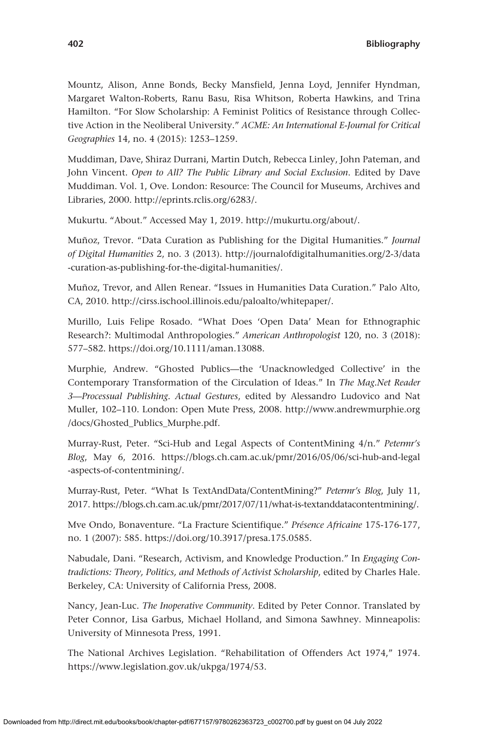Mountz, Alison, Anne Bonds, Becky Mansfield, Jenna Loyd, Jennifer Hyndman, Margaret Walton-Roberts, Ranu Basu, Risa Whitson, Roberta Hawkins, and Trina Hamilton. "For Slow Scholarship: A Feminist Politics of Resistance through Collective Action in the Neoliberal University." *ACME: An International E-Journal for Critical Geographies* 14, no. 4 (2015): 1253–1259.

Muddiman, Dave, Shiraz Durrani, Martin Dutch, Rebecca Linley, John Pateman, and John Vincent. *Open to All? The Public Library and Social Exclusion*. Edited by Dave Muddiman. Vol. 1, Ove. London: Resource: The Council for Museums, Archives and Libraries, 2000. <http://eprints.rclis.org/6283/>.

Mukurtu. "About." Accessed May 1, 2019. <http://mukurtu.org/about/>.

Muñoz, Trevor. "Data Curation as Publishing for the Digital Humanities." *Journal of Digital Humanities* 2, no. 3 (2013). [http://journalofdigitalhumanities.org/2-3/data](http://journalofdigitalhumanities.org/2-3/data-curation-as-publishing-for-the-digital-humanities/) [-curation-as-publishing-for-the-digital-humanities/](http://journalofdigitalhumanities.org/2-3/data-curation-as-publishing-for-the-digital-humanities/).

Muñoz, Trevor, and Allen Renear. "Issues in Humanities Data Curation." Palo Alto, CA, 2010. <http://cirss.ischool.illinois.edu/paloalto/whitepaper/>.

Murillo, Luis Felipe Rosado. "What Does 'Open Data' Mean for Ethnographic Research?: Multimodal Anthropologies." *American Anthropologist* 120, no. 3 (2018): 577–582.<https://doi.org/10.1111/aman.13088>.

Murphie, Andrew. "Ghosted Publics—the 'Unacknowledged Collective' in the Contemporary Transformation of the Circulation of Ideas." In *The Mag.Net Reader 3—Processual Publishing. Actual Gestures*, edited by Alessandro Ludovico and Nat Muller, 102–110. London: Open Mute Press, 2008. [http://www.andrewmurphie.org](http://www.andrewmurphie.org/docs/Ghosted_Publics_Murphe.pdf) [/docs/Ghosted\\_Publics\\_Murphe.pdf.](http://www.andrewmurphie.org/docs/Ghosted_Publics_Murphe.pdf)

Murray-Rust, Peter. "Sci-Hub and Legal Aspects of ContentMining 4/n." *Petermr's Blog*, May 6, 2016. [https://blogs.ch.cam.ac.uk/pmr/2016/05/06/sci-hub-and-legal](https://blogs.ch.cam.ac.uk/pmr/2016/05/06/sci-hub-and-legal-aspects-of-contentmining/) [-aspects-of-contentmining/.](https://blogs.ch.cam.ac.uk/pmr/2016/05/06/sci-hub-and-legal-aspects-of-contentmining/)

Murray-Rust, Peter. "What Is TextAndData/ContentMining?" *Petermr's Blog*, July 11, 2017. [https://blogs.ch.cam.ac.uk/pmr/2017/07/11/what-is-textanddatacontentmining/.](https://blogs.ch.cam.ac.uk/pmr/2017/07/11/what-is-textanddatacontentmining/)

Mve Ondo, Bonaventure. "La Fracture Scientifique." *Présence Africaine* 175-176-177, no. 1 (2007): 585. [https://doi.org/10.3917/presa.175.0585.](https://doi.org/10.3917/presa.175.0585)

Nabudale, Dani. "Research, Activism, and Knowledge Production." In *Engaging Contradictions: Theory, Politics, and Methods of Activist Scholarship*, edited by Charles Hale. Berkeley, CA: University of California Press, 2008.

Nancy, Jean-Luc. *The Inoperative Community*. Edited by Peter Connor. Translated by Peter Connor, Lisa Garbus, Michael Holland, and Simona Sawhney. Minneapolis: University of Minnesota Press, 1991.

The National Archives Legislation. "Rehabilitation of Offenders Act 1974," 1974. [https://www.legislation.gov.uk/ukpga/1974/53.](https://www.legislation.gov.uk/ukpga/1974/53)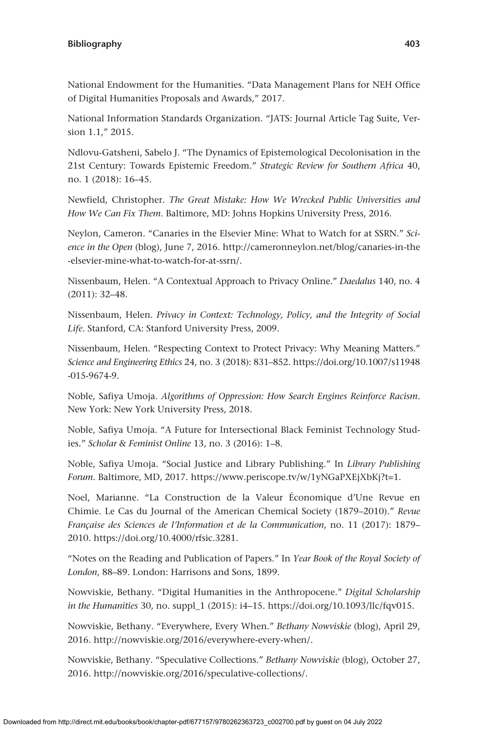National Endowment for the Humanities. "Data Management Plans for NEH Office of Digital Humanities Proposals and Awards," 2017.

National Information Standards Organization. "JATS: Journal Article Tag Suite, Version 1.1," 2015.

Ndlovu-Gatsheni, Sabelo J. "The Dynamics of Epistemological Decolonisation in the 21st Century: Towards Epistemic Freedom." *Strategic Review for Southern Africa* 40, no. 1 (2018): 16–45.

Newfield, Christopher. *The Great Mistake: How We Wrecked Public Universities and How We Can Fix Them*. Baltimore, MD: Johns Hopkins University Press, 2016.

Neylon, Cameron. "Canaries in the Elsevier Mine: What to Watch for at SSRN." *Science in the Open* (blog), June 7, 2016. [http://cameronneylon.net/blog/canaries-in-the](http://cameronneylon.net/blog/canaries-in-the-elsevier-mine-what-to-watch-for-at-ssrn/) [-elsevier-mine-what-to-watch-for-at-ssrn/](http://cameronneylon.net/blog/canaries-in-the-elsevier-mine-what-to-watch-for-at-ssrn/).

Nissenbaum, Helen. "A Contextual Approach to Privacy Online." *Daedalus* 140, no. 4 (2011): 32–48.

Nissenbaum, Helen. *Privacy in Context: Technology, Policy, and the Integrity of Social Life*. Stanford, CA: Stanford University Press, 2009.

Nissenbaum, Helen. "Respecting Context to Protect Privacy: Why Meaning Matters." *Science and Engineering Ethics* 24, no. 3 (2018): 831–852. [https://doi.org/10.1007/s11948](https://doi.org/10.1007/s11948-015-9674-9) [-015-9674-9](https://doi.org/10.1007/s11948-015-9674-9).

Noble, Safiya Umoja. *Algorithms of Oppression: How Search Engines Reinforce Racism*. New York: New York University Press, 2018.

Noble, Safiya Umoja. "A Future for Intersectional Black Feminist Technology Studies." *Scholar & Feminist Online* 13, no. 3 (2016): 1–8.

Noble, Safiya Umoja. "Social Justice and Library Publishing." In *Library Publishing Forum*. Baltimore, MD, 2017. [https://www.periscope.tv/w/1yNGaPXEjXbKj?t=1.](https://www.periscope.tv/w/1yNGaPXEjXbKj?t=1)

Noel, Marianne. "La Construction de la Valeur Économique d'Une Revue en Chimie. Le Cas du Journal of the American Chemical Society (1879–2010)." *Revue Française des Sciences de l'Information et de la Communication*, no. 11 (2017): 1879– 2010. [https://doi.org/10.4000/rfsic.3281.](https://doi.org/10.4000/rfsic.3281)

"Notes on the Reading and Publication of Papers." In *Year Book of the Royal Society of London*, 88–89. London: Harrisons and Sons, 1899.

Nowviskie, Bethany. "Digital Humanities in the Anthropocene." *Digital Scholarship in the Humanities* 30, no. suppl\_1 (2015): i4–15. [https://doi.org/10.1093/llc/fqv015.](https://doi.org/10.1093/llc/fqv015)

Nowviskie, Bethany. "Everywhere, Every When." *Bethany Nowviskie* (blog), April 29, 2016. [http://nowviskie.org/2016/everywhere-every-when/.](http://nowviskie.org/2016/everywhere-every-when/)

Nowviskie, Bethany. "Speculative Collections." *Bethany Nowviskie* (blog), October 27, 2016. <http://nowviskie.org/2016/speculative-collections/>.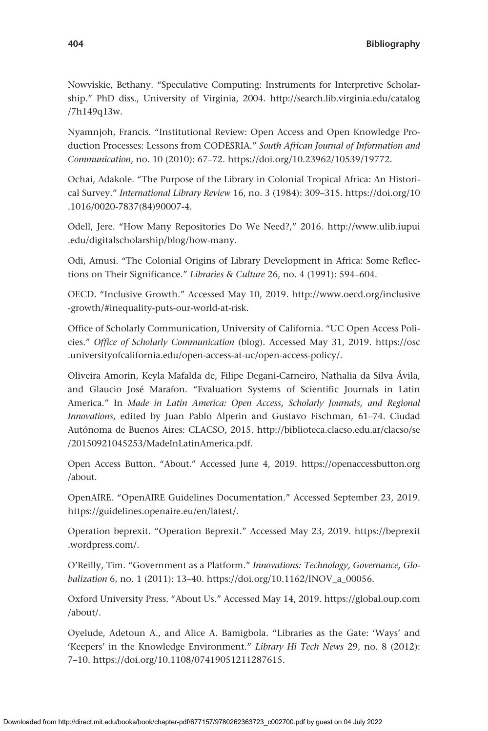Nowviskie, Bethany. "Speculative Computing: Instruments for Interpretive Scholarship." PhD diss., University of Virginia, 2004. [http://search.lib.virginia.edu/catalog](http://search.lib.virginia.edu/catalog/7h149q13w) [/7h149q13w](http://search.lib.virginia.edu/catalog/7h149q13w).

Nyamnjoh, Francis. "Institutional Review: Open Access and Open Knowledge Production Processes: Lessons from CODESRIA." *South African Journal of Information and Communication*, no. 10 (2010): 67–72. <https://doi.org/10.23962/10539/19772>.

Ochai, Adakole. "The Purpose of the Library in Colonial Tropical Africa: An Historical Survey." *International Library Review* 16, no. 3 (1984): 309–315. [https://doi.org/10](https://doi.org/10.1016/0020-7837(84)90007-4) [.1016/0020-7837\(84\)90007-4.](https://doi.org/10.1016/0020-7837(84)90007-4)

Odell, Jere. "How Many Repositories Do We Need?," 2016. [http://www.ulib.iupui](http://www.ulib.iupui.edu/digitalscholarship/blog/how-many) [.edu/digitalscholarship/blog/how-many.](http://www.ulib.iupui.edu/digitalscholarship/blog/how-many)

Odi, Amusi. "The Colonial Origins of Library Development in Africa: Some Reflections on Their Significance." *Libraries & Culture* 26, no. 4 (1991): 594–604.

OECD. "Inclusive Growth." Accessed May 10, 2019. [http://www.oecd.org/inclusive](http://www.oecd.org/inclusive-growth/#inequality-puts-our-world-at-risk) [-growth/#inequality-puts-our-world-at-risk](http://www.oecd.org/inclusive-growth/#inequality-puts-our-world-at-risk).

Office of Scholarly Communication, University of California. "UC Open Access Policies." *Office of Scholarly Communication* (blog). Accessed May 31, 2019. [https://osc](https://osc.universityofcalifornia.edu/open-access-at-uc/open-access-policy/) [.universityofcalifornia.edu/open-access-at-uc/open-access-policy/.](https://osc.universityofcalifornia.edu/open-access-at-uc/open-access-policy/)

Oliveira Amorin, Keyla Mafalda de, Filipe Degani-Carneiro, Nathalia da Silva Ávila, and Glaucio José Marafon. "Evaluation Systems of Scientific Journals in Latin America." In *Made in Latin America: Open Access, Scholarly Journals, and Regional Innovations*, edited by Juan Pablo Alperin and Gustavo Fischman, 61–74. Ciudad Autónoma de Buenos Aires: CLACSO, 2015. [http://biblioteca.clacso.edu.ar/clacso/se](http://biblioteca.clacso.edu.ar/clacso/se/20150921045253/MadeInLatinAmerica.pdf) [/20150921045253/MadeInLatinAmerica.pdf.](http://biblioteca.clacso.edu.ar/clacso/se/20150921045253/MadeInLatinAmerica.pdf)

Open Access Button. "About." Accessed June 4, 2019. [https://openaccessbutton.org](https://openaccessbutton.org/about) [/about.](https://openaccessbutton.org/about)

OpenAIRE. "OpenAIRE Guidelines Documentation." Accessed September 23, 2019. <https://guidelines.openaire.eu/en/latest/>.

Operation beprexit. "Operation Beprexit." Accessed May 23, 2019. [https://beprexit](https://beprexit.wordpress.com/) [.wordpress.com/](https://beprexit.wordpress.com/).

O'Reilly, Tim. "Government as a Platform." *Innovations: Technology, Governance, Globalization* 6, no. 1 (2011): 13–40. [https://doi.org/10.1162/INOV\\_a\\_00056](https://doi.org/10.1162/INOV_a_00056).

Oxford University Press. "About Us." Accessed May 14, 2019. [https://global.oup.com](https://global.oup.com/about/) [/about/](https://global.oup.com/about/).

Oyelude, Adetoun A., and Alice A. Bamigbola. "Libraries as the Gate: 'Ways' and 'Keepers' in the Knowledge Environment." *Library Hi Tech News* 29, no. 8 (2012): 7–10.<https://doi.org/10.1108/07419051211287615>.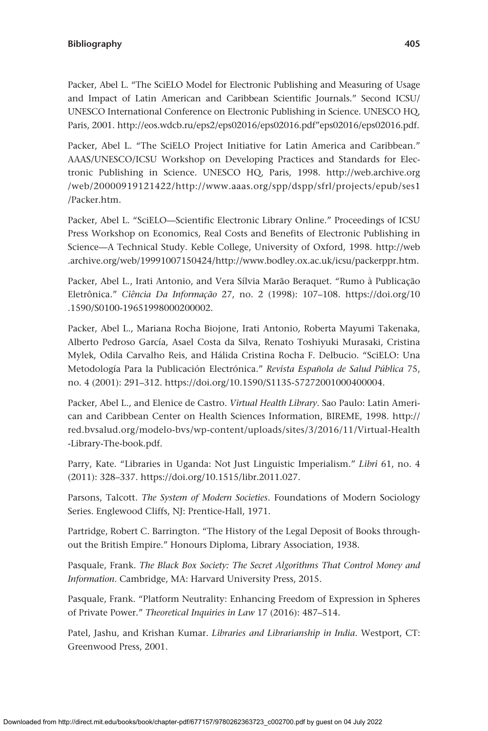Packer, Abel L. "The SciELO Model for Electronic Publishing and Measuring of Usage and Impact of Latin American and Caribbean Scientific Journals." Second ICSU/ UNESCO International Conference on Electronic Publishing in Science. UNESCO HQ, Paris, 2001. [http://eos.wdcb.ru/eps2/eps02016/eps02016.pdf"eps02016/eps02016.pdf.](http://eos.wdcb.ru/eps2/eps02016/eps02016.pdf”eps02016/eps02016.pdf)

Packer, Abel L. "The SciELO Project Initiative for Latin America and Caribbean." AAAS/UNESCO/ICSU Workshop on Developing Practices and Standards for Electronic Publishing in Science. UNESCO HQ, Paris, 1998. [http://web.archive.org](http://web.archive.org/web/20000919121422/http://www.aaas.org/spp/dspp/sfrl/projects/epub/ses1/Packer.htm) [/web/20000919121422/http://www.aaas.org/spp/dspp/sfrl/projects/epub/ses1](http://web.archive.org/web/20000919121422/http://www.aaas.org/spp/dspp/sfrl/projects/epub/ses1/Packer.htm) [/Packer.htm](http://web.archive.org/web/20000919121422/http://www.aaas.org/spp/dspp/sfrl/projects/epub/ses1/Packer.htm).

Packer, Abel L. "SciELO—Scientific Electronic Library Online." Proceedings of ICSU Press Workshop on Economics, Real Costs and Benefits of Electronic Publishing in Science—A Technical Study. Keble College, University of Oxford, 1998. [http://web](http://web.archive.org/web/19991007150424/http://www.bodley.ox.ac.uk/icsu/packerppr.htm) [.archive.org/web/19991007150424/http://www.bodley.ox.ac.uk/icsu/packerppr.htm.](http://web.archive.org/web/19991007150424/http://www.bodley.ox.ac.uk/icsu/packerppr.htm)

Packer, Abel L., Irati Antonio, and Vera Sílvia Marão Beraquet. "Rumo à Publicação Eletrônica." *Ciência Da Informação* 27, no. 2 (1998): 107–108. [https://doi.org/10](https://doi.org/10.1590/S0100-19651998000200002) [.1590/S0100-19651998000200002](https://doi.org/10.1590/S0100-19651998000200002).

Packer, Abel L., Mariana Rocha Biojone, Irati Antonio, Roberta Mayumi Takenaka, Alberto Pedroso García, Asael Costa da Silva, Renato Toshiyuki Murasaki, Cristina Mylek, Odila Carvalho Reis, and Hálida Cristina Rocha F. Delbucio. "SciELO: Una Metodología Para la Publicación Electrónica." *Revista Española de Salud Pública* 75, no. 4 (2001): 291–312. [https://doi.org/10.1590/S1135-57272001000400004.](https://doi.org/10.1590/S1135-57272001000400004)

Packer, Abel L., and Elenice de Castro. *Virtual Health Library*. Sao Paulo: Latin American and Caribbean Center on Health Sciences Information, BIREME, 1998. [http://](http://red.bvsalud.org/modelo-bvs/wp-content/uploads/sites/3/2016/11/Virtual-Health-Library-The-book.pdf) [red.bvsalud.org/modelo-bvs/wp-content/uploads/sites/3/2016/11/Virtual-Health](http://red.bvsalud.org/modelo-bvs/wp-content/uploads/sites/3/2016/11/Virtual-Health-Library-The-book.pdf) [-Library-The-book.pdf.](http://red.bvsalud.org/modelo-bvs/wp-content/uploads/sites/3/2016/11/Virtual-Health-Library-The-book.pdf)

Parry, Kate. "Libraries in Uganda: Not Just Linguistic Imperialism." *Libri* 61, no. 4 (2011): 328–337. [https://doi.org/10.1515/libr.2011.027.](https://doi.org/10.1515/libr.2011.027)

Parsons, Talcott. *The System of Modern Societies*. Foundations of Modern Sociology Series. Englewood Cliffs, NJ: Prentice-Hall, 1971.

Partridge, Robert C. Barrington. "The History of the Legal Deposit of Books throughout the British Empire." Honours Diploma, Library Association, 1938.

Pasquale, Frank. *The Black Box Society: The Secret Algorithms That Control Money and Information*. Cambridge, MA: Harvard University Press, 2015.

Pasquale, Frank. "Platform Neutrality: Enhancing Freedom of Expression in Spheres of Private Power." *Theoretical Inquiries in Law* 17 (2016): 487–514.

Patel, Jashu, and Krishan Kumar. *Libraries and Librarianship in India*. Westport, CT: Greenwood Press, 2001.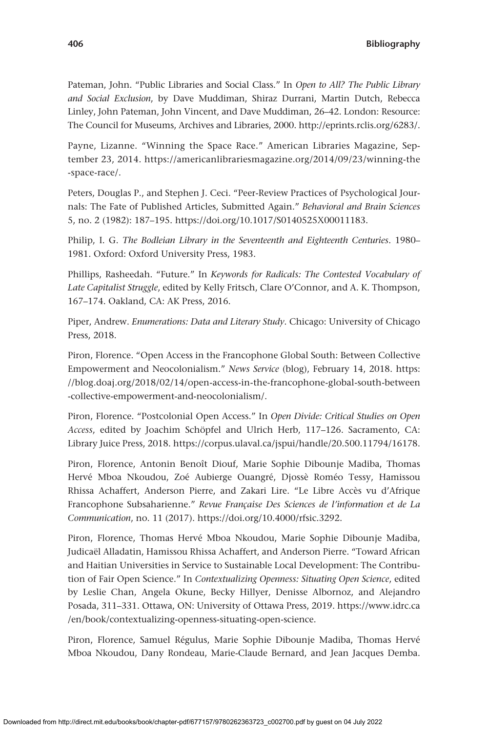Pateman, John. "Public Libraries and Social Class." In *Open to All? The Public Library and Social Exclusion*, by Dave Muddiman, Shiraz Durrani, Martin Dutch, Rebecca Linley, John Pateman, John Vincent, and Dave Muddiman, 26–42. London: Resource: The Council for Museums, Archives and Libraries, 2000. [http://eprints.rclis.org/6283/.](http://eprints.rclis.org/6283/)

Payne, Lizanne. "Winning the Space Race." American Libraries Magazine, September 23, 2014. [https://americanlibrariesmagazine.org/2014/09/23/winning-the](https://americanlibrariesmagazine.org/2014/09/23/winning-the-space-race/) [-space-race/.](https://americanlibrariesmagazine.org/2014/09/23/winning-the-space-race/)

Peters, Douglas P., and Stephen J. Ceci. "Peer-Review Practices of Psychological Journals: The Fate of Published Articles, Submitted Again." *Behavioral and Brain Sciences* 5, no. 2 (1982): 187–195. [https://doi.org/10.1017/S0140525X00011183.](https://doi.org/10.1017/S0140525X00011183)

Philip, I. G. *The Bodleian Library in the Seventeenth and Eighteenth Centuries*. 1980– 1981. Oxford: Oxford University Press, 1983.

Phillips, Rasheedah. "Future." In *Keywords for Radicals: The Contested Vocabulary of Late Capitalist Struggle*, edited by Kelly Fritsch, Clare O'Connor, and A. K. Thompson, 167–174. Oakland, CA: AK Press, 2016.

Piper, Andrew. *Enumerations: Data and Literary Study*. Chicago: University of Chicago Press, 2018.

Piron, Florence. "Open Access in the Francophone Global South: Between Collective Empowerment and Neocolonialism." *News Service* (blog), February 14, 2018. [https:](https://blog.doaj.org/2018/02/14/open-access-in-the-francophone-global-south-between-collective-empowerment-and-neocolonialism/) [//blog.doaj.org/2018/02/14/open-access-in-the-francophone-global-south-between](https://blog.doaj.org/2018/02/14/open-access-in-the-francophone-global-south-between-collective-empowerment-and-neocolonialism/) [-collective-empowerment-and-neocolonialism/](https://blog.doaj.org/2018/02/14/open-access-in-the-francophone-global-south-between-collective-empowerment-and-neocolonialism/).

Piron, Florence. "Postcolonial Open Access." In *Open Divide: Critical Studies on Open Access*, edited by Joachim Schöpfel and Ulrich Herb, 117–126. Sacramento, CA: Library Juice Press, 2018. [https://corpus.ulaval.ca/jspui/handle/20.500.11794/16178.](https://corpus.ulaval.ca/jspui/handle/20.500.11794/16178)

Piron, Florence, Antonin Benoît Diouf, Marie Sophie Dibounje Madiba, Thomas Hervé Mboa Nkoudou, Zoé Aubierge Ouangré, Djossè Roméo Tessy, Hamissou Rhissa Achaffert, Anderson Pierre, and Zakari Lire. "Le Libre Accès vu d'Afrique Francophone Subsaharienne." *Revue Française Des Sciences de l'information et de La Communication*, no. 11 (2017). [https://doi.org/10.4000/rfsic.3292.](https://doi.org/10.4000/rfsic.3292)

Piron, Florence, Thomas Hervé Mboa Nkoudou, Marie Sophie Dibounje Madiba, Judicaël Alladatin, Hamissou Rhissa Achaffert, and Anderson Pierre. "Toward African and Haitian Universities in Service to Sustainable Local Development: The Contribution of Fair Open Science." In *Contextualizing Openness: Situating Open Science*, edited by Leslie Chan, Angela Okune, Becky Hillyer, Denisse Albornoz, and Alejandro Posada, 311–331. Ottawa, ON: University of Ottawa Press, 2019. [https://www.idrc.ca](https://www.idrc.ca/en/book/contextualizing-openness-situating-open-science) [/en/book/contextualizing-openness-situating-open-science.](https://www.idrc.ca/en/book/contextualizing-openness-situating-open-science)

Piron, Florence, Samuel Régulus, Marie Sophie Dibounje Madiba, Thomas Hervé Mboa Nkoudou, Dany Rondeau, Marie-Claude Bernard, and Jean Jacques Demba.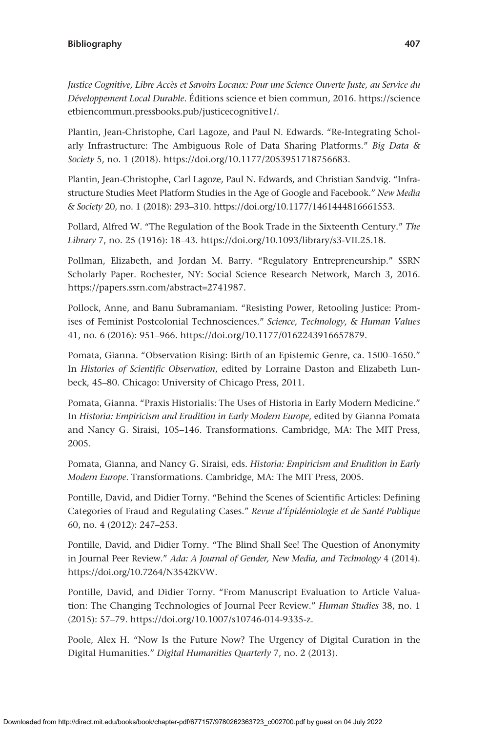*Justice Cognitive, Libre Accès et Savoirs Locaux: Pour une Science Ouverte Juste, au Service du Développement Local Durable*. Éditions science et bien commun, 2016. [https://science](https://scienceetbiencommun.pressbooks.pub/justicecognitive1/) [etbiencommun.pressbooks.pub/justicecognitive1/](https://scienceetbiencommun.pressbooks.pub/justicecognitive1/).

Plantin, Jean-Christophe, Carl Lagoze, and Paul N. Edwards. "Re-Integrating Scholarly Infrastructure: The Ambiguous Role of Data Sharing Platforms." *Big Data & Society* 5, no. 1 (2018). [https://doi.org/10.1177/2053951718756683.](https://doi.org/10.1177/2053951718756683)

Plantin, Jean-Christophe, Carl Lagoze, Paul N. Edwards, and Christian Sandvig. "Infrastructure Studies Meet Platform Studies in the Age of Google and Facebook." *New Media & Society* 20, no. 1 (2018): 293–310.<https://doi.org/10.1177/1461444816661553>.

Pollard, Alfred W. "The Regulation of the Book Trade in the Sixteenth Century." *The Library* 7, no. 25 (1916): 18–43. <https://doi.org/10.1093/library/s3-VII.25.18>.

Pollman, Elizabeth, and Jordan M. Barry. "Regulatory Entrepreneurship." SSRN Scholarly Paper. Rochester, NY: Social Science Research Network, March 3, 2016. [https://papers.ssrn.com/abstract](https://papers.ssrn.com/abstract=2741987)=2741987.

Pollock, Anne, and Banu Subramaniam. "Resisting Power, Retooling Justice: Promises of Feminist Postcolonial Technosciences." *Science, Technology, & Human Values* 41, no. 6 (2016): 951–966. [https://doi.org/10.1177/0162243916657879.](https://doi.org/10.1177/0162243916657879)

Pomata, Gianna. "Observation Rising: Birth of an Epistemic Genre, ca. 1500–1650." In *Histories of Scientific Observation*, edited by Lorraine Daston and Elizabeth Lunbeck, 45–80. Chicago: University of Chicago Press, 2011.

Pomata, Gianna. "Praxis Historialis: The Uses of Historia in Early Modern Medicine." In *Historia: Empiricism and Erudition in Early Modern Europe*, edited by Gianna Pomata and Nancy G. Siraisi, 105–146. Transformations. Cambridge, MA: The MIT Press, 2005.

Pomata, Gianna, and Nancy G. Siraisi, eds. *Historia: Empiricism and Erudition in Early Modern Europe*. Transformations. Cambridge, MA: The MIT Press, 2005.

Pontille, David, and Didier Torny. "Behind the Scenes of Scientific Articles: Defining Categories of Fraud and Regulating Cases." *Revue d'Épidémiologie et de Santé Publique* 60, no. 4 (2012): 247–253.

Pontille, David, and Didier Torny. "The Blind Shall See! The Question of Anonymity in Journal Peer Review." *Ada: A Journal of Gender, New Media, and Technology* 4 (2014). <https://doi.org/10.7264/N3542KVW>.

Pontille, David, and Didier Torny. "From Manuscript Evaluation to Article Valuation: The Changing Technologies of Journal Peer Review." *Human Studies* 38, no. 1 (2015): 57–79.<https://doi.org/10.1007/s10746-014-9335-z>.

Poole, Alex H. "Now Is the Future Now? The Urgency of Digital Curation in the Digital Humanities." *Digital Humanities Quarterly* 7, no. 2 (2013).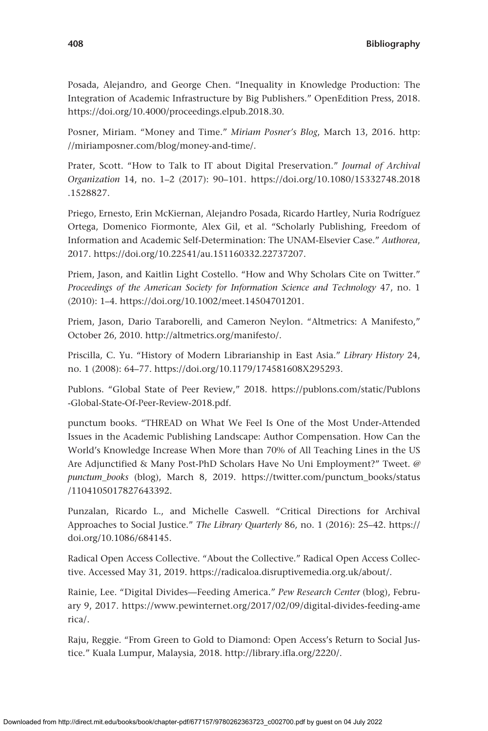Posada, Alejandro, and George Chen. "Inequality in Knowledge Production: The Integration of Academic Infrastructure by Big Publishers." OpenEdition Press, 2018. <https://doi.org/10.4000/proceedings.elpub.2018.30>.

Posner, Miriam. "Money and Time." *Miriam Posner's Blog*, March 13, 2016. [http:](http://miriamposner.com/blog/money-and-time/) [//miriamposner.com/blog/money-and-time/](http://miriamposner.com/blog/money-and-time/).

Prater, Scott. "How to Talk to IT about Digital Preservation." *Journal of Archival Organization* 14, no. 1–2 (2017): 90–101. [https://doi.org/10.1080/15332748.2018](https://doi.org/10.1080/15332748.2018.1528827) [.1528827.](https://doi.org/10.1080/15332748.2018.1528827)

Priego, Ernesto, Erin McKiernan, Alejandro Posada, Ricardo Hartley, Nuria Rodríguez Ortega, Domenico Fiormonte, Alex Gil, et al. "Scholarly Publishing, Freedom of Information and Academic Self-Determination: The UNAM-Elsevier Case." *Authorea*, 2017. [https://doi.org/10.22541/au.151160332.22737207.](https://doi.org/10.22541/au.151160332.22737207)

Priem, Jason, and Kaitlin Light Costello. "How and Why Scholars Cite on Twitter." *Proceedings of the American Society for Information Science and Technology* 47, no. 1 (2010): 1–4.<https://doi.org/10.1002/meet.14504701201>.

Priem, Jason, Dario Taraborelli, and Cameron Neylon. "Altmetrics: A Manifesto," October 26, 2010. <http://altmetrics.org/manifesto/>.

Priscilla, C. Yu. "History of Modern Librarianship in East Asia." *Library History* 24, no. 1 (2008): 64–77. <https://doi.org/10.1179/174581608X295293>.

Publons. "Global State of Peer Review," 2018. [https://publons.com/static/Publons](https://publons.com/static/Publons-Global-State-Of-Peer-Review-2018.pdf) [-Global-State-Of-Peer-Review-2018.pdf](https://publons.com/static/Publons-Global-State-Of-Peer-Review-2018.pdf).

punctum books. "THREAD on What We Feel Is One of the Most Under-Attended Issues in the Academic Publishing Landscape: Author Compensation. How Can the World's Knowledge Increase When More than 70% of All Teaching Lines in the US Are Adjunctified & Many Post-PhD Scholars Have No Uni Employment?" Tweet. *@ punctum\_books* (blog), March 8, 2019. [https://twitter.com/punctum\\_books/status](https://twitter.com/punctum_books/status/1104105017827643392) [/1104105017827643392](https://twitter.com/punctum_books/status/1104105017827643392).

Punzalan, Ricardo L., and Michelle Caswell. "Critical Directions for Archival Approaches to Social Justice." *The Library Quarterly* 86, no. 1 (2016): 25–42. [https://](https://doi.org/10.1086/684145) [doi.org/10.1086/684145.](https://doi.org/10.1086/684145)

Radical Open Access Collective. "About the Collective." Radical Open Access Collective. Accessed May 31, 2019. [https://radicaloa.disruptivemedia.org.uk/about/.](https://radicaloa.disruptivemedia.org.uk/about/)

Rainie, Lee. "Digital Divides—Feeding America." *Pew Research Center* (blog), February 9, 2017. [https://www.pewinternet.org/2017/02/09/digital-divides-feeding-ame](https://www.pewinternet.org/2017/02/09/digital-divides-feeding-america/) [rica/](https://www.pewinternet.org/2017/02/09/digital-divides-feeding-america/).

Raju, Reggie. "From Green to Gold to Diamond: Open Access's Return to Social Justice." Kuala Lumpur, Malaysia, 2018. [http://library.ifla.org/2220/.](http://library.ifla.org/2220/)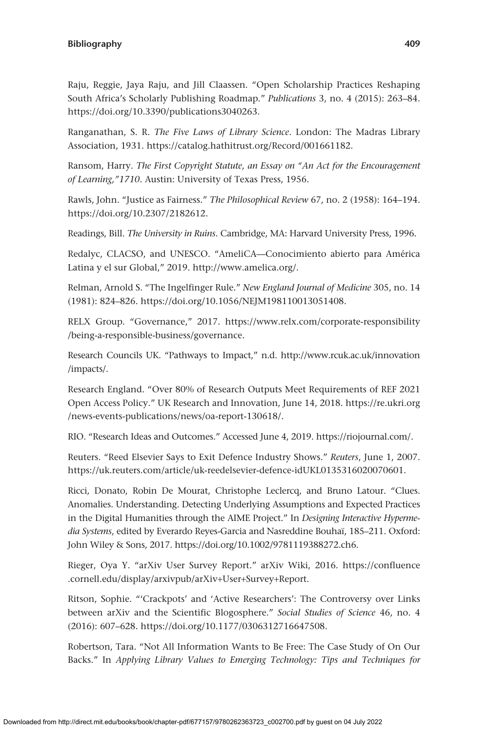Raju, Reggie, Jaya Raju, and Jill Claassen. "Open Scholarship Practices Reshaping South Africa's Scholarly Publishing Roadmap." *Publications* 3, no. 4 (2015): 263–84. [https://doi.org/10.3390/publications3040263.](https://doi.org/10.3390/publications3040263)

Ranganathan, S. R. *The Five Laws of Library Science*. London: The Madras Library Association, 1931. <https://catalog.hathitrust.org/Record/001661182>.

Ransom, Harry. *The First Copyright Statute, an Essay on "An Act for the Encouragement of Learning,"1710*. Austin: University of Texas Press, 1956.

Rawls, John. "Justice as Fairness." *The Philosophical Review* 67, no. 2 (1958): 164–194. [https://doi.org/10.2307/2182612.](https://doi.org/10.2307/2182612)

Readings, Bill. *The University in Ruins*. Cambridge, MA: Harvard University Press, 1996.

Redalyc, CLACSO, and UNESCO. "AmeliCA—Conocimiento abierto para América Latina y el sur Global," 2019. <http://www.amelica.org/>.

Relman, Arnold S. "The Ingelfinger Rule." *New England Journal of Medicine* 305, no. 14 (1981): 824–826.<https://doi.org/10.1056/NEJM198110013051408>.

RELX Group. "Governance," 2017. [https://www.relx.com/corporate-responsibility](https://www.relx.com/corporate-responsibility/being-a-responsible-business/governance) [/being-a-responsible-business/governance](https://www.relx.com/corporate-responsibility/being-a-responsible-business/governance).

Research Councils UK. "Pathways to Impact," n.d. [http://www.rcuk.ac.uk/innovation](http://www.rcuk.ac.uk/innovation/impacts/) [/impacts/.](http://www.rcuk.ac.uk/innovation/impacts/)

Research England. "Over 80% of Research Outputs Meet Requirements of REF 2021 Open Access Policy." UK Research and Innovation, June 14, 2018. [https://re.ukri.org](https://re.ukri.org/news-events-publications/news/oa-report-130618/) [/news-events-publications/news/oa-report-130618/.](https://re.ukri.org/news-events-publications/news/oa-report-130618/)

RIO. "Research Ideas and Outcomes." Accessed June 4, 2019. [https://riojournal.com/.](https://riojournal.com/)

Reuters. "Reed Elsevier Says to Exit Defence Industry Shows." *Reuters*, June 1, 2007. <https://uk.reuters.com/article/uk-reedelsevier-defence-idUKL0135316020070601>.

Ricci, Donato, Robin De Mourat, Christophe Leclercq, and Bruno Latour. "Clues. Anomalies. Understanding. Detecting Underlying Assumptions and Expected Practices in the Digital Humanities through the AIME Project." In *Designing Interactive Hypermedia Systems*, edited by Everardo Reyes-Garcia and Nasreddine Bouhaï, 185–211. Oxford: John Wiley & Sons, 2017. <https://doi.org/10.1002/9781119388272.ch6>.

Rieger, Oya Y. "arXiv User Survey Report." arXiv Wiki, 2016. [https://confluence](https://confluence.cornell.edu/display/arxivpub/arXiv+User+Survey+Report) [.cornell.edu/display/arxivpub/arXiv](https://confluence.cornell.edu/display/arxivpub/arXiv+User+Survey+Report)+User+Survey+Report.

Ritson, Sophie. "'Crackpots' and 'Active Researchers': The Controversy over Links between arXiv and the Scientific Blogosphere." *Social Studies of Science* 46, no. 4 (2016): 607–628. [https://doi.org/10.1177/0306312716647508.](https://doi.org/10.1177/0306312716647508)

Robertson, Tara. "Not All Information Wants to Be Free: The Case Study of On Our Backs." In *Applying Library Values to Emerging Technology: Tips and Techniques for*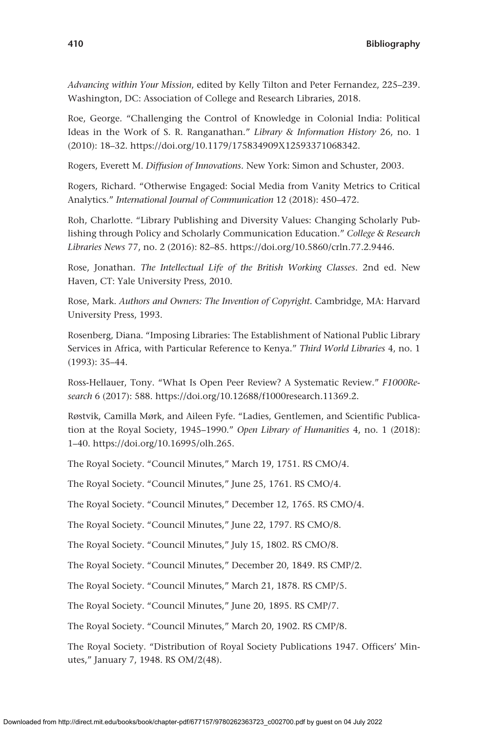*Advancing within Your Mission*, edited by Kelly Tilton and Peter Fernandez, 225–239. Washington, DC: Association of College and Research Libraries, 2018.

Roe, George. "Challenging the Control of Knowledge in Colonial India: Political Ideas in the Work of S. R. Ranganathan." *Library & Information History* 26, no. 1 (2010): 18–32. [https://doi.org/10.1179/175834909X12593371068342.](https://doi.org/10.1179/175834909X12593371068342)

Rogers, Everett M. *Diffusion of Innovations.* New York: Simon and Schuster, 2003.

Rogers, Richard. "Otherwise Engaged: Social Media from Vanity Metrics to Critical Analytics." *International Journal of Communication* 12 (2018): 450–472.

Roh, Charlotte. "Library Publishing and Diversity Values: Changing Scholarly Publishing through Policy and Scholarly Communication Education." *College & Research Libraries News* 77, no. 2 (2016): 82–85. <https://doi.org/10.5860/crln.77.2.9446>.

Rose, Jonathan. *The Intellectual Life of the British Working Classes*. 2nd ed. New Haven, CT: Yale University Press, 2010.

Rose, Mark. *Authors and Owners: The Invention of Copyright*. Cambridge, MA: Harvard University Press, 1993.

Rosenberg, Diana. "Imposing Libraries: The Establishment of National Public Library Services in Africa, with Particular Reference to Kenya." *Third World Libraries* 4, no. 1 (1993): 35–44.

Ross-Hellauer, Tony. "What Is Open Peer Review? A Systematic Review." *F1000Research* 6 (2017): 588. [https://doi.org/10.12688/f1000research.11369.2.](https://doi.org/10.12688/f1000research.11369.2)

Røstvik, Camilla Mørk, and Aileen Fyfe. "Ladies, Gentlemen, and Scientific Publication at the Royal Society, 1945–1990." *Open Library of Humanities* 4, no. 1 (2018): 1–40.<https://doi.org/10.16995/olh.265>.

The Royal Society. "Council Minutes," March 19, 1751. RS CMO/4.

The Royal Society. "Council Minutes," June 25, 1761. RS CMO/4.

The Royal Society. "Council Minutes," December 12, 1765. RS CMO/4.

The Royal Society. "Council Minutes," June 22, 1797. RS CMO/8.

The Royal Society. "Council Minutes," July 15, 1802. RS CMO/8.

The Royal Society. "Council Minutes," December 20, 1849. RS CMP/2.

The Royal Society. "Council Minutes," March 21, 1878. RS CMP/5.

The Royal Society. "Council Minutes," June 20, 1895. RS CMP/7.

The Royal Society. "Council Minutes," March 20, 1902. RS CMP/8.

The Royal Society. "Distribution of Royal Society Publications 1947. Officers' Minutes," January 7, 1948. RS OM/2(48).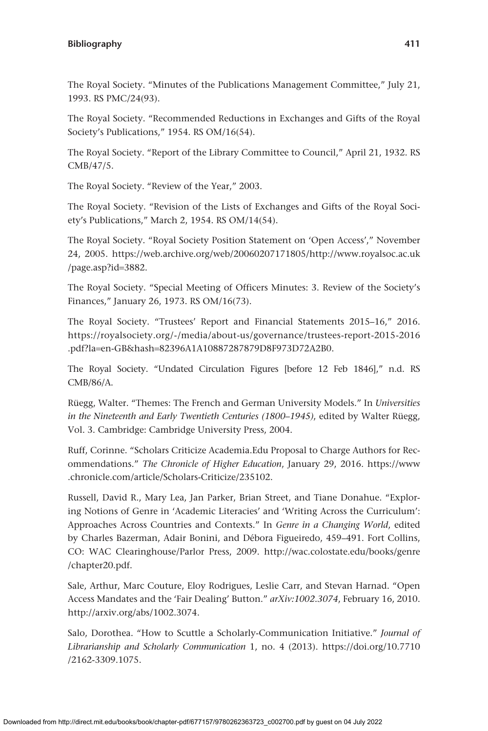The Royal Society. "Minutes of the Publications Management Committee," July 21, 1993. RS PMC/24(93).

The Royal Society. "Recommended Reductions in Exchanges and Gifts of the Royal Society's Publications," 1954. RS OM/16(54).

The Royal Society. "Report of the Library Committee to Council," April 21, 1932. RS CMB/47/5.

The Royal Society. "Review of the Year," 2003.

The Royal Society. "Revision of the Lists of Exchanges and Gifts of the Royal Society's Publications," March 2, 1954. RS OM/14(54).

The Royal Society. "Royal Society Position Statement on 'Open Access'," November 24, 2005. [https://web.archive.org/web/20060207171805/http://www.royalsoc.ac.uk](https://web.archive.org/web/20060207171805/http://www.royalsoc.ac.uk/page.asp?id=3882) [/page.asp?id](https://web.archive.org/web/20060207171805/http://www.royalsoc.ac.uk/page.asp?id=3882)=3882.

The Royal Society. "Special Meeting of Officers Minutes: 3. Review of the Society's Finances," January 26, 1973. RS OM/16(73).

The Royal Society. "Trustees' Report and Financial Statements 2015–16," 2016. [https://royalsociety.org/-/media/about-us/governance/trustees-report-2015-2016](https://royalsociety.org/-/media/about-us/governance/trustees-report-2015-2016.pdf?la=en-GB&hash=82396A1A10887287879D8F973D72A2B0) .pdf?la=en-GB&hash=[82396A1A10887287879D8F973D72A2B0](https://royalsociety.org/-/media/about-us/governance/trustees-report-2015-2016.pdf?la=en-GB&hash=82396A1A10887287879D8F973D72A2B0).

The Royal Society. "Undated Circulation Figures [before 12 Feb 1846]," n.d. RS CMB/86/A.

Rüegg, Walter. "Themes: The French and German University Models." In *Universities in the Nineteenth and Early Twentieth Centuries (1800–1945)*, edited by Walter Rüegg, Vol. 3. Cambridge: Cambridge University Press, 2004.

Ruff, Corinne. "Scholars Criticize Academia.Edu Proposal to Charge Authors for Recommendations." *The Chronicle of Higher Education*, January 29, 2016. [https://www](https://www.chronicle.com/article/Scholars-Criticize/235102) [.chronicle.com/article/Scholars-Criticize/235102](https://www.chronicle.com/article/Scholars-Criticize/235102).

Russell, David R., Mary Lea, Jan Parker, Brian Street, and Tiane Donahue. "Exploring Notions of Genre in 'Academic Literacies' and 'Writing Across the Curriculum': Approaches Across Countries and Contexts." In *Genre in a Changing World*, edited by Charles Bazerman, Adair Bonini, and Débora Figueiredo, 459–491. Fort Collins, CO: WAC Clearinghouse/Parlor Press, 2009. [http://wac.colostate.edu/books/genre](http://wac.colostate.edu/books/genre/chapter20.pdf) [/chapter20.pdf.](http://wac.colostate.edu/books/genre/chapter20.pdf)

Sale, Arthur, Marc Couture, Eloy Rodrigues, Leslie Carr, and Stevan Harnad. "Open Access Mandates and the 'Fair Dealing' Button." *arXiv:1002.3074*, February 16, 2010. <http://arxiv.org/abs/1002.3074>.

Salo, Dorothea. "How to Scuttle a Scholarly-Communication Initiative." *Journal of Librarianship and Scholarly Communication* 1, no. 4 (2013). [https://doi.org/10.7710](https://doi.org/10.7710/2162-3309.1075) [/2162-3309.1075.](https://doi.org/10.7710/2162-3309.1075)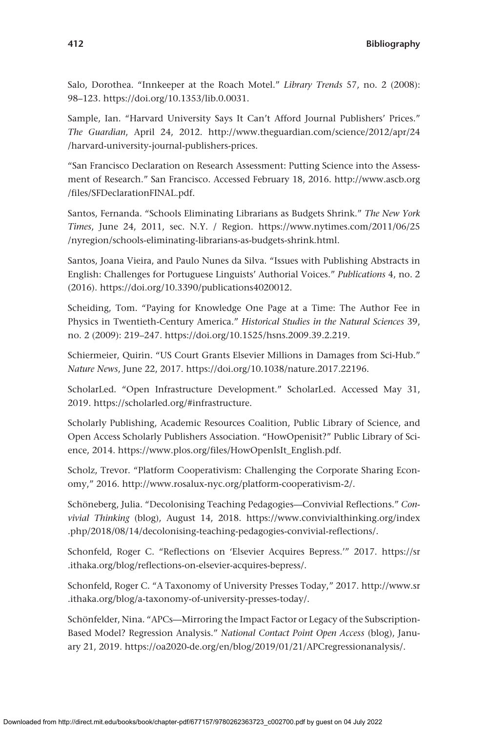Salo, Dorothea. "Innkeeper at the Roach Motel." *Library Trends* 57, no. 2 (2008): 98–123.<https://doi.org/10.1353/lib.0.0031>.

Sample, Ian. "Harvard University Says It Can't Afford Journal Publishers' Prices." *The Guardian*, April 24, 2012. [http://www.theguardian.com/science/2012/apr/24](http://www.theguardian.com/science/2012/apr/24/harvard-university-journal-publishers-prices) [/harvard-university-journal-publishers-prices.](http://www.theguardian.com/science/2012/apr/24/harvard-university-journal-publishers-prices)

"San Francisco Declaration on Research Assessment: Putting Science into the Assessment of Research." San Francisco. Accessed February 18, 2016. [http://www.ascb.org](http://www.ascb.org/files/SFDeclarationFINAL.pdf) [/files/SFDeclarationFINAL.pdf](http://www.ascb.org/files/SFDeclarationFINAL.pdf).

Santos, Fernanda. "Schools Eliminating Librarians as Budgets Shrink." *The New York Times*, June 24, 2011, sec. N.Y. / Region. [https://www.nytimes.com/2011/06/25](https://www.nytimes.com/2011/06/25/nyregion/schools-eliminating-librarians-as-budgets-shrink.html) [/nyregion/schools-eliminating-librarians-as-budgets-shrink.html](https://www.nytimes.com/2011/06/25/nyregion/schools-eliminating-librarians-as-budgets-shrink.html).

Santos, Joana Vieira, and Paulo Nunes da Silva. "Issues with Publishing Abstracts in English: Challenges for Portuguese Linguists' Authorial Voices." *Publications* 4, no. 2 (2016).<https://doi.org/10.3390/publications4020012>.

Scheiding, Tom. "Paying for Knowledge One Page at a Time: The Author Fee in Physics in Twentieth-Century America." *Historical Studies in the Natural Sciences* 39, no. 2 (2009): 219–247. [https://doi.org/10.1525/hsns.2009.39.2.219.](https://doi.org/10.1525/hsns.2009.39.2.219)

Schiermeier, Quirin. "US Court Grants Elsevier Millions in Damages from Sci-Hub." *Nature News*, June 22, 2017. [https://doi.org/10.1038/nature.2017.22196.](https://doi.org/10.1038/nature.2017.22196)

ScholarLed. "Open Infrastructure Development." ScholarLed. Accessed May 31, 2019. [https://scholarled.org/#infrastructure.](https://scholarled.org/#infrastructure)

Scholarly Publishing, Academic Resources Coalition, Public Library of Science, and Open Access Scholarly Publishers Association. "HowOpenisit?" Public Library of Science, 2014. [https://www.plos.org/files/HowOpenIsIt\\_English.pdf.](https://www.plos.org/files/HowOpenIsIt_English.pdf)

Scholz, Trevor. "Platform Cooperativism: Challenging the Corporate Sharing Economy," 2016.<http://www.rosalux-nyc.org/platform-cooperativism-2/>.

Schöneberg, Julia. "Decolonising Teaching Pedagogies—Convivial Reflections." *Convivial Thinking* (blog), August 14, 2018. [https://www.convivialthinking.org/index](https://www.convivialthinking.org/index.php/2018/08/14/decolonising-teaching-pedagogies-convivial-reflections/) [.php/2018/08/14/decolonising-teaching-pedagogies-convivial-reflections/.](https://www.convivialthinking.org/index.php/2018/08/14/decolonising-teaching-pedagogies-convivial-reflections/)

Schonfeld, Roger C. "Reflections on 'Elsevier Acquires Bepress.'" 2017. [https://sr](https://sr.ithaka.org/blog/reflections-on-elsevier-acquires-bepress/) [.ithaka.org/blog/reflections-on-elsevier-acquires-bepress/](https://sr.ithaka.org/blog/reflections-on-elsevier-acquires-bepress/).

Schonfeld, Roger C. "A Taxonomy of University Presses Today," 2017. [http://www.sr](http://www.sr.ithaka.org/blog/a-taxonomy-of-university-presses-today/) [.ithaka.org/blog/a-taxonomy-of-university-presses-today/.](http://www.sr.ithaka.org/blog/a-taxonomy-of-university-presses-today/)

Schönfelder, Nina. "APCs—Mirroring the Impact Factor or Legacy of the Subscription-Based Model? Regression Analysis." *National Contact Point Open Access* (blog), January 21, 2019. [https://oa2020-de.org/en/blog/2019/01/21/APCregressionanalysis/.](https://oa2020-de.org/en/blog/2019/01/21/APCregressionanalysis/)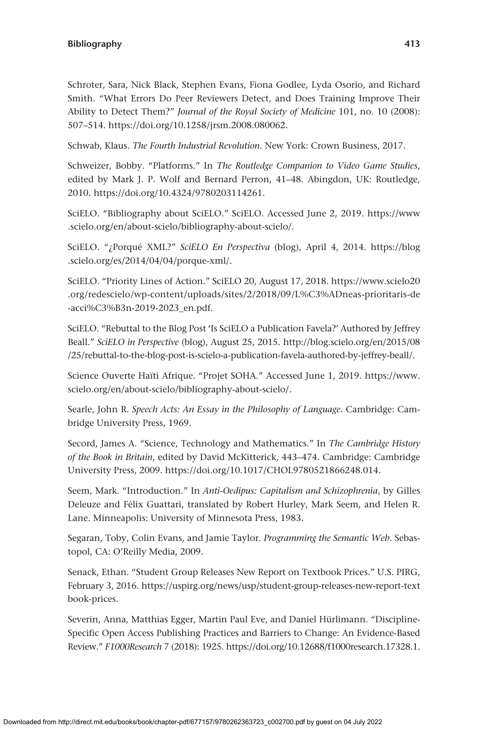Schroter, Sara, Nick Black, Stephen Evans, Fiona Godlee, Lyda Osorio, and Richard Smith. "What Errors Do Peer Reviewers Detect, and Does Training Improve Their Ability to Detect Them?" *Journal of the Royal Society of Medicine* 101, no. 10 (2008): 507–514. [https://doi.org/10.1258/jrsm.2008.080062.](https://doi.org/10.1258/jrsm.2008.080062)

Schwab, Klaus. *The Fourth Industrial Revolution*. New York: Crown Business, 2017.

Schweizer, Bobby. "Platforms." In *The Routledge Companion to Video Game Studies*, edited by Mark J. P. Wolf and Bernard Perron, 41–48. Abingdon, UK: Routledge, 2010. <https://doi.org/10.4324/9780203114261>.

SciELO. "Bibliography about SciELO." SciELO. Accessed June 2, 2019. [https://www](https://www.scielo.org/en/about-scielo/bibliography-about-scielo/) [.scielo.org/en/about-scielo/bibliography-about-scielo/](https://www.scielo.org/en/about-scielo/bibliography-about-scielo/).

SciELO. "¿Porqué XML?" *SciELO En Perspectiva* (blog), April 4, 2014. [https://blog](https://blog.scielo.org/es/2014/04/04/porque-xml/) [.scielo.org/es/2014/04/04/porque-xml/](https://blog.scielo.org/es/2014/04/04/porque-xml/).

SciELO. "Priority Lines of Action." SciELO 20, August 17, 2018. [https://www.scielo20](https://www.scielo20.org/redescielo/wp-content/uploads/sites/2/2018/09/L%C3%ADneas-prioritaris-de-acci%C3%B3n-2019-2023_en.pdf) [.org/redescielo/wp-content/uploads/sites/2/2018/09/L%C3%ADneas-prioritaris-de](https://www.scielo20.org/redescielo/wp-content/uploads/sites/2/2018/09/L%C3%ADneas-prioritaris-de-acci%C3%B3n-2019-2023_en.pdf) [-acci%C3%B3n-2019-2023\\_en.pdf](https://www.scielo20.org/redescielo/wp-content/uploads/sites/2/2018/09/L%C3%ADneas-prioritaris-de-acci%C3%B3n-2019-2023_en.pdf).

SciELO. "Rebuttal to the Blog Post 'Is SciELO a Publication Favela?' Authored by Jeffrey Beall." *SciELO in Perspective* (blog), August 25, 2015. [http://blog.scielo.org/en/2015/08](http://blog.scielo.org/en/2015/08/25/rebuttal-to-the-blog-post-is-scielo-a-publication-favela-authored-by-jeffrey-beall/) [/25/rebuttal-to-the-blog-post-is-scielo-a-publication-favela-authored-by-jeffrey-beall/](http://blog.scielo.org/en/2015/08/25/rebuttal-to-the-blog-post-is-scielo-a-publication-favela-authored-by-jeffrey-beall/).

Science Ouverte Haïti Afrique. "Projet SOHA." Accessed June 1, 2019. [https://www.](https://www.scielo.org/en/about-scielo/bibliography-about-scielo/) [scielo.org/en/about-scielo/bibliography-about-scielo/.](https://www.scielo.org/en/about-scielo/bibliography-about-scielo/)

Searle, John R. *Speech Acts: An Essay in the Philosophy of Language*. Cambridge: Cambridge University Press, 1969.

Secord, James A. "Science, Technology and Mathematics." In *The Cambridge History of the Book in Britain*, edited by David McKitterick, 443–474. Cambridge: Cambridge University Press, 2009.<https://doi.org/10.1017/CHOL9780521866248.014>.

Seem, Mark. "Introduction." In *Anti-Oedipus: Capitalism and Schizophrenia*, by Gilles Deleuze and Félix Guattari, translated by Robert Hurley, Mark Seem, and Helen R. Lane. Minneapolis: University of Minnesota Press, 1983.

Segaran, Toby, Colin Evans, and Jamie Taylor. *Programming the Semantic Web*. Sebastopol, CA: O'Reilly Media, 2009.

Senack, Ethan. "Student Group Releases New Report on Textbook Prices." U.S. PIRG, February 3, 2016. [https://uspirg.org/news/usp/student-group-releases-new-report-text](https://uspirg.org/news/usp/student-group-releases-new-report-textbook-prices) [book-prices.](https://uspirg.org/news/usp/student-group-releases-new-report-textbook-prices)

Severin, Anna, Matthias Egger, Martin Paul Eve, and Daniel Hürlimann. "Discipline-Specific Open Access Publishing Practices and Barriers to Change: An Evidence-Based Review." *F1000Research* 7 (2018): 1925. [https://doi.org/10.12688/f1000research.17328.1.](https://doi.org/10.12688/f1000research.17328.1)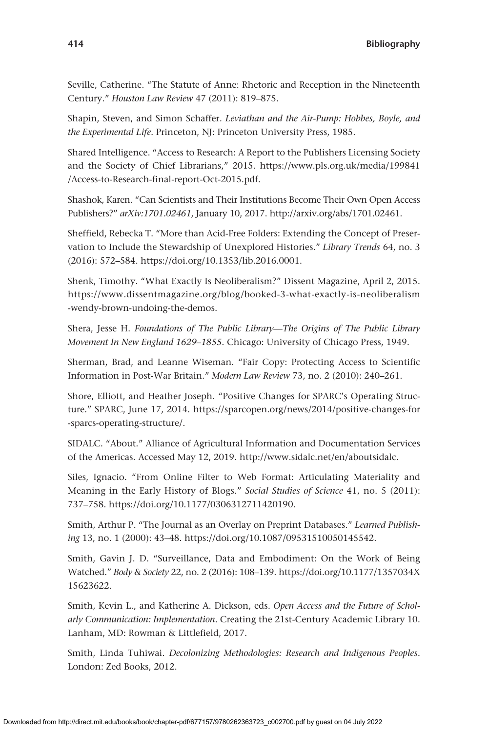Seville, Catherine. "The Statute of Anne: Rhetoric and Reception in the Nineteenth Century." *Houston Law Review* 47 (2011): 819–875.

Shapin, Steven, and Simon Schaffer. *Leviathan and the Air-Pump: Hobbes, Boyle, and the Experimental Life*. Princeton, NJ: Princeton University Press, 1985.

Shared Intelligence. "Access to Research: A Report to the Publishers Licensing Society and the Society of Chief Librarians," 2015. [https://www.pls.org.uk/media/199841](https://www.pls.org.uk/media/199841/Access-to-Research-final-report-Oct-2015.pdf) [/Access-to-Research-final-report-Oct-2015.pdf.](https://www.pls.org.uk/media/199841/Access-to-Research-final-report-Oct-2015.pdf)

Shashok, Karen. "Can Scientists and Their Institutions Become Their Own Open Access Publishers?" *arXiv:1701.02461*, January 10, 2017. [http://arxiv.org/abs/1701.02461.](http://arxiv.org/abs/1701.02461)

Sheffield, Rebecka T. "More than Acid-Free Folders: Extending the Concept of Preservation to Include the Stewardship of Unexplored Histories." *Library Trends* 64, no. 3 (2016): 572–584.<https://doi.org/10.1353/lib.2016.0001>.

Shenk, Timothy. "What Exactly Is Neoliberalism?" Dissent Magazine, April 2, 2015. [https://www.dissentmagazine.org/blog/booked-3-what-exactly-is-neoliberalism](https://www.dissentmagazine.org/blog/booked-3-what-exactly-is-neoliberalism-wendy-brown-undoing-the-demos) [-wendy-brown-undoing-the-demos](https://www.dissentmagazine.org/blog/booked-3-what-exactly-is-neoliberalism-wendy-brown-undoing-the-demos).

Shera, Jesse H. *Foundations of The Public Library—The Origins of The Public Library Movement In New England 1629–1855*. Chicago: University of Chicago Press, 1949.

Sherman, Brad, and Leanne Wiseman. "Fair Copy: Protecting Access to Scientific Information in Post-War Britain." *Modern Law Review* 73, no. 2 (2010): 240–261.

Shore, Elliott, and Heather Joseph. "Positive Changes for SPARC's Operating Structure." SPARC, June 17, 2014. [https://sparcopen.org/news/2014/positive-changes-for](https://sparcopen.org/news/2014/positive-changes-for-sparcs-operating-structure/) [-sparcs-operating-structure/.](https://sparcopen.org/news/2014/positive-changes-for-sparcs-operating-structure/)

SIDALC. "About." Alliance of Agricultural Information and Documentation Services of the Americas. Accessed May 12, 2019. [http://www.sidalc.net/en/aboutsidalc.](http://www.sidalc.net/en/aboutsidalc)

Siles, Ignacio. "From Online Filter to Web Format: Articulating Materiality and Meaning in the Early History of Blogs." *Social Studies of Science* 41, no. 5 (2011): 737–758.<https://doi.org/10.1177/0306312711420190>.

Smith, Arthur P. "The Journal as an Overlay on Preprint Databases." *Learned Publishing* 13, no. 1 (2000): 43–48.<https://doi.org/10.1087/09531510050145542>.

Smith, Gavin J. D. "Surveillance, Data and Embodiment: On the Work of Being Watched." *Body & Society* 22, no. 2 (2016): 108–139. [https://doi.org/10.1177/1357034X](https://doi.org/10.1177/1357034X15623622) [15623622.](https://doi.org/10.1177/1357034X15623622)

Smith, Kevin L., and Katherine A. Dickson, eds. *Open Access and the Future of Scholarly Communication: Implementation*. Creating the 21st-Century Academic Library 10. Lanham, MD: Rowman & Littlefield, 2017.

Smith, Linda Tuhiwai. *Decolonizing Methodologies: Research and Indigenous Peoples*. London: Zed Books, 2012.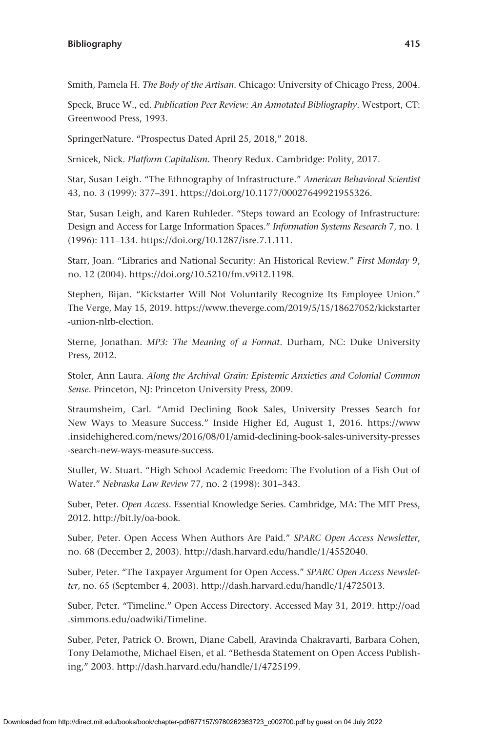Smith, Pamela H. *The Body of the Artisan*. Chicago: University of Chicago Press, 2004.

Speck, Bruce W., ed. *Publication Peer Review: An Annotated Bibliography*. Westport, CT: Greenwood Press, 1993.

SpringerNature. "Prospectus Dated April 25, 2018," 2018.

Srnicek, Nick. *Platform Capitalism*. Theory Redux. Cambridge: Polity, 2017.

Star, Susan Leigh. "The Ethnography of Infrastructure." *American Behavioral Scientist* 43, no. 3 (1999): 377–391. <https://doi.org/10.1177/00027649921955326>.

Star, Susan Leigh, and Karen Ruhleder. "Steps toward an Ecology of Infrastructure: Design and Access for Large Information Spaces." *Information Systems Research* 7, no. 1 (1996): 111–134. [https://doi.org/10.1287/isre.7.1.111.](https://doi.org/10.1287/isre.7.1.111)

Starr, Joan. "Libraries and National Security: An Historical Review." *First Monday* 9, no. 12 (2004).<https://doi.org/10.5210/fm.v9i12.1198>.

Stephen, Bijan. "Kickstarter Will Not Voluntarily Recognize Its Employee Union." The Verge, May 15, 2019. [https://www.theverge.com/2019/5/15/18627052/kickstarter](https://www.theverge.com/2019/5/15/18627052/kickstarter-union-nlrb-election) [-union-nlrb-election.](https://www.theverge.com/2019/5/15/18627052/kickstarter-union-nlrb-election)

Sterne, Jonathan. *MP3: The Meaning of a Format*. Durham, NC: Duke University Press, 2012.

Stoler, Ann Laura. *Along the Archival Grain: Epistemic Anxieties and Colonial Common Sense*. Princeton, NJ: Princeton University Press, 2009.

Straumsheim, Carl. "Amid Declining Book Sales, University Presses Search for New Ways to Measure Success." Inside Higher Ed, August 1, 2016. [https://www](https://www.insidehighered.com/news/2016/08/01/amid-declining-book-sales-university-presses-search-new-ways-measure-success) [.insidehighered.com/news/2016/08/01/amid-declining-book-sales-university-presses](https://www.insidehighered.com/news/2016/08/01/amid-declining-book-sales-university-presses-search-new-ways-measure-success) [-search-new-ways-measure-success](https://www.insidehighered.com/news/2016/08/01/amid-declining-book-sales-university-presses-search-new-ways-measure-success).

Stuller, W. Stuart. "High School Academic Freedom: The Evolution of a Fish Out of Water." *Nebraska Law Review* 77, no. 2 (1998): 301–343.

Suber, Peter. *Open Access*. Essential Knowledge Series. Cambridge, MA: The MIT Press, 2012.<http://bit.ly/oa-book>.

Suber, Peter. Open Access When Authors Are Paid." *SPARC Open Access Newsletter*, no. 68 (December 2, 2003). [http://dash.harvard.edu/handle/1/4552040.](http://dash.harvard.edu/handle/1/4552040)

Suber, Peter. "The Taxpayer Argument for Open Access." *SPARC Open Access Newsletter*, no. 65 (September 4, 2003). [http://dash.harvard.edu/handle/1/4725013.](http://dash.harvard.edu/handle/1/4725013)

Suber, Peter. "Timeline." Open Access Directory. Accessed May 31, 2019. [http://oad](http://oad.simmons.edu/oadwiki/Timeline) [.simmons.edu/oadwiki/Timeline.](http://oad.simmons.edu/oadwiki/Timeline)

Suber, Peter, Patrick O. Brown, Diane Cabell, Aravinda Chakravarti, Barbara Cohen, Tony Delamothe, Michael Eisen, et al. "Bethesda Statement on Open Access Publishing," 2003. [http://dash.harvard.edu/handle/1/4725199.](http://dash.harvard.edu/handle/1/4725199)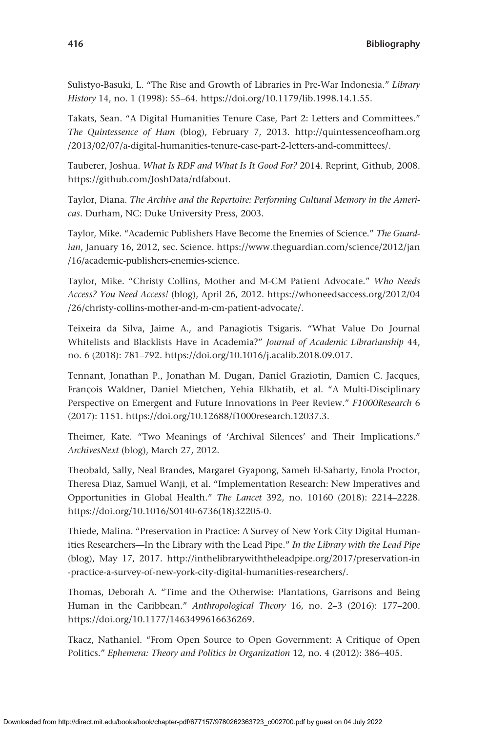Sulistyo-Basuki, L. "The Rise and Growth of Libraries in Pre-War Indonesia." *Library History* 14, no. 1 (1998): 55–64. <https://doi.org/10.1179/lib.1998.14.1.55>.

Takats, Sean. "A Digital Humanities Tenure Case, Part 2: Letters and Committees." *The Quintessence of Ham* (blog), February 7, 2013. [http://quintessenceofham.org](http://quintessenceofham.org/2013/02/07/a-digital-humanities-tenure-case-part-2-letters-and-committees/) [/2013/02/07/a-digital-humanities-tenure-case-part-2-letters-and-committees/.](http://quintessenceofham.org/2013/02/07/a-digital-humanities-tenure-case-part-2-letters-and-committees/)

Tauberer, Joshua. *What Is RDF and What Is It Good For?* 2014. Reprint, Github, 2008. <https://github.com/JoshData/rdfabout>.

Taylor, Diana. *The Archive and the Repertoire: Performing Cultural Memory in the Americas*. Durham, NC: Duke University Press, 2003.

Taylor, Mike. "Academic Publishers Have Become the Enemies of Science." *The Guardian*, January 16, 2012, sec. Science. [https://www.theguardian.com/science/2012/jan](https://www.theguardian.com/science/2012/jan/16/academic-publishers-enemies-science) [/16/academic-publishers-enemies-science.](https://www.theguardian.com/science/2012/jan/16/academic-publishers-enemies-science)

Taylor, Mike. "Christy Collins, Mother and M-CM Patient Advocate." *Who Needs Access? You Need Access!* (blog), April 26, 2012. [https://whoneedsaccess.org/2012/04](https://whoneedsaccess.org/2012/04/26/christy-collins-mother-and-m-cm-patient-advocate/) [/26/christy-collins-mother-and-m-cm-patient-advocate/.](https://whoneedsaccess.org/2012/04/26/christy-collins-mother-and-m-cm-patient-advocate/)

Teixeira da Silva, Jaime A., and Panagiotis Tsigaris. "What Value Do Journal Whitelists and Blacklists Have in Academia?" *Journal of Academic Librarianship* 44, no. 6 (2018): 781–792. <https://doi.org/10.1016/j.acalib.2018.09.017>.

Tennant, Jonathan P., Jonathan M. Dugan, Daniel Graziotin, Damien C. Jacques, François Waldner, Daniel Mietchen, Yehia Elkhatib, et al. "A Multi-Disciplinary Perspective on Emergent and Future Innovations in Peer Review." *F1000Research* 6 (2017): 1151.<https://doi.org/10.12688/f1000research.12037.3>.

Theimer, Kate. "Two Meanings of 'Archival Silences' and Their Implications." *ArchivesNext* (blog), March 27, 2012.

Theobald, Sally, Neal Brandes, Margaret Gyapong, Sameh El-Saharty, Enola Proctor, Theresa Diaz, Samuel Wanji, et al. "Implementation Research: New Imperatives and Opportunities in Global Health." *The Lancet* 392, no. 10160 (2018): 2214–2228. [https://doi.org/10.1016/S0140-6736\(18\)32205-0](https://doi.org/10.1016/S0140-6736(18)32205-0).

Thiede, Malina. "Preservation in Practice: A Survey of New York City Digital Humanities Researchers—In the Library with the Lead Pipe." *In the Library with the Lead Pipe* (blog), May 17, 2017. [http://inthelibrarywiththeleadpipe.org/2017/preservation-in](http://inthelibrarywiththeleadpipe.org/2017/preservation-in-practice-a-survey-of-new-york-city-digital-humanities-researchers/) [-practice-a-survey-of-new-york-city-digital-humanities-researchers/](http://inthelibrarywiththeleadpipe.org/2017/preservation-in-practice-a-survey-of-new-york-city-digital-humanities-researchers/).

Thomas, Deborah A. "Time and the Otherwise: Plantations, Garrisons and Being Human in the Caribbean." *Anthropological Theory* 16, no. 2–3 (2016): 177–200. <https://doi.org/10.1177/1463499616636269>.

Tkacz, Nathaniel. "From Open Source to Open Government: A Critique of Open Politics." *Ephemera: Theory and Politics in Organization* 12, no. 4 (2012): 386–405.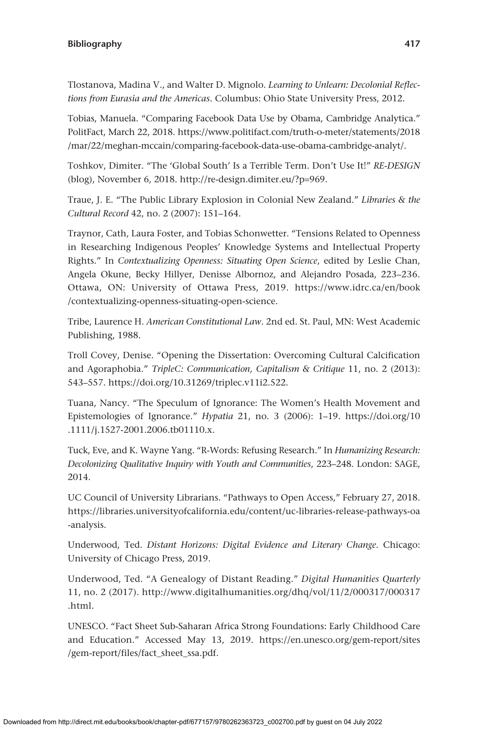Tlostanova, Madina V., and Walter D. Mignolo. *Learning to Unlearn: Decolonial Reflections from Eurasia and the Americas*. Columbus: Ohio State University Press, 2012.

Tobias, Manuela. "Comparing Facebook Data Use by Obama, Cambridge Analytica." PolitFact, March 22, 2018. [https://www.politifact.com/truth-o-meter/statements/2018](https://www.politifact.com/truth-o-meter/statements/2018/mar/22/meghan-mccain/comparing-facebook-data-use-obama-cambridge-analyt/) [/mar/22/meghan-mccain/comparing-facebook-data-use-obama-cambridge-analyt/.](https://www.politifact.com/truth-o-meter/statements/2018/mar/22/meghan-mccain/comparing-facebook-data-use-obama-cambridge-analyt/)

Toshkov, Dimiter. "The 'Global South' Is a Terrible Term. Don't Use It!" *RE-DESIGN* (blog), November 6, 2018. [http://re-design.dimiter.eu/?p](http://re-design.dimiter.eu/?p=969)=969.

Traue, J. E. "The Public Library Explosion in Colonial New Zealand." *Libraries & the Cultural Record* 42, no. 2 (2007): 151–164.

Traynor, Cath, Laura Foster, and Tobias Schonwetter. "Tensions Related to Openness in Researching Indigenous Peoples' Knowledge Systems and Intellectual Property Rights." In *Contextualizing Openness: Situating Open Science*, edited by Leslie Chan, Angela Okune, Becky Hillyer, Denisse Albornoz, and Alejandro Posada, 223–236. Ottawa, ON: University of Ottawa Press, 2019. [https://www.idrc.ca/en/book](https://www.idrc.ca/en/book/contextualizing-openness-situating-open-science) [/contextualizing-openness-situating-open-science.](https://www.idrc.ca/en/book/contextualizing-openness-situating-open-science)

Tribe, Laurence H. *American Constitutional Law*. 2nd ed. St. Paul, MN: West Academic Publishing, 1988.

Troll Covey, Denise. "Opening the Dissertation: Overcoming Cultural Calcification and Agoraphobia." *TripleC: Communication, Capitalism & Critique* 11, no. 2 (2013): 543–557.<https://doi.org/10.31269/triplec.v11i2.522>.

Tuana, Nancy. "The Speculum of Ignorance: The Women's Health Movement and Epistemologies of Ignorance." *Hypatia* 21, no. 3 (2006): 1–19. [https://doi.org/10](https://doi.org/10.1111/j.1527-2001.2006.tb01110.x) [.1111/j.1527-2001.2006.tb01110.x.](https://doi.org/10.1111/j.1527-2001.2006.tb01110.x)

Tuck, Eve, and K. Wayne Yang. "R-Words: Refusing Research." In *Humanizing Research: Decolonizing Qualitative Inquiry with Youth and Communities*, 223–248. London: SAGE, 2014.

UC Council of University Librarians. "Pathways to Open Access," February 27, 2018. [https://libraries.universityofcalifornia.edu/content/uc-libraries-release-pathways-oa](https://libraries.universityofcalifornia.edu/content/uc-libraries-release-pathways-oa-analysis) [-analysis.](https://libraries.universityofcalifornia.edu/content/uc-libraries-release-pathways-oa-analysis)

Underwood, Ted. *Distant Horizons: Digital Evidence and Literary Change*. Chicago: University of Chicago Press, 2019.

Underwood, Ted. "A Genealogy of Distant Reading." *Digital Humanities Quarterly* 11, no. 2 (2017). [http://www.digitalhumanities.org/dhq/vol/11/2/000317/000317](http://www.digitalhumanities.org/dhq/vol/11/2/000317/000317.html) [.html](http://www.digitalhumanities.org/dhq/vol/11/2/000317/000317.html).

UNESCO. "Fact Sheet Sub-Saharan Africa Strong Foundations: Early Childhood Care and Education." Accessed May 13, 2019. [https://en.unesco.org/gem-report/sites](https://en.unesco.org/gem-report/sites/gem-report/files/fact_sheet_ssa.pdf) [/gem-report/files/fact\\_sheet\\_ssa.pdf](https://en.unesco.org/gem-report/sites/gem-report/files/fact_sheet_ssa.pdf).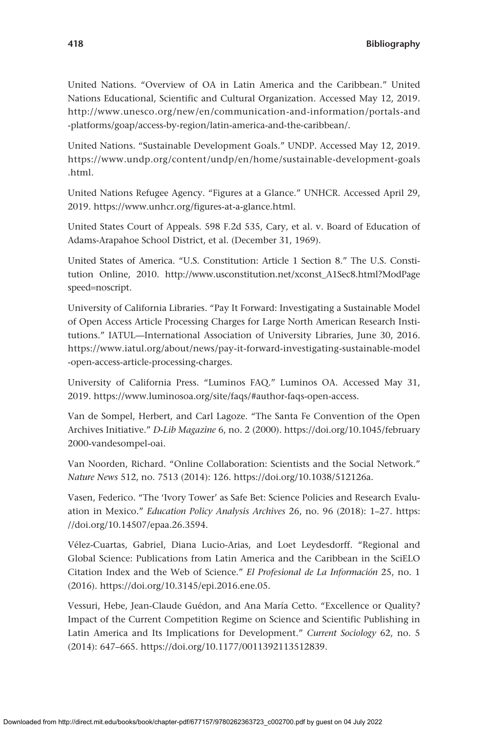United Nations. "Overview of OA in Latin America and the Caribbean." United Nations Educational, Scientific and Cultural Organization. Accessed May 12, 2019. [http://www.unesco.org/new/en/communication-and-information/portals-and](http://www.unesco.org/new/en/communication-and-information/portals-and-platforms/goap/access-by-region/latin-america-and-the-caribbean/) [-platforms/goap/access-by-region/latin-america-and-the-caribbean/.](http://www.unesco.org/new/en/communication-and-information/portals-and-platforms/goap/access-by-region/latin-america-and-the-caribbean/)

United Nations. "Sustainable Development Goals." UNDP. Accessed May 12, 2019. [https://www.undp.org/content/undp/en/home/sustainable-development-goals](https://www.undp.org/content/undp/en/home/sustainable-development-goals.html) [.html.](https://www.undp.org/content/undp/en/home/sustainable-development-goals.html)

United Nations Refugee Agency. "Figures at a Glance." UNHCR. Accessed April 29, 2019. [https://www.unhcr.org/figures-at-a-glance.html.](https://www.unhcr.org/figures-at-a-glance.html)

United States Court of Appeals. 598 F.2d 535, Cary, et al. v. Board of Education of Adams-Arapahoe School District, et al. (December 31, 1969).

United States of America. "U.S. Constitution: Article 1 Section 8." The U.S. Constitution Online, 2010. [http://www.usconstitution.net/xconst\\_A1Sec8.html?ModPage](http://www.usconstitution.net/xconst_A1Sec8.html?ModPagespeed=noscript) speed=[noscript](http://www.usconstitution.net/xconst_A1Sec8.html?ModPagespeed=noscript).

University of California Libraries. "Pay It Forward: Investigating a Sustainable Model of Open Access Article Processing Charges for Large North American Research Institutions." IATUL—International Association of University Libraries, June 30, 2016. [https://www.iatul.org/about/news/pay-it-forward-investigating-sustainable-model](https://www.iatul.org/about/news/pay-it-forward-investigating-sustainable-model-open-access-article-processing-charges) [-open-access-article-processing-charges.](https://www.iatul.org/about/news/pay-it-forward-investigating-sustainable-model-open-access-article-processing-charges)

University of California Press. "Luminos FAQ." Luminos OA. Accessed May 31, 2019. [https://www.luminosoa.org/site/faqs/#author-faqs-open-access.](https://www.luminosoa.org/site/faqs/#author-faqs-open-access)

Van de Sompel, Herbert, and Carl Lagoze. "The Santa Fe Convention of the Open Archives Initiative." *D-Lib Magazine* 6, no. 2 (2000). [https://doi.org/10.1045/february](https://doi.org/10.1045/february2000-vandesompel-oai) [2000-vandesompel-oai](https://doi.org/10.1045/february2000-vandesompel-oai).

Van Noorden, Richard. "Online Collaboration: Scientists and the Social Network." *Nature News* 512, no. 7513 (2014): 126. <https://doi.org/10.1038/512126a>.

Vasen, Federico. "The 'Ivory Tower' as Safe Bet: Science Policies and Research Evaluation in Mexico." *Education Policy Analysis Archives* 26, no. 96 (2018): 1–27. [https:](https://doi.org/10.14507/epaa.26.3594) [//doi.org/10.14507/epaa.26.3594.](https://doi.org/10.14507/epaa.26.3594)

Vélez-Cuartas, Gabriel, Diana Lucio-Arias, and Loet Leydesdorff. "Regional and Global Science: Publications from Latin America and the Caribbean in the SciELO Citation Index and the Web of Science." *El Profesional de La Información* 25, no. 1 (2016).<https://doi.org/10.3145/epi.2016.ene.05>.

Vessuri, Hebe, Jean-Claude Guédon, and Ana María Cetto. "Excellence or Quality? Impact of the Current Competition Regime on Science and Scientific Publishing in Latin America and Its Implications for Development." *Current Sociology* 62, no. 5 (2014): 647–665. [https://doi.org/10.1177/0011392113512839.](https://doi.org/10.1177/0011392113512839)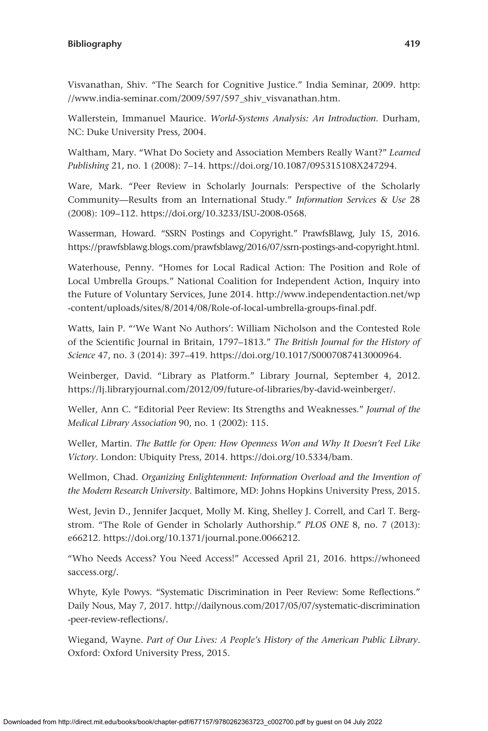Visvanathan, Shiv. "The Search for Cognitive Justice." India Seminar, 2009. [http:](http://www.india-seminar.com/2009/597/597_shiv_visvanathan.htm) [//www.india-seminar.com/2009/597/597\\_shiv\\_visvanathan.htm](http://www.india-seminar.com/2009/597/597_shiv_visvanathan.htm).

Wallerstein, Immanuel Maurice. *World-Systems Analysis: An Introduction*. Durham, NC: Duke University Press, 2004.

Waltham, Mary. "What Do Society and Association Members Really Want?" *Learned Publishing* 21, no. 1 (2008): 7–14.<https://doi.org/10.1087/095315108X247294>.

Ware, Mark. "Peer Review in Scholarly Journals: Perspective of the Scholarly Community—Results from an International Study." *Information Services & Use* 28 (2008): 109–112.<https://doi.org/10.3233/ISU-2008-0568>.

Wasserman, Howard. "SSRN Postings and Copyright." PrawfsBlawg, July 15, 2016. [https://prawfsblawg.blogs.com/prawfsblawg/2016/07/ssrn-postings-and-copyright.html.](https://prawfsblawg.blogs.com/prawfsblawg/2016/07/ssrn-postings-and-copyright.html)

Waterhouse, Penny. "Homes for Local Radical Action: The Position and Role of Local Umbrella Groups." National Coalition for Independent Action, Inquiry into the Future of Voluntary Services, June 2014. [http://www.independentaction.net/wp](http://www.independentaction.net/wp-content/uploads/sites/8/2014/08/Role-of-local-umbrella-groups-final.pdf) [-content/uploads/sites/8/2014/08/Role-of-local-umbrella-groups-final.pdf](http://www.independentaction.net/wp-content/uploads/sites/8/2014/08/Role-of-local-umbrella-groups-final.pdf).

Watts, Iain P. "'We Want No Authors': William Nicholson and the Contested Role of the Scientific Journal in Britain, 1797–1813." *The British Journal for the History of Science* 47, no. 3 (2014): 397–419.<https://doi.org/10.1017/S0007087413000964>.

Weinberger, David. "Library as Platform." Library Journal, September 4, 2012. <https://lj.libraryjournal.com/2012/09/future-of-libraries/by-david-weinberger/>.

Weller, Ann C. "Editorial Peer Review: Its Strengths and Weaknesses." *Journal of the Medical Library Association* 90, no. 1 (2002): 115.

Weller, Martin. *The Battle for Open: How Openness Won and Why It Doesn't Feel Like Victory*. London: Ubiquity Press, 2014. <https://doi.org/10.5334/bam>.

Wellmon, Chad. *Organizing Enlightenment: Information Overload and the Invention of the Modern Research University*. Baltimore, MD: Johns Hopkins University Press, 2015.

West, Jevin D., Jennifer Jacquet, Molly M. King, Shelley J. Correll, and Carl T. Bergstrom. "The Role of Gender in Scholarly Authorship." *PLOS ONE* 8, no. 7 (2013): e66212. [https://doi.org/10.1371/journal.pone.0066212.](https://doi.org/10.1371/journal.pone.0066212)

"Who Needs Access? You Need Access!" Accessed April 21, 2016. [https://whoneed](https://whoneedsaccess.org/) [saccess.org/.](https://whoneedsaccess.org/)

Whyte, Kyle Powys. "Systematic Discrimination in Peer Review: Some Reflections." Daily Nous, May 7, 2017. [http://dailynous.com/2017/05/07/systematic-discrimination](http://dailynous.com/2017/05/07/systematic-discrimination-peer-review-reflections/) [-peer-review-reflections/.](http://dailynous.com/2017/05/07/systematic-discrimination-peer-review-reflections/)

Wiegand, Wayne. *Part of Our Lives: A People's History of the American Public Library*. Oxford: Oxford University Press, 2015.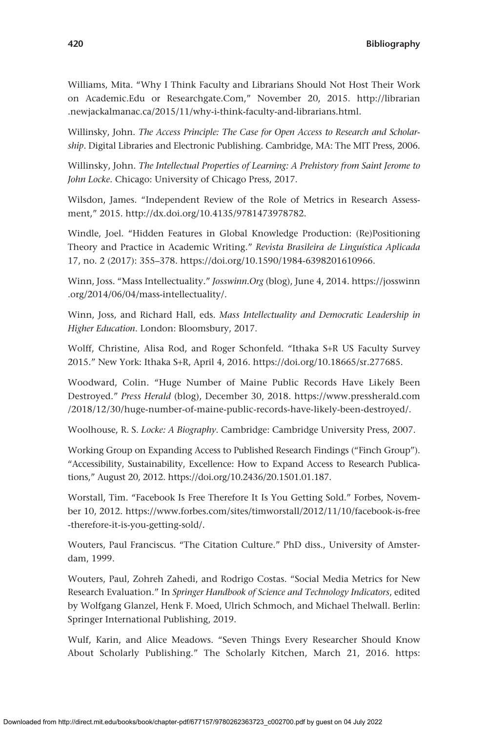Williams, Mita. "Why I Think Faculty and Librarians Should Not Host Their Work on Academic.Edu or Researchgate.Com," November 20, 2015. [http://librarian](http://librarian.newjackalmanac.ca/2015/11/why-i-think-faculty-and-librarians.html) [.newjackalmanac.ca/2015/11/why-i-think-faculty-and-librarians.html.](http://librarian.newjackalmanac.ca/2015/11/why-i-think-faculty-and-librarians.html)

Willinsky, John. *The Access Principle: The Case for Open Access to Research and Scholarship*. Digital Libraries and Electronic Publishing. Cambridge, MA: The MIT Press, 2006.

Willinsky, John. *The Intellectual Properties of Learning: A Prehistory from Saint Jerome to John Locke*. Chicago: University of Chicago Press, 2017.

Wilsdon, James. "Independent Review of the Role of Metrics in Research Assessment," 2015. [http://dx.doi.org/10.4135/9781473978782.](http://dx.doi.org/10.4135/9781473978782)

Windle, Joel. "Hidden Features in Global Knowledge Production: (Re)Positioning Theory and Practice in Academic Writing." *Revista Brasileira de Linguística Aplicada* 17, no. 2 (2017): 355–378. [https://doi.org/10.1590/1984-6398201610966.](https://doi.org/10.1590/1984-6398201610966)

Winn, Joss. "Mass Intellectuality." *Josswinn.Org* (blog), June 4, 2014. [https://josswinn](https://josswinn.org/2014/06/04/mass-intellectuality/) [.org/2014/06/04/mass-intellectuality/.](https://josswinn.org/2014/06/04/mass-intellectuality/)

Winn, Joss, and Richard Hall, eds. *Mass Intellectuality and Democratic Leadership in Higher Education*. London: Bloomsbury, 2017.

Wolff, Christine, Alisa Rod, and Roger Schonfeld. "Ithaka S+R US Faculty Survey 2015." New York: Ithaka S+R, April 4, 2016. [https://doi.org/10.18665/sr.277685.](https://doi.org/10.18665/sr.277685)

Woodward, Colin. "Huge Number of Maine Public Records Have Likely Been Destroyed." *Press Herald* (blog), December 30, 2018. [https://www.pressherald.com](https://www.pressherald.com/2018/12/30/huge-number-of-maine-public-records-have-likely-been-destroyed/) [/2018/12/30/huge-number-of-maine-public-records-have-likely-been-destroyed/.](https://www.pressherald.com/2018/12/30/huge-number-of-maine-public-records-have-likely-been-destroyed/)

Woolhouse, R. S. *Locke: A Biography*. Cambridge: Cambridge University Press, 2007.

Working Group on Expanding Access to Published Research Findings ("Finch Group"). "Accessibility, Sustainability, Excellence: How to Expand Access to Research Publications," August 20, 2012. <https://doi.org/10.2436/20.1501.01.187>.

Worstall, Tim. "Facebook Is Free Therefore It Is You Getting Sold." Forbes, November 10, 2012. [https://www.forbes.com/sites/timworstall/2012/11/10/facebook-is-free](https://www.forbes.com/sites/timworstall/2012/11/10/facebook-is-free-therefore-it-is-you-getting-sold/) [-therefore-it-is-you-getting-sold/](https://www.forbes.com/sites/timworstall/2012/11/10/facebook-is-free-therefore-it-is-you-getting-sold/).

Wouters, Paul Franciscus. "The Citation Culture." PhD diss., University of Amsterdam, 1999.

Wouters, Paul, Zohreh Zahedi, and Rodrigo Costas. "Social Media Metrics for New Research Evaluation." In *Springer Handbook of Science and Technology Indicators*, edited by Wolfgang Glanzel, Henk F. Moed, Ulrich Schmoch, and Michael Thelwall. Berlin: Springer International Publishing, 2019.

Wulf, Karin, and Alice Meadows. "Seven Things Every Researcher Should Know About Scholarly Publishing." The Scholarly Kitchen, March 21, 2016. [https:](https://scholarlykitchen.sspnet.org/2016/03/21/seven-things-every-researcher-should-know-about-scholarly-publishing/)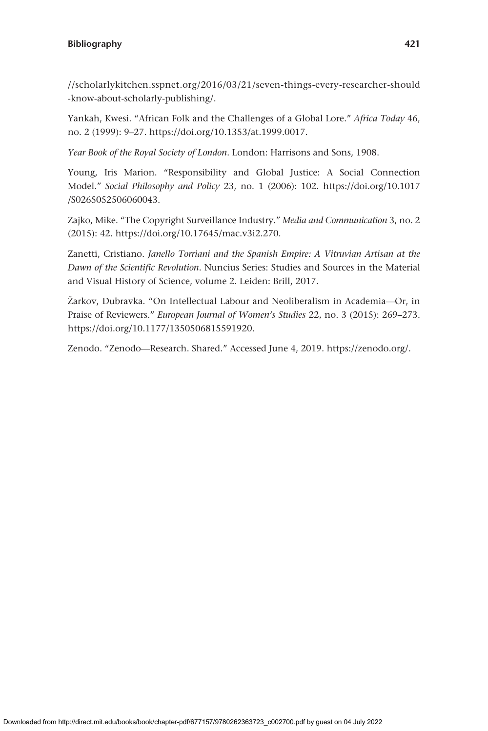[//scholarlykitchen.sspnet.org/2016/03/21/seven-things-every-researcher-should](https://scholarlykitchen.sspnet.org/2016/03/21/seven-things-every-researcher-should-know-about-scholarly-publishing/) [-know-about-scholarly-publishing/](https://scholarlykitchen.sspnet.org/2016/03/21/seven-things-every-researcher-should-know-about-scholarly-publishing/).

Yankah, Kwesi. "African Folk and the Challenges of a Global Lore." *Africa Today* 46, no. 2 (1999): 9–27.<https://doi.org/10.1353/at.1999.0017>.

*Year Book of the Royal Society of London*. London: Harrisons and Sons, 1908.

Young, Iris Marion. "Responsibility and Global Justice: A Social Connection Model." *Social Philosophy and Policy* 23, no. 1 (2006): 102. [https://doi.org/10.1017](https://doi.org/10.1017/S0265052506060043) [/S0265052506060043.](https://doi.org/10.1017/S0265052506060043)

Zajko, Mike. "The Copyright Surveillance Industry." *Media and Communication* 3, no. 2 (2015): 42. [https://doi.org/10.17645/mac.v3i2.270.](https://doi.org/10.17645/mac.v3i2.270)

Zanetti, Cristiano. *Janello Torriani and the Spanish Empire: A Vitruvian Artisan at the Dawn of the Scientific Revolution*. Nuncius Series: Studies and Sources in the Material and Visual History of Science, volume 2. Leiden: Brill, 2017.

Žarkov, Dubravka. "On Intellectual Labour and Neoliberalism in Academia—Or, in Praise of Reviewers." *European Journal of Women's Studies* 22, no. 3 (2015): 269–273. <https://doi.org/10.1177/1350506815591920>.

Zenodo. "Zenodo—Research. Shared." Accessed June 4, 2019. [https://zenodo.org/.](https://zenodo.org/)